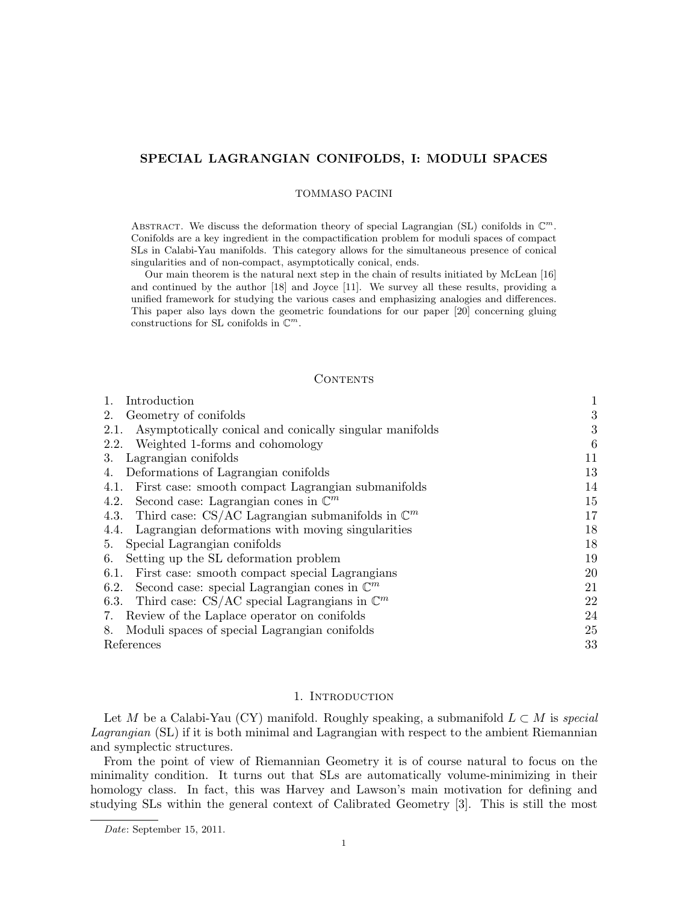# SPECIAL LAGRANGIAN CONIFOLDS, I: MODULI SPACES

### TOMMASO PACINI

ABSTRACT. We discuss the deformation theory of special Lagrangian (SL) conifolds in  $\mathbb{C}^m$ . Conifolds are a key ingredient in the compactification problem for moduli spaces of compact SLs in Calabi-Yau manifolds. This category allows for the simultaneous presence of conical singularities and of non-compact, asymptotically conical, ends.

Our main theorem is the natural next step in the chain of results initiated by McLean [16] and continued by the author [18] and Joyce [11]. We survey all these results, providing a unified framework for studying the various cases and emphasizing analogies and differences. This paper also lays down the geometric foundations for our paper [20] concerning gluing constructions for SL conifolds in  $\mathbb{C}^m$ .

# **CONTENTS**

| 1.<br>Introduction                                               | $\mathbf{1}$ |
|------------------------------------------------------------------|--------------|
| Geometry of conifolds<br>2.                                      | 3            |
| Asymptotically conical and conically singular manifolds<br>2.1.  | 3            |
| Weighted 1-forms and cohomology<br>2.2.                          | 6            |
| Lagrangian conifolds<br>3.                                       | 11           |
| Deformations of Lagrangian conifolds<br>4.                       | 13           |
| 4.1. First case: smooth compact Lagrangian submanifolds          | 14           |
| Second case: Lagrangian cones in $\mathbb{C}^m$<br>4.2.          | 15           |
| 4.3. Third case: CS/AC Lagrangian submanifolds in $\mathbb{C}^m$ | 17           |
| 4.4. Lagrangian deformations with moving singularities           | 18           |
| 5. Special Lagrangian conifolds                                  | 18           |
| Setting up the SL deformation problem<br>6.                      | 19           |
| 6.1. First case: smooth compact special Lagrangians              | 20           |
| 6.2. Second case: special Lagrangian cones in $\mathbb{C}^m$     | 21           |
| 6.3. Third case: CS/AC special Lagrangians in $\mathbb{C}^m$     | 22           |
| 7. Review of the Laplace operator on conifolds                   | 24           |
| 8. Moduli spaces of special Lagrangian conifolds                 | 25           |
| References                                                       | 33           |
|                                                                  |              |

# 1. INTRODUCTION

Let M be a Calabi-Yau (CY) manifold. Roughly speaking, a submanifold  $L \subset M$  is special Lagrangian (SL) if it is both minimal and Lagrangian with respect to the ambient Riemannian and symplectic structures.

From the point of view of Riemannian Geometry it is of course natural to focus on the minimality condition. It turns out that SLs are automatically volume-minimizing in their homology class. In fact, this was Harvey and Lawson's main motivation for defining and studying SLs within the general context of Calibrated Geometry [3]. This is still the most

Date: September 15, 2011.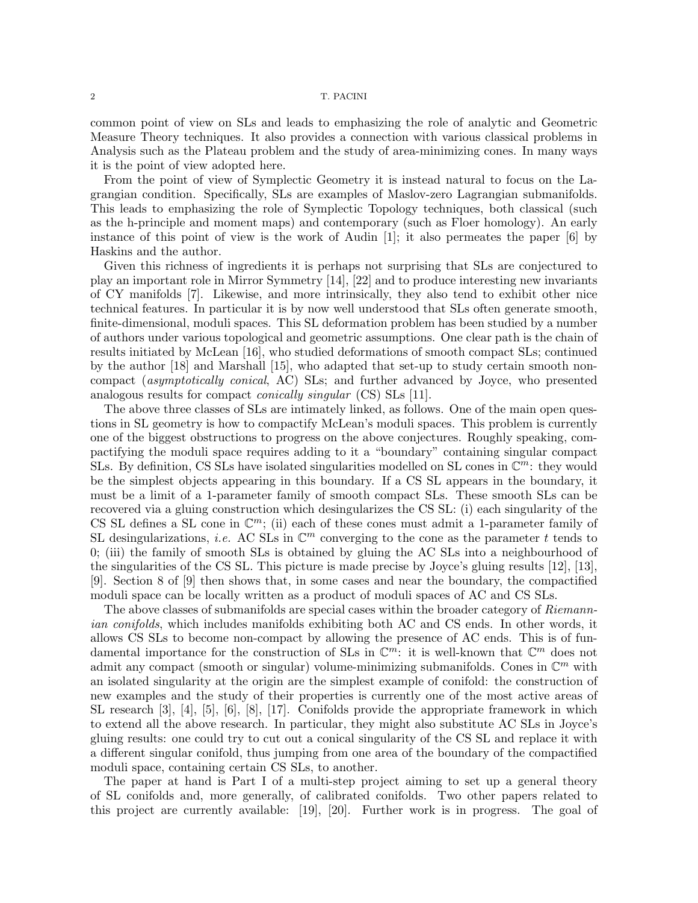common point of view on SLs and leads to emphasizing the role of analytic and Geometric Measure Theory techniques. It also provides a connection with various classical problems in Analysis such as the Plateau problem and the study of area-minimizing cones. In many ways it is the point of view adopted here.

From the point of view of Symplectic Geometry it is instead natural to focus on the Lagrangian condition. Specifically, SLs are examples of Maslov-zero Lagrangian submanifolds. This leads to emphasizing the role of Symplectic Topology techniques, both classical (such as the h-principle and moment maps) and contemporary (such as Floer homology). An early instance of this point of view is the work of Audin  $[1]$ ; it also permeates the paper  $[6]$  by Haskins and the author.

Given this richness of ingredients it is perhaps not surprising that SLs are conjectured to play an important role in Mirror Symmetry [14], [22] and to produce interesting new invariants of CY manifolds [7]. Likewise, and more intrinsically, they also tend to exhibit other nice technical features. In particular it is by now well understood that SLs often generate smooth, finite-dimensional, moduli spaces. This SL deformation problem has been studied by a number of authors under various topological and geometric assumptions. One clear path is the chain of results initiated by McLean [16], who studied deformations of smooth compact SLs; continued by the author [18] and Marshall [15], who adapted that set-up to study certain smooth noncompact (asymptotically conical, AC) SLs; and further advanced by Joyce, who presented analogous results for compact conically singular (CS) SLs [11].

The above three classes of SLs are intimately linked, as follows. One of the main open questions in SL geometry is how to compactify McLean's moduli spaces. This problem is currently one of the biggest obstructions to progress on the above conjectures. Roughly speaking, compactifying the moduli space requires adding to it a "boundary" containing singular compact SLs. By definition, CS SLs have isolated singularities modelled on SL cones in  $\mathbb{C}^m$ : they would be the simplest objects appearing in this boundary. If a CS SL appears in the boundary, it must be a limit of a 1-parameter family of smooth compact SLs. These smooth SLs can be recovered via a gluing construction which desingularizes the CS SL: (i) each singularity of the CS SL defines a SL cone in  $\mathbb{C}^m$ ; (ii) each of these cones must admit a 1-parameter family of SL desingularizations, *i.e.* AC SLs in  $\mathbb{C}^m$  converging to the cone as the parameter t tends to 0; (iii) the family of smooth SLs is obtained by gluing the AC SLs into a neighbourhood of the singularities of the CS SL. This picture is made precise by Joyce's gluing results [12], [13], [9]. Section 8 of [9] then shows that, in some cases and near the boundary, the compactified moduli space can be locally written as a product of moduli spaces of AC and CS SLs.

The above classes of submanifolds are special cases within the broader category of Riemannian conifolds, which includes manifolds exhibiting both AC and CS ends. In other words, it allows CS SLs to become non-compact by allowing the presence of AC ends. This is of fundamental importance for the construction of SLs in  $\mathbb{C}^m$ : it is well-known that  $\mathbb{C}^m$  does not admit any compact (smooth or singular) volume-minimizing submanifolds. Cones in  $\mathbb{C}^m$  with an isolated singularity at the origin are the simplest example of conifold: the construction of new examples and the study of their properties is currently one of the most active areas of SL research [3], [4], [5], [6], [8], [17]. Conifolds provide the appropriate framework in which to extend all the above research. In particular, they might also substitute AC SLs in Joyce's gluing results: one could try to cut out a conical singularity of the CS SL and replace it with a different singular conifold, thus jumping from one area of the boundary of the compactified moduli space, containing certain CS SLs, to another.

The paper at hand is Part I of a multi-step project aiming to set up a general theory of SL conifolds and, more generally, of calibrated conifolds. Two other papers related to this project are currently available: [19], [20]. Further work is in progress. The goal of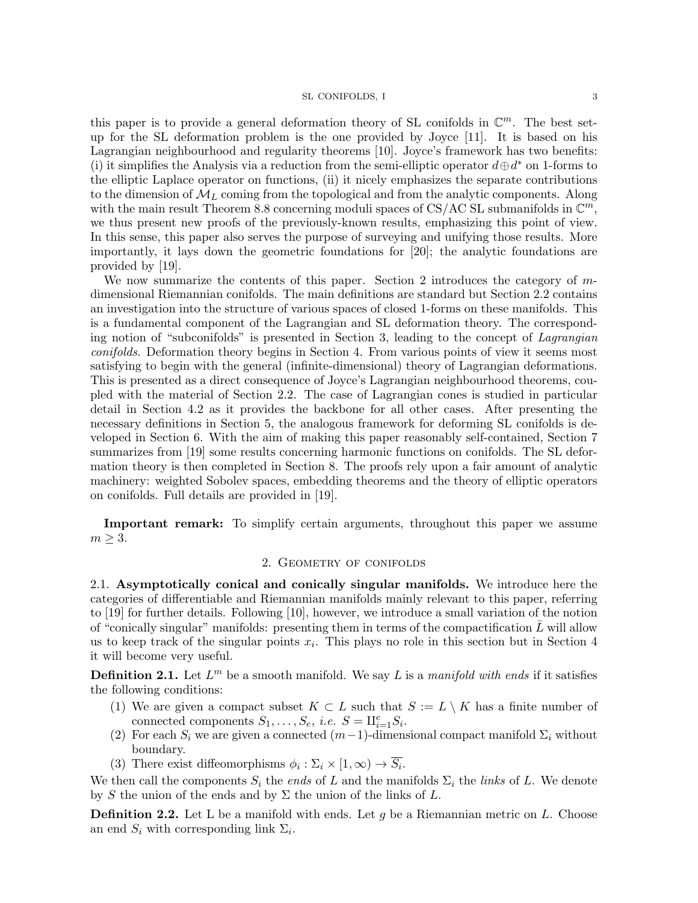this paper is to provide a general deformation theory of SL conifolds in  $\mathbb{C}^m$ . The best setup for the SL deformation problem is the one provided by Joyce [11]. It is based on his Lagrangian neighbourhood and regularity theorems [10]. Joyce's framework has two benefits: (i) it simplifies the Analysis via a reduction from the semi-elliptic operator  $d \oplus d^*$  on 1-forms to the elliptic Laplace operator on functions, (ii) it nicely emphasizes the separate contributions to the dimension of  $\mathcal{M}_L$  coming from the topological and from the analytic components. Along with the main result Theorem 8.8 concerning moduli spaces of CS/AC SL submanifolds in  $\mathbb{C}^m$ , we thus present new proofs of the previously-known results, emphasizing this point of view. In this sense, this paper also serves the purpose of surveying and unifying those results. More importantly, it lays down the geometric foundations for [20]; the analytic foundations are provided by [19].

We now summarize the contents of this paper. Section 2 introduces the category of mdimensional Riemannian conifolds. The main definitions are standard but Section 2.2 contains an investigation into the structure of various spaces of closed 1-forms on these manifolds. This is a fundamental component of the Lagrangian and SL deformation theory. The corresponding notion of "subconifolds" is presented in Section 3, leading to the concept of Lagrangian conifolds. Deformation theory begins in Section 4. From various points of view it seems most satisfying to begin with the general (infinite-dimensional) theory of Lagrangian deformations. This is presented as a direct consequence of Joyce's Lagrangian neighbourhood theorems, coupled with the material of Section 2.2. The case of Lagrangian cones is studied in particular detail in Section 4.2 as it provides the backbone for all other cases. After presenting the necessary definitions in Section 5, the analogous framework for deforming SL conifolds is developed in Section 6. With the aim of making this paper reasonably self-contained, Section 7 summarizes from [19] some results concerning harmonic functions on conifolds. The SL deformation theory is then completed in Section 8. The proofs rely upon a fair amount of analytic machinery: weighted Sobolev spaces, embedding theorems and the theory of elliptic operators on conifolds. Full details are provided in [19].

Important remark: To simplify certain arguments, throughout this paper we assume  $m \geq 3$ .

# 2. Geometry of conifolds

2.1. Asymptotically conical and conically singular manifolds. We introduce here the categories of differentiable and Riemannian manifolds mainly relevant to this paper, referring to [19] for further details. Following [10], however, we introduce a small variation of the notion of "conically singular" manifolds: presenting them in terms of the compactification  $\bar{L}$  will allow us to keep track of the singular points  $x_i$ . This plays no role in this section but in Section 4 it will become very useful.

**Definition 2.1.** Let  $L^m$  be a smooth manifold. We say L is a manifold with ends if it satisfies the following conditions:

- (1) We are given a compact subset  $K \subset L$  such that  $S := L \setminus K$  has a finite number of connected components  $S_1, \ldots, S_e$ , *i.e.*  $S = \amalg_{i=1}^e S_i$ .
- (2) For each  $S_i$  we are given a connected  $(m-1)$ -dimensional compact manifold  $\Sigma_i$  without boundary.
- (3) There exist diffeomorphisms  $\phi_i : \Sigma_i \times [1, \infty) \to S_i$ .

We then call the components  $S_i$  the *ends* of L and the manifolds  $\Sigma_i$  the *links* of L. We denote by S the union of the ends and by  $\Sigma$  the union of the links of L.

**Definition 2.2.** Let L be a manifold with ends. Let g be a Riemannian metric on L. Choose an end  $S_i$  with corresponding link  $\Sigma_i$ .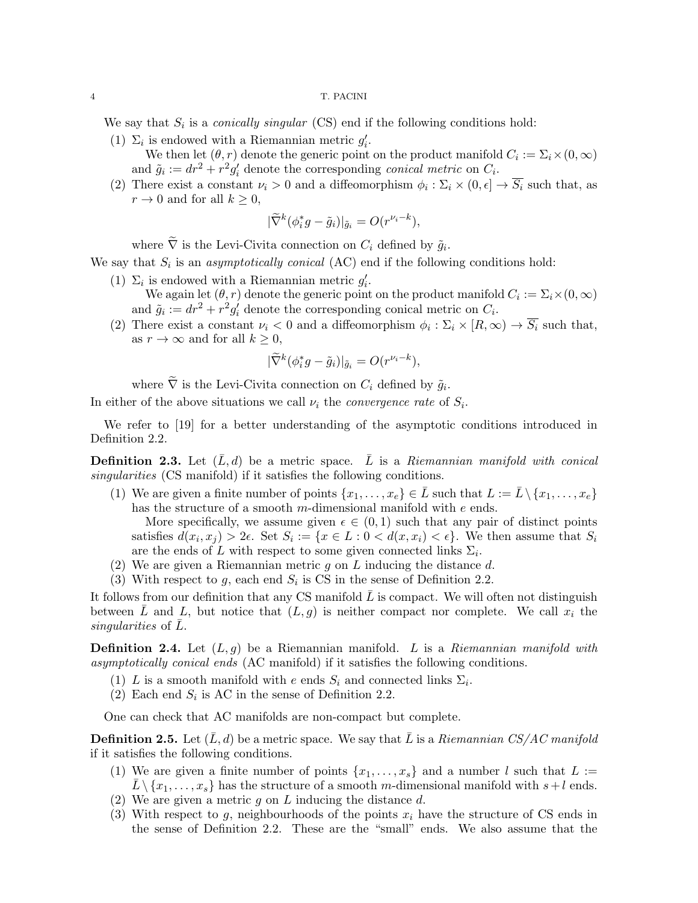We say that  $S_i$  is a *conically singular* (CS) end if the following conditions hold:

- (1)  $\Sigma_i$  is endowed with a Riemannian metric  $g'_i$ . We then let  $(\theta, r)$  denote the generic point on the product manifold  $C_i := \sum_i \times (0, \infty)$ 
	- and  $\tilde{g}_i := dr^2 + r^2 g'_i$  denote the corresponding *conical metric* on  $C_i$ .
- (2) There exist a constant  $\nu_i > 0$  and a diffeomorphism  $\phi_i : \Sigma_i \times (0, \epsilon] \to \overline{S_i}$  such that, as  $r \to 0$  and for all  $k \geq 0$ ,

$$
|\widetilde{\nabla}^k(\phi_i^*g - \tilde{g}_i)|_{\tilde{g}_i} = O(r^{\nu_i - k}),
$$

where  $\nabla$  is the Levi-Civita connection on  $C_i$  defined by  $\tilde{g}_i$ .

We say that  $S_i$  is an *asymptotically conical* (AC) end if the following conditions hold:

- (1)  $\Sigma_i$  is endowed with a Riemannian metric  $g'_i$ .
	- We again let  $(\theta, r)$  denote the generic point on the product manifold  $C_i := \Sigma_i \times (0, \infty)$ and  $\tilde{g}_i := dr^2 + r^2 g'_i$  denote the corresponding conical metric on  $C_i$ .
- (2) There exist a constant  $\nu_i < 0$  and a diffeomorphism  $\phi_i : \Sigma_i \times [R, \infty) \to \overline{S_i}$  such that, as  $r \to \infty$  and for all  $k \geq 0$ ,

$$
|\widetilde{\nabla}^k(\phi_i^*g - \tilde{g}_i)|_{\tilde{g}_i} = O(r^{\nu_i - k}),
$$

where  $\nabla$  is the Levi-Civita connection on  $C_i$  defined by  $\tilde{g}_i$ .

In either of the above situations we call  $\nu_i$  the *convergence rate* of  $S_i$ .

We refer to [19] for a better understanding of the asymptotic conditions introduced in Definition 2.2.

**Definition 2.3.** Let  $(\bar{L}, d)$  be a metric space.  $\bar{L}$  is a Riemannian manifold with conical singularities (CS manifold) if it satisfies the following conditions.

(1) We are given a finite number of points  $\{x_1, \ldots, x_e\} \in \overline{L}$  such that  $L := \overline{L} \setminus \{x_1, \ldots, x_e\}$ has the structure of a smooth m-dimensional manifold with e ends.

More specifically, we assume given  $\epsilon \in (0,1)$  such that any pair of distinct points satisfies  $d(x_i, x_j) > 2\epsilon$ . Set  $S_i := \{x \in L : 0 < d(x, x_i) < \epsilon\}$ . We then assume that  $S_i$ are the ends of L with respect to some given connected links  $\Sigma_i$ .

- (2) We are given a Riemannian metric q on L inducing the distance  $d$ .
- (3) With respect to g, each end  $S_i$  is CS in the sense of Definition 2.2.

It follows from our definition that any CS manifold  $\bar{L}$  is compact. We will often not distinguish between L and L, but notice that  $(L, g)$  is neither compact nor complete. We call  $x_i$  the singularities of  $L$ .

**Definition 2.4.** Let  $(L, g)$  be a Riemannian manifold. L is a Riemannian manifold with asymptotically conical ends (AC manifold) if it satisfies the following conditions.

- (1) L is a smooth manifold with e ends  $S_i$  and connected links  $\Sigma_i$ .
- (2) Each end  $S_i$  is AC in the sense of Definition 2.2.

One can check that AC manifolds are non-compact but complete.

**Definition 2.5.** Let  $(\bar{L}, d)$  be a metric space. We say that  $\bar{L}$  is a Riemannian CS/AC manifold if it satisfies the following conditions.

- (1) We are given a finite number of points  $\{x_1, \ldots, x_s\}$  and a number l such that  $L :=$  $L \setminus \{x_1, \ldots, x_s\}$  has the structure of a smooth m-dimensional manifold with  $s+l$  ends.
- (2) We are given a metric  $g$  on  $L$  inducing the distance  $d$ .
- (3) With respect to g, neighbourhoods of the points  $x_i$  have the structure of CS ends in the sense of Definition 2.2. These are the "small" ends. We also assume that the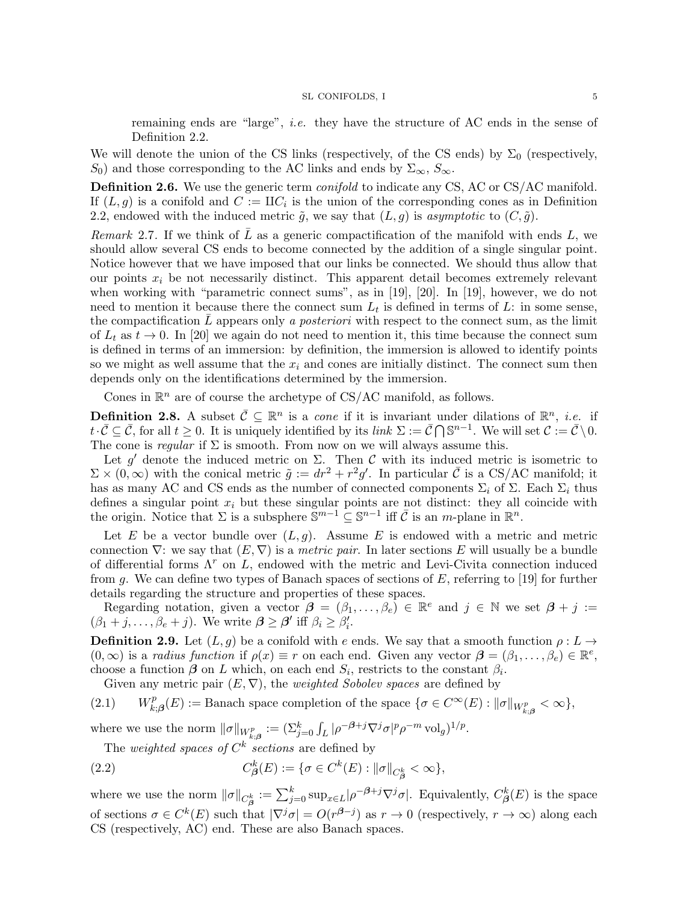remaining ends are "large", i.e. they have the structure of AC ends in the sense of Definition 2.2.

We will denote the union of the CS links (respectively, of the CS ends) by  $\Sigma_0$  (respectively, S<sub>0</sub>) and those corresponding to the AC links and ends by  $\Sigma_{\infty}$ ,  $S_{\infty}$ .

Definition 2.6. We use the generic term *conifold* to indicate any CS, AC or CS/AC manifold. If  $(L, g)$  is a conifold and  $C := \Pi C_i$  is the union of the corresponding cones as in Definition 2.2, endowed with the induced metric  $\tilde{g}$ , we say that  $(L, g)$  is asymptotic to  $(C, \tilde{g})$ .

Remark 2.7. If we think of L as a generic compactification of the manifold with ends L, we should allow several CS ends to become connected by the addition of a single singular point. Notice however that we have imposed that our links be connected. We should thus allow that our points  $x_i$  be not necessarily distinct. This apparent detail becomes extremely relevant when working with "parametric connect sums", as in [19], [20]. In [19], however, we do not need to mention it because there the connect sum  $L_t$  is defined in terms of L: in some sense, the compactification  $L$  appears only a *posteriori* with respect to the connect sum, as the limit of  $L_t$  as  $t \to 0$ . In [20] we again do not need to mention it, this time because the connect sum is defined in terms of an immersion: by definition, the immersion is allowed to identify points so we might as well assume that the  $x_i$  and cones are initially distinct. The connect sum then depends only on the identifications determined by the immersion.

Cones in  $\mathbb{R}^n$  are of course the archetype of CS/AC manifold, as follows.

**Definition 2.8.** A subset  $\bar{\mathcal{C}} \subseteq \mathbb{R}^n$  is a *cone* if it is invariant under dilations of  $\mathbb{R}^n$ , *i.e.* if  $t \cdot \overline{C} \subseteq \overline{C}$ , for all  $t \geq 0$ . It is uniquely identified by its *link*  $\Sigma := \overline{C} \cap \mathbb{S}^{n-1}$ . We will set  $C := \overline{C} \setminus 0$ . The cone is *regular* if  $\Sigma$  is smooth. From now on we will always assume this.

Let g' denote the induced metric on  $\Sigma$ . Then C with its induced metric is isometric to  $\Sigma \times (0, \infty)$  with the conical metric  $\tilde{g} := dr^2 + r^2 g'$ . In particular  $\overline{C}$  is a CS/AC manifold; it has as many AC and CS ends as the number of connected components  $\Sigma_i$  of  $\Sigma$ . Each  $\Sigma_i$  thus defines a singular point  $x_i$  but these singular points are not distinct: they all coincide with the origin. Notice that  $\Sigma$  is a subsphere  $\mathbb{S}^{m-1} \subseteq \mathbb{S}^{n-1}$  iff  $\overline{\mathcal{C}}$  is an m-plane in  $\mathbb{R}^n$ .

Let E be a vector bundle over  $(L, g)$ . Assume E is endowed with a metric and metric connection  $\nabla$ : we say that  $(E, \nabla)$  is a *metric pair*. In later sections E will usually be a bundle of differential forms  $\Lambda^r$  on L, endowed with the metric and Levi-Civita connection induced from g. We can define two types of Banach spaces of sections of  $E$ , referring to [19] for further details regarding the structure and properties of these spaces.

Regarding notation, given a vector  $\mathbf{\beta} = (\beta_1, \ldots, \beta_e) \in \mathbb{R}^e$  and  $j \in \mathbb{N}$  we set  $\mathbf{\beta} + j :=$  $(\beta_1 + j, \ldots, \beta_e + j)$ . We write  $\boldsymbol{\beta} \geq \boldsymbol{\beta}'$  iff  $\beta_i \geq \beta'_i$ .

**Definition 2.9.** Let  $(L, g)$  be a conifold with e ends. We say that a smooth function  $\rho: L \to$  $(0,\infty)$  is a radius function if  $\rho(x) \equiv r$  on each end. Given any vector  $\boldsymbol{\beta} = (\beta_1,\ldots,\beta_e) \in \mathbb{R}^e$ , choose a function  $\beta$  on L which, on each end  $S_i$ , restricts to the constant  $\beta_i$ .

Given any metric pair  $(E, \nabla)$ , the *weighted Sobolev spaces* are defined by

 $(2.1)$ p  $k_{k;\beta}^p(E) := \text{Banach space completion of the space } \{ \sigma \in C^\infty(E) : ||\sigma||_{W_{k;\beta}^p} < \infty \},$ 

where we use the norm  $\|\sigma\|_{W_{k;\boldsymbol{\beta}}^p} := (\sum_{j=0}^k \int_L |\rho^{-\boldsymbol{\beta}+j} \nabla^j \sigma|^p \rho^{-m} \operatorname{vol}_{g})^{1/p}$ .

The *weighted spaces of*  $C^k$  *sections* are defined by

(2.2) 
$$
C_{\beta}^{k}(E) := \{ \sigma \in C^{k}(E) : ||\sigma||_{C_{\beta}^{k}} < \infty \},
$$

where we use the norm  $\|\sigma\|_{C^k_{\beta}} := \sum_{j=0}^k \sup_{x \in L} |\rho^{-\beta+j} \nabla^j \sigma|$ . Equivalently,  $C^k_{\beta}(E)$  is the space of sections  $\sigma \in C^k(E)$  such that  $|\nabla^j \sigma| = O(r^{\beta-j})$  as  $r \to 0$  (respectively,  $r \to \infty$ ) along each CS (respectively, AC) end. These are also Banach spaces.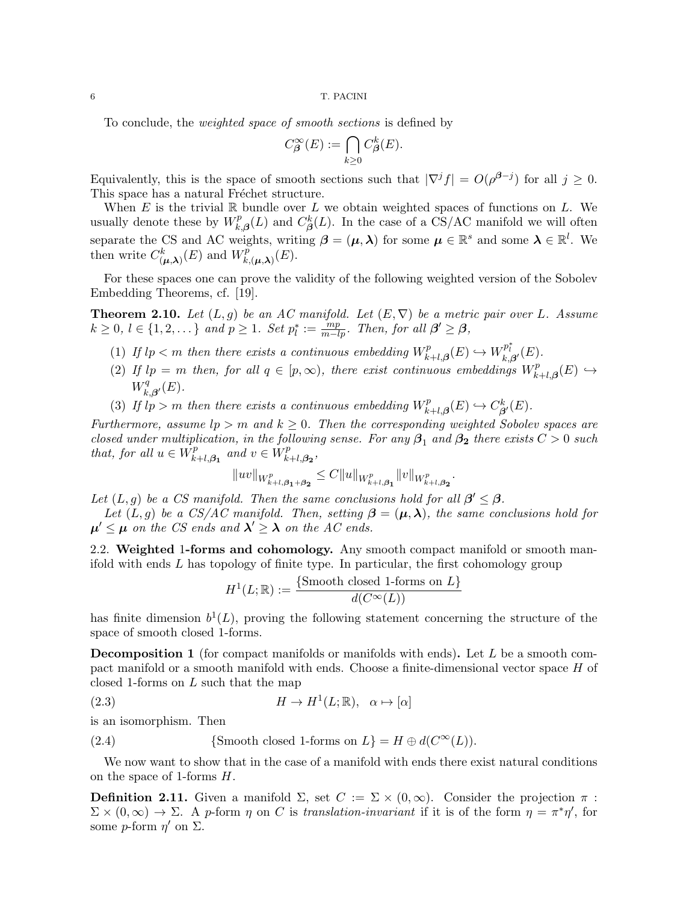To conclude, the weighted space of smooth sections is defined by

$$
C^{\infty}_{\beta}(E) := \bigcap_{k \ge 0} C^{k}_{\beta}(E).
$$

Equivalently, this is the space of smooth sections such that  $|\nabla^j f| = O(\rho^{\beta-j})$  for all  $j \geq 0$ . This space has a natural Fréchet structure.

When  $E$  is the trivial  $\mathbb R$  bundle over  $L$  we obtain weighted spaces of functions on  $L$ . We usually denote these by  $W_k^p$  $\int_{k,\beta}^p(L)$  and  $C_{\beta}^k(L)$ . In the case of a CS/AC manifold we will often separate the CS and AC weights, writing  $\beta = (\mu, \lambda)$  for some  $\mu \in \mathbb{R}^s$  and some  $\lambda \in \mathbb{R}^l$ . We then write  $C_{(\mu,\lambda)}^k(E)$  and  $W_k^p$  $E^p_{k,(\boldsymbol{\mu},\boldsymbol{\lambda})}(E).$ 

For these spaces one can prove the validity of the following weighted version of the Sobolev Embedding Theorems, cf. [19].

**Theorem 2.10.** Let  $(L, g)$  be an AC manifold. Let  $(E, \nabla)$  be a metric pair over L. Assume  $k \geq 0, l \in \{1, 2, \dots\}$  and  $p \geq 1$ . Set  $p_l^* := \frac{mp}{m-lp}$ . Then, for all  $\beta' \geq \beta$ ,

- (1) If  $lp < m$  then there exists a continuous embedding  $W_{\mu}^{p}$  $k+1,\beta(E) \hookrightarrow W^{p_i^*}_{k,\beta'}(E).$
- (2) If  $lp = m$  then, for all  $q \in [p, \infty)$ , there exist continuous embeddings  $W_k^p$ .  $f_{k+l, \boldsymbol{\beta}}^p(E) \hookrightarrow$  $W^q_{\mu}$  $\chi^q_{k,\boldsymbol{\beta}'}(E).$
- (3) If  $l_p > m$  then there exists a continuous embedding  $W_p^p$ .  $C_{\beta}^{p}(E) \hookrightarrow C_{\beta}^{k}$  $^k_{\boldsymbol{\beta}'}(E).$

Furthermore, assume  $lp > m$  and  $k \geq 0$ . Then the corresponding weighted Sobolev spaces are closed under multiplication, in the following sense. For any  $\beta_1$  and  $\beta_2$  there exists  $C > 0$  such that, for all  $u \in W_F^p$  $\sum_{k+l,\beta_1}^{p}$  and  $v \in W_k^p$  $_{k+l,\boldsymbol{\beta_{2}}}^{p},$ 

$$
||uv||_{W^p_{k+l,\beta_1+\beta_2}} \leq C||u||_{W^p_{k+l,\beta_1}}||v||_{W^p_{k+l,\beta_2}}.
$$

Let  $(L, g)$  be a CS manifold. Then the same conclusions hold for all  $\beta' \leq \beta$ .

Let  $(L, g)$  be a CS/AC manifold. Then, setting  $\beta = (\mu, \lambda)$ , the same conclusions hold for  $\mu' \leq \mu$  on the CS ends and  $\lambda' \geq \lambda$  on the AC ends.

2.2. Weighted 1-forms and cohomology. Any smooth compact manifold or smooth manifold with ends L has topology of finite type. In particular, the first cohomology group

$$
H^{1}(L; \mathbb{R}) := \frac{\{\text{Smooth closed 1-forms on } L\}}{d(C^{\infty}(L))}
$$

has finite dimension  $b^1(L)$ , proving the following statement concerning the structure of the space of smooth closed 1-forms.

**Decomposition 1** (for compact manifolds or manifolds with ends). Let  $L$  be a smooth compact manifold or a smooth manifold with ends. Choose a finite-dimensional vector space H of closed 1-forms on L such that the map

(2.3) 
$$
H \to H^1(L; \mathbb{R}), \quad \alpha \mapsto [\alpha]
$$

is an isomorphism. Then

(2.4) {Smooth closed 1-forms on 
$$
L
$$
} =  $H \oplus d(C^{\infty}(L))$ .

We now want to show that in the case of a manifold with ends there exist natural conditions on the space of 1-forms H.

**Definition 2.11.** Given a manifold  $\Sigma$ , set  $C := \Sigma \times (0, \infty)$ . Consider the projection  $\pi$ :  $\Sigma \times (0,\infty) \to \Sigma$ . A p-form  $\eta$  on C is translation-invariant if it is of the form  $\eta = \pi^* \eta'$ , for some *p*-form  $\eta'$  on  $\Sigma$ .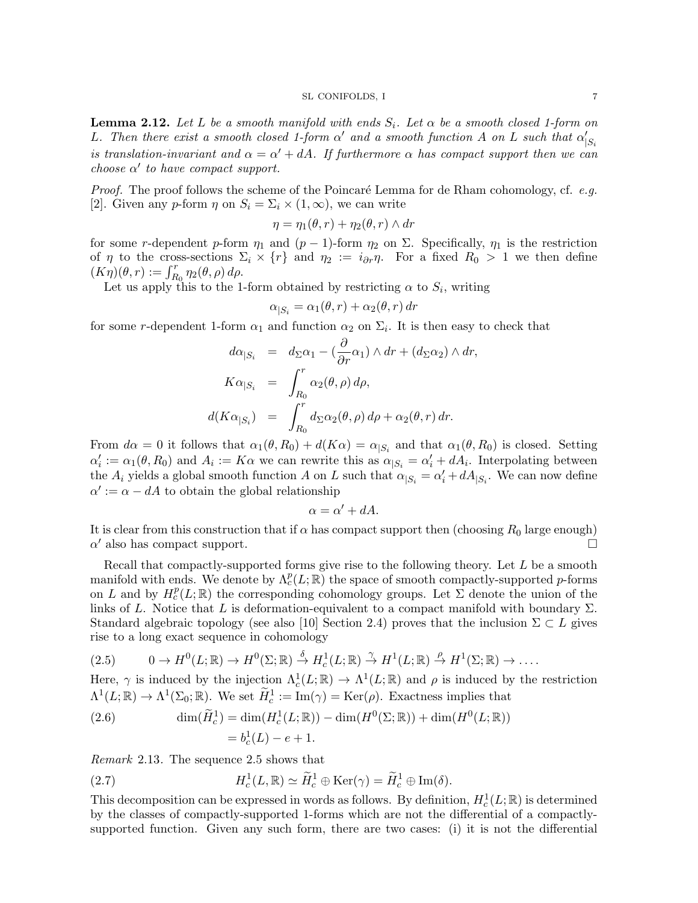**Lemma 2.12.** Let L be a smooth manifold with ends  $S_i$ . Let  $\alpha$  be a smooth closed 1-form on L. Then there exist a smooth closed 1-form  $\alpha'$  and a smooth function A on L such that  $\alpha'_{|S_i}$ is translation-invariant and  $\alpha = \alpha' + dA$ . If furthermore  $\alpha$  has compact support then we can choose  $\alpha'$  to have compact support.

*Proof.* The proof follows the scheme of the Poincaré Lemma for de Rham cohomology, cf. e.g. [2]. Given any p-form  $\eta$  on  $S_i = \Sigma_i \times (1,\infty)$ , we can write

$$
\eta = \eta_1(\theta, r) + \eta_2(\theta, r) \wedge dr
$$

for some r-dependent p-form  $\eta_1$  and  $(p-1)$ -form  $\eta_2$  on  $\Sigma$ . Specifically,  $\eta_1$  is the restriction of  $\eta$  to the cross-sections  $\Sigma_i \times \{r\}$  and  $\eta_2 := i_{\partial r} \eta$ . For a fixed  $R_0 > 1$  we then define  $(K\eta)(\theta, r) := \int_{R_0}^r \eta_2(\theta, \rho) d\rho.$ 

Let us apply this to the 1-form obtained by restricting  $\alpha$  to  $S_i$ , writing

$$
\alpha_{|S_i} = \alpha_1(\theta, r) + \alpha_2(\theta, r) dr
$$

for some r-dependent 1-form  $\alpha_1$  and function  $\alpha_2$  on  $\Sigma_i$ . It is then easy to check that

$$
d\alpha_{|S_i} = d_{\Sigma}\alpha_1 - (\frac{\partial}{\partial r}\alpha_1) \wedge dr + (d_{\Sigma}\alpha_2) \wedge dr,
$$
  
\n
$$
K\alpha_{|S_i} = \int_{R_0}^r \alpha_2(\theta, \rho) d\rho,
$$
  
\n
$$
d(K\alpha_{|S_i}) = \int_{R_0}^r d_{\Sigma}\alpha_2(\theta, \rho) d\rho + \alpha_2(\theta, r) dr.
$$

From  $d\alpha = 0$  it follows that  $\alpha_1(\theta, R_0) + d(K\alpha) = \alpha_{|S_i|}$  and that  $\alpha_1(\theta, R_0)$  is closed. Setting  $\alpha'_i := \alpha_1(\theta, R_0)$  and  $A_i := K\alpha$  we can rewrite this as  $\alpha_{|S_i} = \alpha'_i + dA_i$ . Interpolating between the  $A_i$  yields a global smooth function A on L such that  $\alpha_{|S_i} = \alpha'_i + dA_{|S_i}$ . We can now define  $\alpha' := \alpha - dA$  to obtain the global relationship

$$
\alpha = \alpha' + dA.
$$

It is clear from this construction that if  $\alpha$  has compact support then (choosing  $R_0$  large enough)  $\alpha'$  also has compact support.

Recall that compactly-supported forms give rise to the following theory. Let  $L$  be a smooth manifold with ends. We denote by  $\Lambda_c^p(L;\mathbb{R})$  the space of smooth compactly-supported p-forms on L and by  $H_c^p(L;\mathbb{R})$  the corresponding cohomology groups. Let  $\Sigma$  denote the union of the links of L. Notice that L is deformation-equivalent to a compact manifold with boundary  $\Sigma$ . Standard algebraic topology (see also [10] Section 2.4) proves that the inclusion  $\Sigma \subset L$  gives rise to a long exact sequence in cohomology

$$
(2.5) \t 0 \to H^0(L; \mathbb{R}) \to H^0(\Sigma; \mathbb{R}) \stackrel{\delta}{\to} H^1_c(L; \mathbb{R}) \stackrel{\gamma}{\to} H^1(L; \mathbb{R}) \stackrel{\rho}{\to} H^1(\Sigma; \mathbb{R}) \to \dots
$$

Here,  $\gamma$  is induced by the injection  $\Lambda_c^1(L;\mathbb{R}) \to \Lambda^1(L;\mathbb{R})$  and  $\rho$  is induced by the restriction  $\Lambda^1(L;\mathbb{R}) \to \Lambda^1(\Sigma_0;\mathbb{R})$ . We set  $\widetilde{H}_c^1 := \text{Im}(\gamma) = \text{Ker}(\rho)$ . Exactness implies that

(2.6) 
$$
\dim(\widetilde{H}_c^1) = \dim(H_c^1(L; \mathbb{R})) - \dim(H^0(\Sigma; \mathbb{R})) + \dim(H^0(L; \mathbb{R}))
$$

$$
= b_c^1(L) - e + 1.
$$

Remark 2.13. The sequence 2.5 shows that

(2.7) 
$$
H_c^1(L,\mathbb{R}) \simeq \widetilde{H}_c^1 \oplus \text{Ker}(\gamma) = \widetilde{H}_c^1 \oplus \text{Im}(\delta).
$$

This decomposition can be expressed in words as follows. By definition,  $H_c^1(L;\mathbb{R})$  is determined by the classes of compactly-supported 1-forms which are not the differential of a compactlysupported function. Given any such form, there are two cases: (i) it is not the differential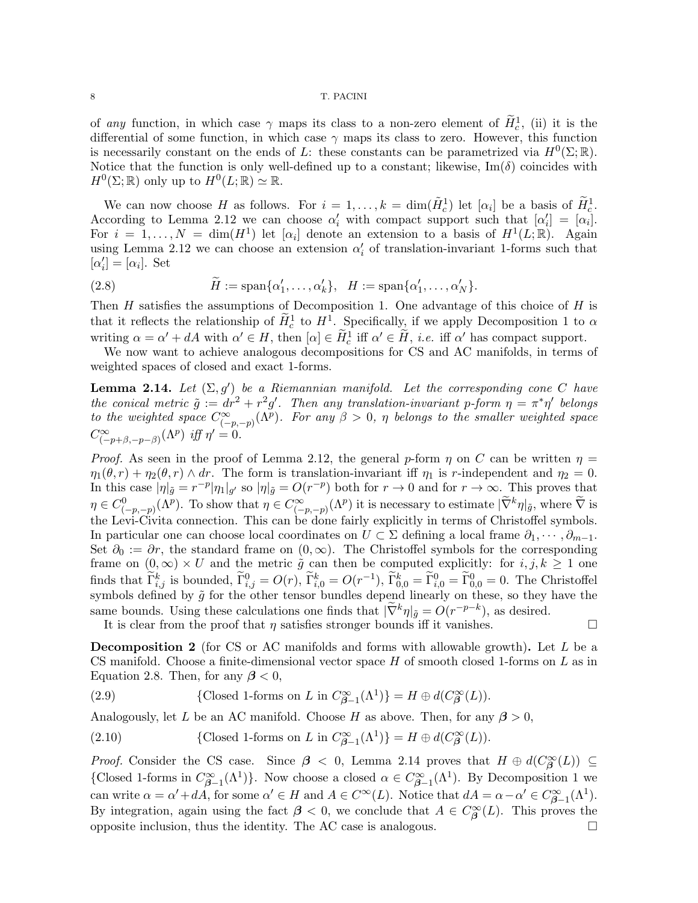of *any* function, in which case  $\gamma$  maps its class to a non-zero element of  $\tilde{H}_c^1$ , (ii) it is the differential of some function, in which case  $\gamma$  maps its class to zero. However, this function is necessarily constant on the ends of L: these constants can be parametrized via  $H^0(\Sigma;\mathbb{R})$ . Notice that the function is only well-defined up to a constant; likewise,  $\text{Im}(\delta)$  coincides with  $H^0(\Sigma;\mathbb{R})$  only up to  $H^0(L;\mathbb{R}) \simeq \mathbb{R}$ .

We can now choose H as follows. For  $i = 1, ..., k = \dim(\tilde{H}_c^1)$  let  $[\alpha_i]$  be a basis of  $\tilde{H}_c^1$ . According to Lemma 2.12 we can choose  $\alpha'_i$  with compact support such that  $[\alpha'_i] = [\alpha_i]$ . For  $i = 1, ..., N = \dim(H^1)$  let  $[\alpha_i]$  denote an extension to a basis of  $H^1(L;\mathbb{R})$ . Again using Lemma 2.12 we can choose an extension  $\alpha'_{i}$  of translation-invariant 1-forms such that  $[\alpha'_i] = [\alpha_i]$ . Set

(2.8) 
$$
\widetilde{H} := \text{span}\{\alpha'_1, \dots, \alpha'_k\}, \quad H := \text{span}\{\alpha'_1, \dots, \alpha'_N\}.
$$

Then  $H$  satisfies the assumptions of Decomposition 1. One advantage of this choice of  $H$  is that it reflects the relationship of  $\tilde{H}_c^1$  to  $H^1$ . Specifically, if we apply Decomposition 1 to  $\alpha$ writing  $\alpha = \alpha' + dA$  with  $\alpha' \in H$ , then  $[\alpha] \in \widetilde{H}_c^1$  iff  $\alpha' \in \widetilde{H}$ , *i.e.* iff  $\alpha'$  has compact support.

We now want to achieve analogous decompositions for CS and AC manifolds, in terms of weighted spaces of closed and exact 1-forms.

**Lemma 2.14.** Let  $(\Sigma, g')$  be a Riemannian manifold. Let the corresponding cone C have the conical metric  $\tilde{g} := dr^2 + r^2g'$ . Then any translation-invariant p-form  $\eta = \pi^* \eta'$  belongs to the weighted space  $C^{\infty}_{(-p,-p)}(\Lambda^p)$ . For any  $\beta > 0$ ,  $\eta$  belongs to the smaller weighted space  $C^{\infty}_{(-p+\beta,-p-\beta)}(\Lambda^p)$  iff  $\eta'=0$ .

*Proof.* As seen in the proof of Lemma 2.12, the general p-form  $\eta$  on C can be written  $\eta$  =  $\eta_1(\theta, r) + \eta_2(\theta, r) \wedge dr$ . The form is translation-invariant iff  $\eta_1$  is r-independent and  $\eta_2 = 0$ . In this case  $|\eta|_{\tilde{g}} = r^{-p} |\eta_1|_{g'}$  so  $|\eta|_{\tilde{g}} = O(r^{-p})$  both for  $r \to 0$  and for  $r \to \infty$ . This proves that  $\eta \in C^0_{(-p,-p)}(\Lambda^p)$ . To show that  $\eta \in C^{\infty}_{(-p,-p)}(\Lambda^p)$  it is necessary to estimate  $|\widetilde{\nabla}^k \eta|_{\tilde{g}}$ , where  $\widetilde{\nabla}$  is the Levi-Civita connection. This can be done fairly explicitly in terms of Christoffel symbols. In particular one can choose local coordinates on  $U \subset \Sigma$  defining a local frame  $\partial_1, \cdots, \partial_{m-1}$ . Set  $\partial_0 := \partial r$ , the standard frame on  $(0, \infty)$ . The Christoffel symbols for the corresponding frame on  $(0, \infty) \times U$  and the metric  $\tilde{g}$  can then be computed explicitly: for  $i, j, k \geq 1$  one finds that  $\widetilde{\Gamma}_{i,j}^k$  is bounded,  $\widetilde{\Gamma}_{i,j}^0 = O(r)$ ,  $\widetilde{\Gamma}_{i,0}^k = O(r^{-1})$ ,  $\widetilde{\Gamma}_{0,0}^k = \widetilde{\Gamma}_{i,0}^0 = \widetilde{\Gamma}_{0,0}^0 = 0$ . The Christoffel symbols defined by  $\tilde{g}$  for the other tensor bundles depend linearly on these, so they have the same bounds. Using these calculations one finds that  $|\nabla^k \eta|_{\tilde{g}} = O(r^{-p-k})$ , as desired.

It is clear from the proof that  $\eta$  satisfies stronger bounds iff it vanishes.  $\Box$ 

Decomposition 2 (for CS or AC manifolds and forms with allowable growth). Let L be a CS manifold. Choose a finite-dimensional vector space  $H$  of smooth closed 1-forms on  $L$  as in Equation 2.8. Then, for any  $\beta < 0$ ,

(2.9) {Closed 1-forms on L in  $C^{\infty}_{\beta-1}(\Lambda^1)$ } =  $H \oplus d(C^{\infty}_{\beta}(L))$ .

Analogously, let L be an AC manifold. Choose H as above. Then, for any  $\beta > 0$ ,

(2.10) {Closed 1-forms on L in  $C^{\infty}_{\beta-1}(\Lambda^1)$ } =  $H \oplus d(C^{\infty}_{\beta}(L))$ .

*Proof.* Consider the CS case. Since  $\beta$  < 0, Lemma 2.14 proves that  $H \oplus d(C^{\infty}_{\beta}(L)) \subseteq$ {Closed 1-forms in  $C^{\infty}_{\beta-1}(\Lambda^1)$ }. Now choose a closed  $\alpha \in C^{\infty}_{\beta-1}(\Lambda^1)$ . By Decomposition 1 we can write  $\alpha = \alpha' + dA$ , for some  $\alpha' \in H$  and  $A \in C^{\infty}(L)$ . Notice that  $dA = \alpha - \alpha' \in C^{\infty}_{\beta-1}(\Lambda^1)$ . By integration, again using the fact  $\beta < 0$ , we conclude that  $A \in C^{\infty}_{\beta}(L)$ . This proves the opposite inclusion, thus the identity. The AC case is analogous.  $\Box$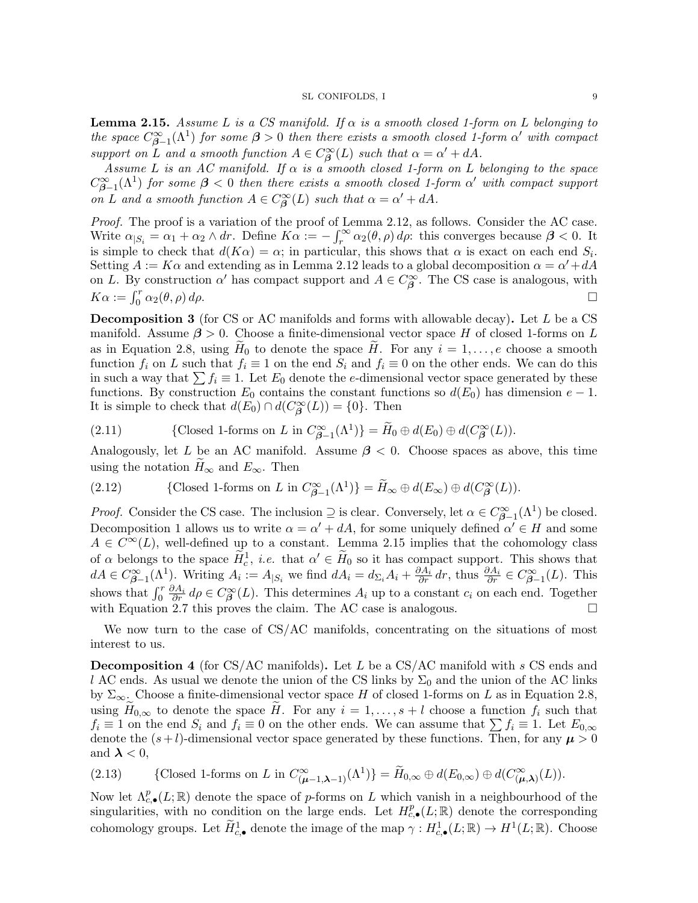**Lemma 2.15.** Assume L is a CS manifold. If  $\alpha$  is a smooth closed 1-form on L belonging to the space  $C^{\infty}_{\beta-1}(\Lambda^1)$  for some  $\beta > 0$  then there exists a smooth closed 1-form  $\alpha'$  with compact support on L and a smooth function  $A \in C^{\infty}_{\beta}(L)$  such that  $\alpha = \alpha' + dA$ .

Assume L is an AC manifold. If  $\alpha$  is a smooth closed 1-form on L belonging to the space  $C^{\infty}_{\beta-1}(\Lambda^1)$  for some  $\beta < 0$  then there exists a smooth closed 1-form  $\alpha'$  with compact support on L and a smooth function  $A \in C^{\infty}_{\beta}(L)$  such that  $\alpha = \alpha' + dA$ .

Proof. The proof is a variation of the proof of Lemma 2.12, as follows. Consider the AC case. Write  $\alpha_{|S_i} = \alpha_1 + \alpha_2 \wedge dr$ . Define  $K\alpha := -\int_r^{\infty} \alpha_2(\theta, \rho) d\rho$ : this converges because  $\beta < 0$ . It is simple to check that  $d(K\alpha) = \alpha$ ; in particular, this shows that  $\alpha$  is exact on each end  $S_i$ . Setting  $A := K\alpha$  and extending as in Lemma 2.12 leads to a global decomposition  $\alpha = \alpha' + dA$ on L. By construction  $\alpha'$  has compact support and  $A \in C^{\infty}_{\beta}$ . The CS case is analogous, with  $K\alpha := \int_0^r \alpha_2(\theta, \rho) d\rho.$ 

**Decomposition 3** (for CS or AC manifolds and forms with allowable decay). Let  $L$  be a CS manifold. Assume  $\beta > 0$ . Choose a finite-dimensional vector space H of closed 1-forms on L as in Equation 2.8, using  $H_0$  to denote the space H. For any  $i = 1, \ldots, e$  choose a smooth function  $f_i$  on L such that  $f_i \equiv 1$  on the end  $S_i$  and  $f_i \equiv 0$  on the other ends. We can do this in such a way that  $\sum f_i \equiv 1$ . Let  $E_0$  denote the e-dimensional vector space generated by these functions. By construction  $E_0$  contains the constant functions so  $d(E_0)$  has dimension  $e-1$ . It is simple to check that  $d(E_0) \cap d(C^{\infty}_{\beta}(L)) = \{0\}$ . Then

(2.11) {Closed 1-forms on 
$$
L
$$
 in  $C^{\infty}_{\beta-1}(\Lambda^1)$ } =  $\widetilde{H}_0 \oplus d(E_0) \oplus d(C^{\infty}_{\beta}(L))$ .

Analogously, let L be an AC manifold. Assume  $\beta$  < 0. Choose spaces as above, this time using the notation  $H_{\infty}$  and  $E_{\infty}$ . Then

(2.12) {Closed 1-forms on L in 
$$
C_{\beta-1}^{\infty}(\Lambda^1)
$$
} =  $\widetilde{H}_{\infty} \oplus d(E_{\infty}) \oplus d(C_{\beta}^{\infty}(L))$ .

*Proof.* Consider the CS case. The inclusion  $\supseteq$  is clear. Conversely, let  $\alpha \in C^{\infty}_{\beta-1}(\Lambda^1)$  be closed. Decomposition 1 allows us to write  $\alpha = \alpha' + dA$ , for some uniquely defined  $\alpha' \in H$  and some  $A \in C^{\infty}(L)$ , well-defined up to a constant. Lemma 2.15 implies that the cohomology class of  $\alpha$  belongs to the space  $\tilde{H}_c^1$ , i.e. that  $\alpha' \in \tilde{H}_0$  so it has compact support. This shows that  $dA \in C^{\infty}_{\beta-1}(\Lambda^1)$ . Writing  $A_i := A_{|S_i|}$  we find  $dA_i = d_{\Sigma_i}A_i + \frac{\partial A_i}{\partial r}dr$ , thus  $\frac{\partial A_i}{\partial r} \in C^{\infty}_{\beta-1}(L)$ . This shows that  $\int_0^r \frac{\partial A_i}{\partial r} d\rho \in C^{\infty}_{\beta}(L)$ . This determines  $A_i$  up to a constant  $c_i$  on each end. Together with Equation 2.7 this proves the claim. The AC case is analogous.  $\Box$ 

We now turn to the case of CS/AC manifolds, concentrating on the situations of most interest to us.

**Decomposition 4** (for CS/AC manifolds). Let L be a CS/AC manifold with s CS ends and l AC ends. As usual we denote the union of the CS links by  $\Sigma_0$  and the union of the AC links by  $\Sigma_{\infty}$ . Choose a finite-dimensional vector space H of closed 1-forms on L as in Equation 2.8, using  $\widetilde{H}_{0,\infty}$  to denote the space  $\widetilde{H}$ . For any  $i = 1, \ldots, s + l$  choose a function  $f_i$  such that  $f_i \equiv 1$  on the end  $S_i$  and  $f_i \equiv 0$  on the other ends. We can assume that  $\sum f_i \equiv 1$ . Let  $E_{0,\infty}$ denote the  $(s + l)$ -dimensional vector space generated by these functions. Then, for any  $\mu > 0$ and  $\lambda < 0$ ,

(2.13) {Closed 1-forms on L in 
$$
C^{\infty}_{(\mu-1,\lambda-1)}(\Lambda^1)
$$
} =  $\widetilde{H}_{0,\infty} \oplus d(E_{0,\infty}) \oplus d(C^{\infty}_{(\mu,\lambda)}(L))$ .

Now let  $\Lambda_{c,\bullet}^p(L;\mathbb{R})$  denote the space of p-forms on L which vanish in a neighbourhood of the singularities, with no condition on the large ends. Let  $H_{c,\bullet}^p(L;\mathbb{R})$  denote the corresponding cohomology groups. Let  $\widetilde{H}_{c,\bullet}^1$  denote the image of the map  $\gamma: H_{c,\bullet}^1(L;\mathbb{R}) \to H^1(L;\mathbb{R})$ . Choose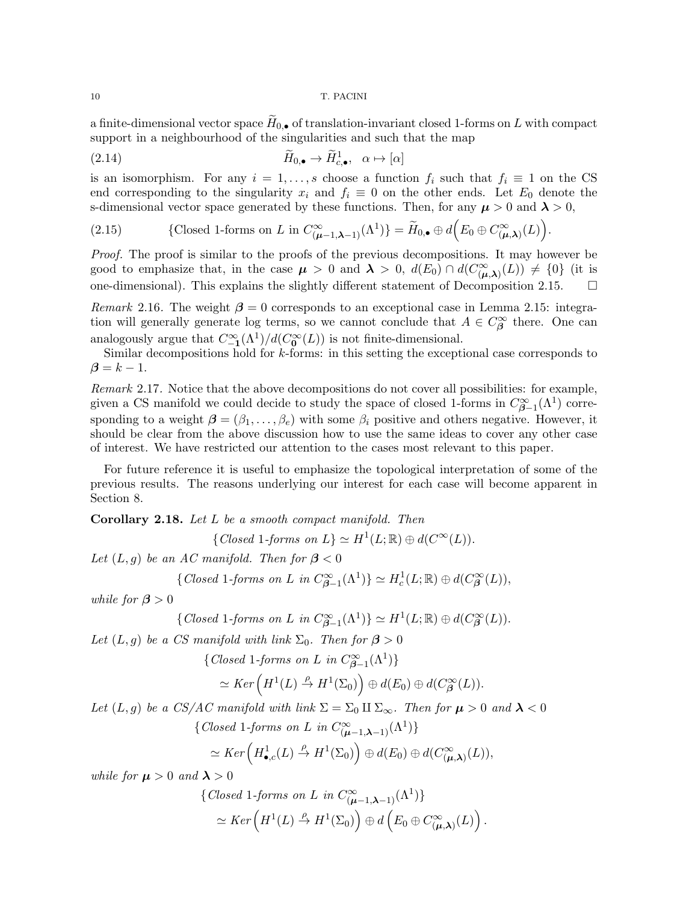a finite-dimensional vector space  $H_{0,\bullet}$  of translation-invariant closed 1-forms on L with compact support in a neighbourhood of the singularities and such that the map

(2.14) 
$$
\widetilde{H}_{0,\bullet} \to \widetilde{H}_{c,\bullet}^1, \quad \alpha \mapsto [\alpha]
$$

is an isomorphism. For any  $i = 1, \ldots, s$  choose a function  $f_i$  such that  $f_i \equiv 1$  on the CS end corresponding to the singularity  $x_i$  and  $f_i \equiv 0$  on the other ends. Let  $E_0$  denote the s-dimensional vector space generated by these functions. Then, for any  $\mu > 0$  and  $\lambda > 0$ ,

(2.15) {Closed 1-forms on 
$$
L
$$
 in  $C^{\infty}_{(\mu-1,\lambda-1)}(\Lambda^1)$ } =  $\widetilde{H}_{0,\bullet} \oplus d(E_0 \oplus C^{\infty}_{(\mu,\lambda)}(L)).$ 

Proof. The proof is similar to the proofs of the previous decompositions. It may however be good to emphasize that, in the case  $\mu > 0$  and  $\lambda > 0$ ,  $d(E_0) \cap d(C^{\infty}_{(\mu,\lambda)}(L)) \neq \{0\}$  (it is one-dimensional). This explains the slightly different statement of Decomposition 2.15.  $\Box$ 

Remark 2.16. The weight  $\beta = 0$  corresponds to an exceptional case in Lemma 2.15: integration will generally generate log terms, so we cannot conclude that  $A \in C^{\infty}_{\beta}$  there. One can analogously argue that  $C^{\infty}_{-1}(\Lambda^1)/d(C^{\infty}_0(L))$  is not finite-dimensional.

Similar decompositions hold for k-forms: in this setting the exceptional case corresponds to  $\beta = k - 1$ .

Remark 2.17. Notice that the above decompositions do not cover all possibilities: for example, given a CS manifold we could decide to study the space of closed 1-forms in  $C^{\infty}_{\beta-1}(\Lambda^1)$  corresponding to a weight  $\boldsymbol{\beta} = (\beta_1, \dots, \beta_e)$  with some  $\beta_i$  positive and others negative. However, it should be clear from the above discussion how to use the same ideas to cover any other case of interest. We have restricted our attention to the cases most relevant to this paper.

For future reference it is useful to emphasize the topological interpretation of some of the previous results. The reasons underlying our interest for each case will become apparent in Section 8.

Corollary 2.18. Let L be a smooth compact manifold. Then

 $\{Closed\ 1-forms\ on\ L\} \simeq H^1(L;\mathbb{R}) \oplus d(C^{\infty}(L)).$ 

Let  $(L, g)$  be an AC manifold. Then for  $\beta < 0$ 

{Closed 1-forms on L in 
$$
C^{\infty}_{\beta-1}(\Lambda^1)
$$
}  $\simeq H_c^1(L; \mathbb{R}) \oplus d(C^{\infty}_{\beta}(L)),$ 

while for  $\beta > 0$ 

{Closed 1-forms on L in 
$$
C^{\infty}_{\beta-1}(\Lambda^1)
$$
}  $\simeq H^1(L; \mathbb{R}) \oplus d(C^{\infty}_{\beta}(L))$ .

Let  $(L, g)$  be a CS manifold with link  $\Sigma_0$ . Then for  $\beta > 0$ 

{Closed 1-forms on L in  $C^{\infty}_{\beta-1}(\Lambda^1)$ }

$$
\simeq Ker\left(H^1(L) \stackrel{\rho}{\to} H^1(\Sigma_0)\right) \oplus d(E_0) \oplus d(C^{\infty}_{\beta}(L)).
$$

Let  $(L, g)$  be a CS/AC manifold with link  $\Sigma = \Sigma_0 \amalg \Sigma_{\infty}$ . Then for  $\mu > 0$  and  $\lambda < 0$ 

 $\{Closed\ 1-forms\ on\ L\ in\ C_{(\mu-1,\lambda-1)}^{\infty}(\Lambda^1)\}$ 

$$
\simeq Ker\left(H^1_{\bullet,c}(L) \stackrel{\rho}{\to} H^1(\Sigma_0)\right) \oplus d(E_0) \oplus d(C_{(\mu,\lambda)}^{\infty}(L)),
$$

while for  $\mu > 0$  and  $\lambda > 0$ 

$$
\{ Closed\ 1-forms\ on\ L\ in\ C^{\infty}_{(\mu-1,\lambda-1)}(\Lambda^1) \}
$$

$$
\simeq Ker\left(H^1(L) \stackrel{\rho}{\to} H^1(\Sigma_0)\right) \oplus d\left(E_0 \oplus C^{\infty}_{(\mu,\lambda)}(L)\right).
$$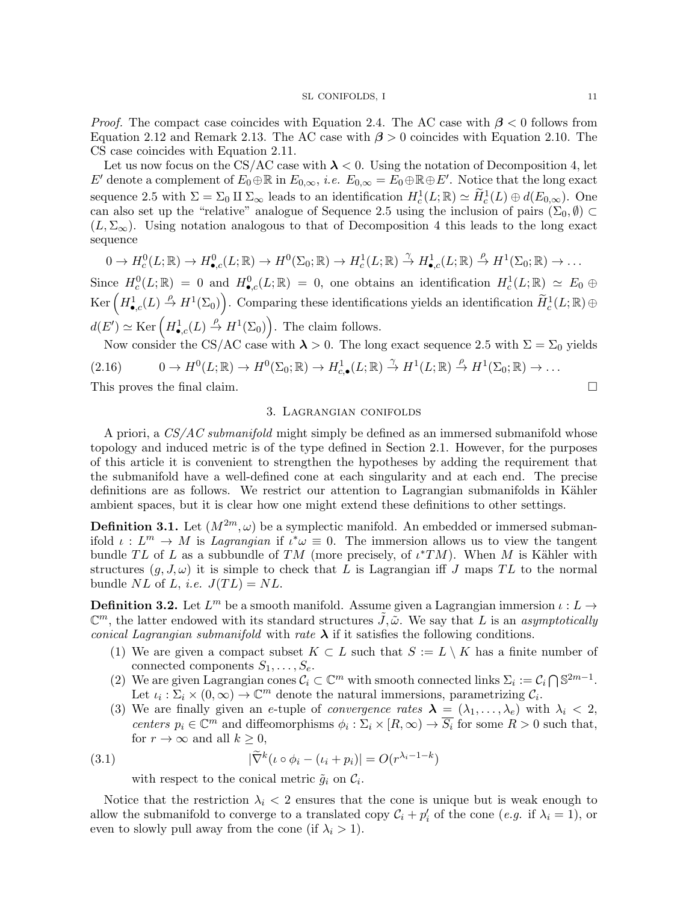*Proof.* The compact case coincides with Equation 2.4. The AC case with  $\beta$  < 0 follows from Equation 2.12 and Remark 2.13. The AC case with  $\beta > 0$  coincides with Equation 2.10. The CS case coincides with Equation 2.11.

Let us now focus on the CS/AC case with  $\lambda < 0$ . Using the notation of Decomposition 4, let E' denote a complement of  $E_0 \oplus \mathbb{R}$  in  $E_{0,\infty}$ , *i.e.*  $E_{0,\infty} = \tilde{E_0} \oplus \mathbb{R} \oplus E'$ . Notice that the long exact sequence 2.5 with  $\Sigma = \Sigma_0 \amalg \Sigma_\infty$  leads to an identification  $H_c^1(L;\mathbb{R}) \simeq \widetilde{H}_c^1(L) \oplus d(E_{0,\infty})$ . One can also set up the "relative" analogue of Sequence 2.5 using the inclusion of pairs  $(\Sigma_0, \emptyset)$  $(L, \Sigma_{\infty})$ . Using notation analogous to that of Decomposition 4 this leads to the long exact sequence

$$
0 \to H_c^0(L;\mathbb{R}) \to H_{\bullet,c}^0(L;\mathbb{R}) \to H^0(\Sigma_0;\mathbb{R}) \to H_c^1(L;\mathbb{R}) \stackrel{\gamma}{\to} H_{\bullet,c}^1(L;\mathbb{R}) \stackrel{\rho}{\to} H^1(\Sigma_0;\mathbb{R}) \to \dots
$$

Since  $H_c^0(L;\mathbb{R}) = 0$  and  $H_{\bullet,c}^0(L;\mathbb{R}) = 0$ , one obtains an identification  $H_c^1(L;\mathbb{R}) \simeq E_0 \oplus$  $\text{Ker}\left(H_{\bullet,c}^1(L) \stackrel{\rho}{\to} H^1(\Sigma_0)\right)$ . Comparing these identifications yields an identification  $\widetilde{H}_c^1(L;\mathbb{R})\oplus$  $d(E') \simeq \text{Ker} \left( H_{\bullet,c}^1(L) \stackrel{\rho}{\to} H^1(\Sigma_0) \right)$ . The claim follows.

Now consider the CS/AC case with  $\lambda > 0$ . The long exact sequence 2.5 with  $\Sigma = \Sigma_0$  yields  $(2.16)$   $0 \to H^0(L;\mathbb{R}) \to H^0(\Sigma_0;\mathbb{R}) \to H^1_{c,\bullet}(L;\mathbb{R}) \stackrel{\gamma}{\to} H^1(L;\mathbb{R}) \stackrel{\rho}{\to} H^1(\Sigma_0;\mathbb{R}) \to \ldots$ 

This proves the final claim.

## 3. Lagrangian conifolds

A priori, a  $CS/AC$  submanifold might simply be defined as an immersed submanifold whose topology and induced metric is of the type defined in Section 2.1. However, for the purposes of this article it is convenient to strengthen the hypotheses by adding the requirement that the submanifold have a well-defined cone at each singularity and at each end. The precise definitions are as follows. We restrict our attention to Lagrangian submanifolds in Kähler ambient spaces, but it is clear how one might extend these definitions to other settings.

**Definition 3.1.** Let  $(M^{2m}, \omega)$  be a symplectic manifold. An embedded or immersed submanifold  $\iota: L^m \to M$  is Lagrangian if  $\iota^* \omega \equiv 0$ . The immersion allows us to view the tangent bundle TL of L as a subbundle of TM (more precisely, of  $\iota^*TM$ ). When M is Kähler with structures  $(g, J, \omega)$  it is simple to check that L is Lagrangian iff J maps TL to the normal bundle NL of L, *i.e.*  $J(TL) = NL$ .

**Definition 3.2.** Let  $L^m$  be a smooth manifold. Assume given a Lagrangian immersion  $\iota: L \to$  $\mathbb{C}^m$ , the latter endowed with its standard structures  $\tilde{J}, \tilde{\omega}$ . We say that L is an asymptotically conical Lagrangian submanifold with rate  $\lambda$  if it satisfies the following conditions.

- (1) We are given a compact subset  $K \subset L$  such that  $S := L \setminus K$  has a finite number of connected components  $S_1, \ldots, S_e$ .
- (2) We are given Lagrangian cones  $C_i \subset \mathbb{C}^m$  with smooth connected links  $\Sigma_i := C_i \cap \mathbb{S}^{2m-1}$ . Let  $\iota_i : \Sigma_i \times (0, \infty) \to \mathbb{C}^m$  denote the natural immersions, parametrizing  $\mathcal{C}_i$ .
- (3) We are finally given an e-tuple of *convergence rates*  $\lambda = (\lambda_1, \ldots, \lambda_e)$  with  $\lambda_i < 2$ , centers  $p_i \in \mathbb{C}^m$  and diffeomorphisms  $\phi_i : \Sigma_i \times [R, \infty) \to \overline{S_i}$  for some  $R > 0$  such that, for  $r \to \infty$  and all  $k \geq 0$ ,

(3.1) 
$$
|\widetilde{\nabla}^k(\iota \circ \phi_i - (\iota_i + p_i)| = O(r^{\lambda_i - 1 - k})
$$

with respect to the conical metric  $\tilde{g}_i$  on  $\mathcal{C}_i$ .

Notice that the restriction  $\lambda_i$  < 2 ensures that the cone is unique but is weak enough to allow the submanifold to converge to a translated copy  $\mathcal{C}_i + p'_i$  of the cone  $(e.g.$  if  $\lambda_i = 1)$ , or even to slowly pull away from the cone (if  $\lambda_i > 1$ ).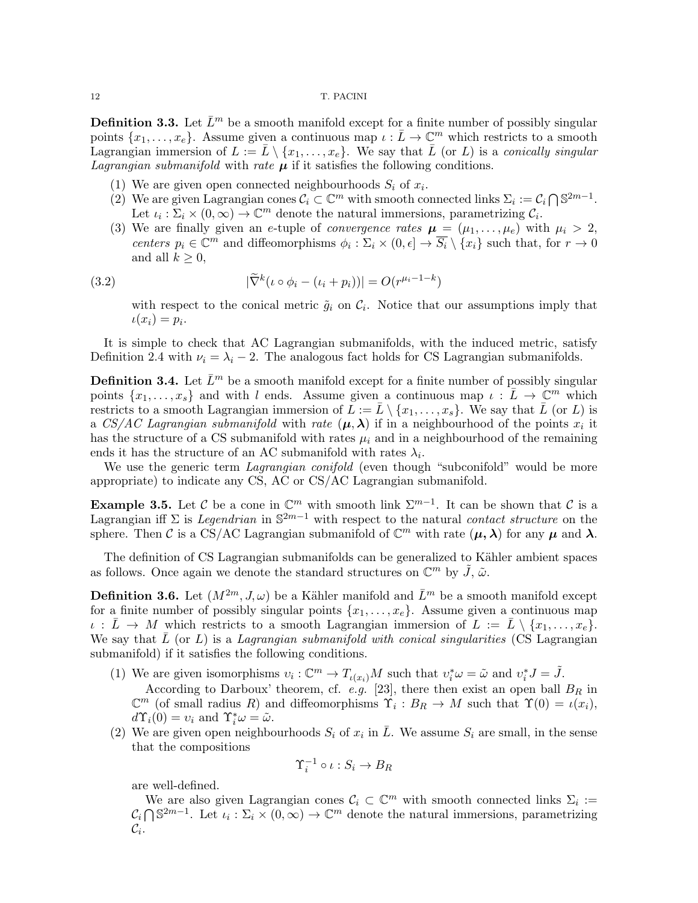**Definition 3.3.** Let  $\bar{L}^m$  be a smooth manifold except for a finite number of possibly singular points  $\{x_1, \ldots, x_e\}$ . Assume given a continuous map  $\iota : \overline{L} \to \mathbb{C}^m$  which restricts to a smooth Lagrangian immersion of  $L := \overline{L} \setminus \{x_1, \ldots, x_e\}$ . We say that  $\overline{L}$  (or L) is a conically singular *Lagrangian submanifold* with *rate*  $\mu$  if it satisfies the following conditions.

- (1) We are given open connected neighbourhoods  $S_i$  of  $x_i$ .
- (2) We are given Lagrangian cones  $\mathcal{C}_i \subset \mathbb{C}^m$  with smooth connected links  $\Sigma_i := \mathcal{C}_i \cap \mathbb{S}^{2m-1}$ . Let  $\iota_i : \Sigma_i \times (0, \infty) \to \mathbb{C}^m$  denote the natural immersions, parametrizing  $\mathcal{C}_i$ .
- (3) We are finally given an e-tuple of *convergence rates*  $\mu = (\mu_1, \dots, \mu_e)$  with  $\mu_i > 2$ , centers  $p_i \in \mathbb{C}^m$  and diffeomorphisms  $\phi_i : \Sigma_i \times (0, \epsilon] \to \overline{S_i} \setminus \{x_i\}$  such that, for  $r \to 0$ and all  $k \geq 0$ ,

(3.2) 
$$
|\widetilde{\nabla}^k(\iota \circ \phi_i - (\iota_i + p_i))| = O(r^{\mu_i - 1 - k})
$$

with respect to the conical metric  $\tilde{g}_i$  on  $\mathcal{C}_i$ . Notice that our assumptions imply that  $\iota(x_i)=p_i.$ 

It is simple to check that AC Lagrangian submanifolds, with the induced metric, satisfy Definition 2.4 with  $\nu_i = \lambda_i - 2$ . The analogous fact holds for CS Lagrangian submanifolds.

**Definition 3.4.** Let  $\bar{L}^m$  be a smooth manifold except for a finite number of possibly singular points  $\{x_1, \ldots, x_s\}$  and with l ends. Assume given a continuous map  $\iota : L \to \mathbb{C}^m$  which restricts to a smooth Lagrangian immersion of  $\overline{L} := \overline{L} \setminus \{x_1, \ldots, x_s\}$ . We say that  $\overline{L}$  (or  $L$ ) is a CS/AC Lagrangian submanifold with rate  $(\mu, \lambda)$  if in a neighbourhood of the points  $x_i$  it has the structure of a CS submanifold with rates  $\mu_i$  and in a neighbourhood of the remaining ends it has the structure of an AC submanifold with rates  $\lambda_i$ .

We use the generic term *Lagrangian conifold* (even though "subconifold" would be more appropriate) to indicate any CS, AC or CS/AC Lagrangian submanifold.

**Example 3.5.** Let C be a cone in  $\mathbb{C}^m$  with smooth link  $\Sigma^{m-1}$ . It can be shown that C is a Lagrangian iff  $\Sigma$  is Legendrian in  $\mathbb{S}^{2m-1}$  with respect to the natural contact structure on the sphere. Then C is a CS/AC Lagrangian submanifold of  $\mathbb{C}^m$  with rate  $(\mu, \lambda)$  for any  $\mu$  and  $\lambda$ .

The definition of CS Lagrangian submanifolds can be generalized to Kähler ambient spaces as follows. Once again we denote the standard structures on  $\mathbb{C}^m$  by  $\tilde{J}$ ,  $\tilde{\omega}$ .

**Definition 3.6.** Let  $(M^{2m}, J, \omega)$  be a Kähler manifold and  $\bar{L}^m$  be a smooth manifold except for a finite number of possibly singular points  $\{x_1, \ldots, x_e\}$ . Assume given a continuous map  $\iota : \bar{L} \to M$  which restricts to a smooth Lagrangian immersion of  $L := \bar{L} \setminus \{x_1, \ldots, x_e\}.$ We say that  $\bar{L}$  (or L) is a Lagrangian submanifold with conical singularities (CS Lagrangian submanifold) if it satisfies the following conditions.

- (1) We are given isomorphisms  $v_i: \mathbb{C}^m \to T_{\iota(x_i)}M$  such that  $v_i^* \omega = \tilde{\omega}$  and  $v_i^* J = \tilde{J}$ . According to Darboux' theorem, cf. e.g. [23], there then exist an open ball  $B_R$  in  $\mathbb{C}^m$  (of small radius R) and diffeomorphisms  $\Upsilon_i : B_R \to M$  such that  $\Upsilon(0) = \iota(x_i)$ ,  $d\Upsilon_i(0) = v_i$  and  $\Upsilon_i^*\omega = \tilde{\omega}$ .
- (2) We are given open neighbourhoods  $S_i$  of  $x_i$  in  $\overline{L}$ . We assume  $S_i$  are small, in the sense that the compositions

$$
\Upsilon_i^{-1} \circ \iota : S_i \to B_R
$$

are well-defined.

We are also given Lagrangian cones  $C_i \subset \mathbb{C}^m$  with smooth connected links  $\Sigma_i :=$  $C_i \bigcap \mathbb{S}^{2m-1}$ . Let  $\iota_i : \Sigma_i \times (0, \infty) \to \mathbb{C}^m$  denote the natural immersions, parametrizing  $\mathcal{C}_i$ .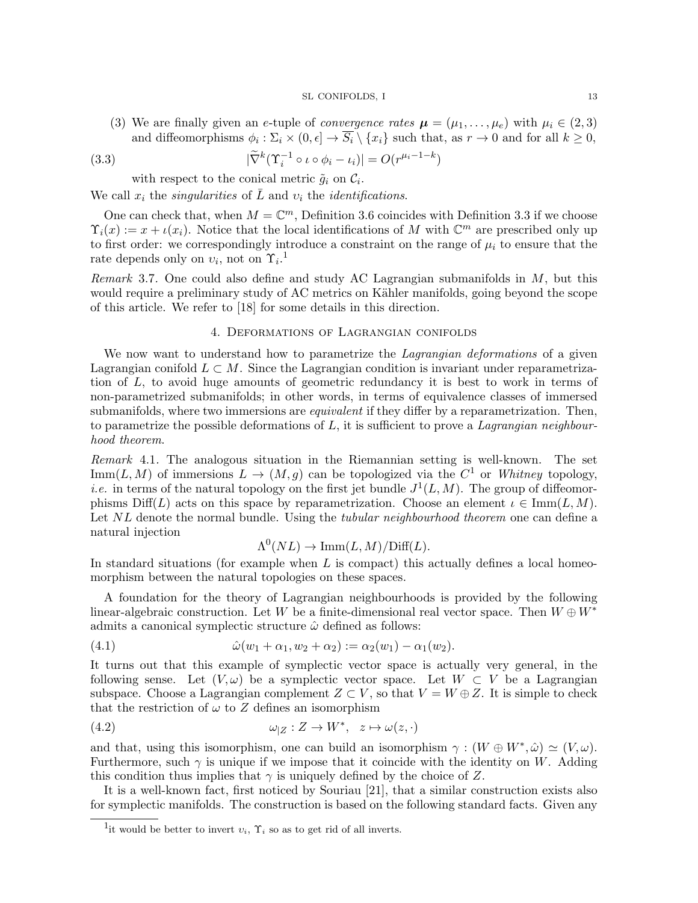(3) We are finally given an e-tuple of *convergence rates*  $\mu = (\mu_1, \dots, \mu_e)$  with  $\mu_i \in (2, 3)$ and diffeomorphisms  $\phi_i : \Sigma_i \times (0, \epsilon] \to \overline{S_i} \setminus \{x_i\}$  such that, as  $r \to 0$  and for all  $k \geq 0$ ,

(3.3) 
$$
|\widetilde{\nabla}^k(\Upsilon_i^{-1} \circ \iota \circ \phi_i - \iota_i)| = O(r^{\mu_i - 1 - k})
$$

with respect to the conical metric  $\tilde{g}_i$  on  $\mathcal{C}_i$ .

We call  $x_i$  the *singularities* of  $\overline{L}$  and  $v_i$  the *identifications*.

One can check that, when  $M = \mathbb{C}^m$ , Definition 3.6 coincides with Definition 3.3 if we choose  $\Upsilon_i(x) := x + \iota(x_i)$ . Notice that the local identifications of M with  $\mathbb{C}^m$  are prescribed only up to first order: we correspondingly introduce a constraint on the range of  $\mu_i$  to ensure that the rate depends only on  $v_i$ , not on  $\Upsilon_i$ .<sup>1</sup>

*Remark* 3.7. One could also define and study AC Lagrangian submanifolds in  $M$ , but this would require a preliminary study of AC metrics on Kähler manifolds, going beyond the scope of this article. We refer to [18] for some details in this direction.

# 4. Deformations of Lagrangian conifolds

We now want to understand how to parametrize the *Lagrangian deformations* of a given Lagrangian conifold  $L \subset M$ . Since the Lagrangian condition is invariant under reparametrization of L, to avoid huge amounts of geometric redundancy it is best to work in terms of non-parametrized submanifolds; in other words, in terms of equivalence classes of immersed submanifolds, where two immersions are *equivalent* if they differ by a reparametrization. Then, to parametrize the possible deformations of  $L$ , it is sufficient to prove a Lagrangian neighbourhood theorem.

Remark 4.1. The analogous situation in the Riemannian setting is well-known. The set Imm(L, M) of immersions  $L \to (M, g)$  can be topologized via the  $C^1$  or Whitney topology, *i.e.* in terms of the natural topology on the first jet bundle  $J^1(L, M)$ . The group of diffeomorphisms  $Diff(L)$  acts on this space by reparametrization. Choose an element  $\iota \in \text{Imm}(L, M)$ . Let NL denote the normal bundle. Using the *tubular neighbourhood theorem* one can define a natural injection

$$
\Lambda^{0}(NL) \to \text{Imm}(L, M)/\text{Diff}(L).
$$

In standard situations (for example when  $L$  is compact) this actually defines a local homeomorphism between the natural topologies on these spaces.

A foundation for the theory of Lagrangian neighbourhoods is provided by the following linear-algebraic construction. Let W be a finite-dimensional real vector space. Then  $W \oplus W^*$ admits a canonical symplectic structure  $\hat{\omega}$  defined as follows:

(4.1) 
$$
\hat{\omega}(w_1 + \alpha_1, w_2 + \alpha_2) := \alpha_2(w_1) - \alpha_1(w_2).
$$

It turns out that this example of symplectic vector space is actually very general, in the following sense. Let  $(V, \omega)$  be a symplectic vector space. Let  $W \subset V$  be a Lagrangian subspace. Choose a Lagrangian complement  $Z \subset V$ , so that  $V = W \oplus Z$ . It is simple to check that the restriction of  $\omega$  to Z defines an isomorphism

(4.2) 
$$
\omega_{|Z}: Z \to W^*, \quad z \mapsto \omega(z, \cdot)
$$

and that, using this isomorphism, one can build an isomorphism  $\gamma : (W \oplus W^*, \hat{\omega}) \simeq (V, \omega)$ . Furthermore, such  $\gamma$  is unique if we impose that it coincide with the identity on W. Adding this condition thus implies that  $\gamma$  is uniquely defined by the choice of Z.

It is a well-known fact, first noticed by Souriau [21], that a similar construction exists also for symplectic manifolds. The construction is based on the following standard facts. Given any

<sup>&</sup>lt;sup>1</sup>it would be better to invert  $v_i$ ,  $\Upsilon_i$  so as to get rid of all inverts.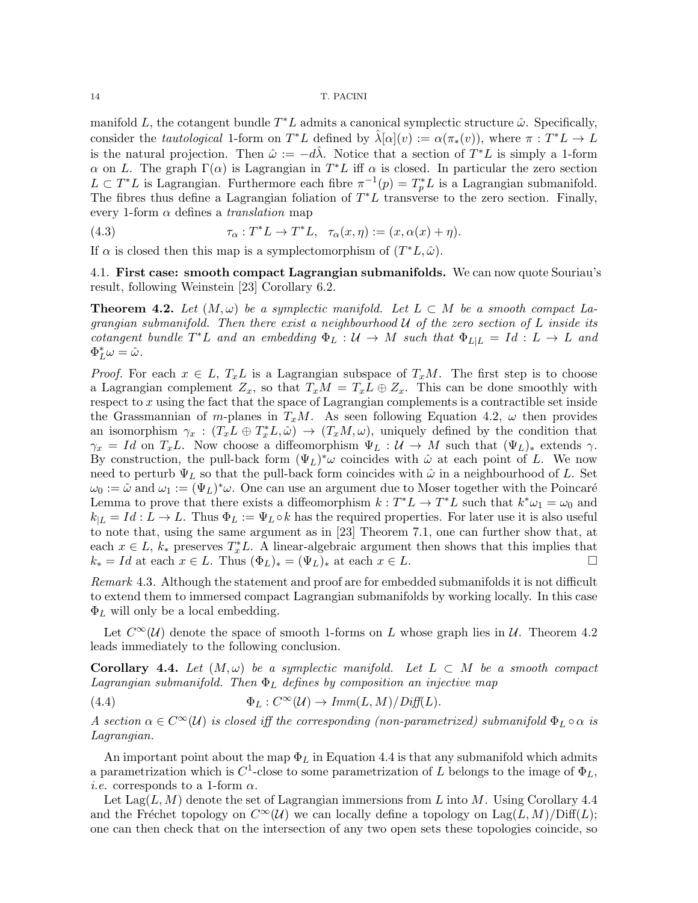manifold L, the cotangent bundle  $T^*L$  admits a canonical symplectic structure  $\hat{\omega}$ . Specifically, consider the *tautological* 1-form on  $T^*L$  defined by  $\hat{\lambda}[\alpha](v) := \alpha(\pi_*(v))$ , where  $\pi : T^*L \to L$ is the natural projection. Then  $\hat{\omega} := -d\hat{\lambda}$ . Notice that a section of  $T^*L$  is simply a 1-form  $\alpha$  on L. The graph  $\Gamma(\alpha)$  is Lagrangian in  $T^*L$  iff  $\alpha$  is closed. In particular the zero section  $L \subset T^*L$  is Lagrangian. Furthermore each fibre  $\pi^{-1}(p) = T_p^*L$  is a Lagrangian submanifold. The fibres thus define a Lagrangian foliation of  $T^*L$  transverse to the zero section. Finally, every 1-form  $\alpha$  defines a *translation* map

(4.3) 
$$
\tau_{\alpha}: T^*L \to T^*L, \quad \tau_{\alpha}(x,\eta) := (x,\alpha(x)+\eta).
$$

If  $\alpha$  is closed then this map is a symplectomorphism of  $(T^*L, \hat{\omega})$ .

4.1. First case: smooth compact Lagrangian submanifolds. We can now quote Souriau's result, following Weinstein [23] Corollary 6.2.

**Theorem 4.2.** Let  $(M,\omega)$  be a symplectic manifold. Let  $L \subset M$  be a smooth compact Lagrangian submanifold. Then there exist a neighbourhood  $U$  of the zero section of L inside its cotangent bundle  $T^*L$  and an embedding  $\Phi_L: \mathcal{U} \to M$  such that  $\Phi_{L|L} = Id: L \to L$  and  $\Phi_L^*\omega = \hat{\omega}.$ 

*Proof.* For each  $x \in L$ ,  $T_xL$  is a Lagrangian subspace of  $T_xM$ . The first step is to choose a Lagrangian complement  $Z_x$ , so that  $T_xM = T_xL \oplus Z_x$ . This can be done smoothly with respect to x using the fact that the space of Lagrangian complements is a contractible set inside the Grassmannian of m-planes in  $T_xM$ . As seen following Equation 4.2,  $\omega$  then provides an isomorphism  $\gamma_x : (T_xL \oplus T_x^*L, \hat{\omega}) \to (T_xM, \omega)$ , uniquely defined by the condition that  $\gamma_x = Id$  on  $T_xL$ . Now choose a diffeomorphism  $\Psi_L : U \to M$  such that  $(\Psi_L)_*$  extends  $\gamma$ . By construction, the pull-back form  $(\Psi_L)^*\omega$  coincides with  $\hat{\omega}$  at each point of L. We now need to perturb  $\Psi_L$  so that the pull-back form coincides with  $\hat{\omega}$  in a neighbourhood of L. Set  $\omega_0 := \hat{\omega}$  and  $\omega_1 := (\Psi_L)^* \omega$ . One can use an argument due to Moser together with the Poincaré Lemma to prove that there exists a diffeomorphism  $k: T^*L \to T^*L$  such that  $k^*\omega_1 = \omega_0$  and  $k_{|L} = Id: L \to L$ . Thus  $\Phi_L := \Psi_L \circ k$  has the required properties. For later use it is also useful to note that, using the same argument as in [23] Theorem 7.1, one can further show that, at each  $x \in L$ ,  $k_*$  preserves  $T_x^*L$ . A linear-algebraic argument then shows that this implies that  $k_* = Id$  at each  $x \in L$ . Thus  $(\Phi_L)_* = (\Psi_L)_*$  at each  $x \in L$ .

Remark 4.3. Although the statement and proof are for embedded submanifolds it is not difficult to extend them to immersed compact Lagrangian submanifolds by working locally. In this case  $\Phi_L$  will only be a local embedding.

Let  $C^{\infty}(\mathcal{U})$  denote the space of smooth 1-forms on L whose graph lies in  $\mathcal{U}$ . Theorem 4.2 leads immediately to the following conclusion.

**Corollary 4.4.** Let  $(M, \omega)$  be a symplectic manifold. Let  $L \subset M$  be a smooth compact Lagrangian submanifold. Then  $\Phi_L$  defines by composition an injective map

(4.4)  $\Phi_L: C^{\infty}(\mathcal{U}) \to \text{Imm}(L, M)/\text{Diff}(L).$ 

A section  $\alpha \in C^{\infty}(\mathcal{U})$  is closed iff the corresponding (non-parametrized) submanifold  $\Phi_L \circ \alpha$  is Lagrangian.

An important point about the map  $\Phi_L$  in Equation 4.4 is that any submanifold which admits a parametrization which is  $C^1$ -close to some parametrization of L belongs to the image of  $\Phi_L$ , *i.e.* corresponds to a 1-form  $\alpha$ .

Let  $\text{Lag}(L, M)$  denote the set of Lagrangian immersions from L into M. Using Corollary 4.4 and the Fréchet topology on  $C^{\infty}(\mathcal{U})$  we can locally define a topology on Lag(L, M)/Diff(L); one can then check that on the intersection of any two open sets these topologies coincide, so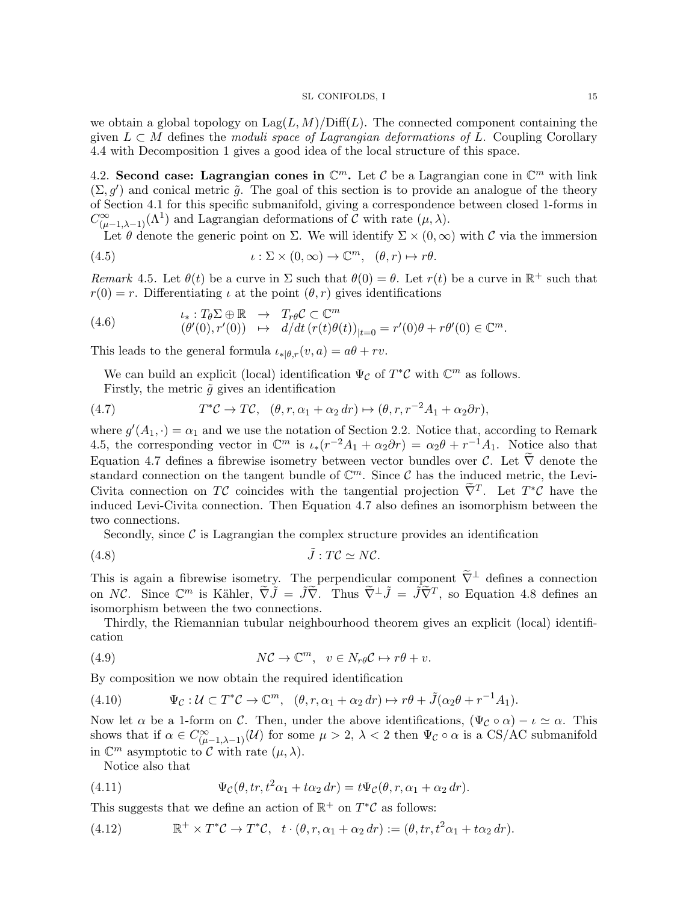we obtain a global topology on  $\text{Lag}(L, M)/\text{Diff}(L)$ . The connected component containing the given  $L \subset M$  defines the moduli space of Lagrangian deformations of L. Coupling Corollary 4.4 with Decomposition 1 gives a good idea of the local structure of this space.

4.2. Second case: Lagrangian cones in  $\mathbb{C}^m$ . Let C be a Lagrangian cone in  $\mathbb{C}^m$  with link  $(\Sigma, g')$  and conical metric  $\tilde{g}$ . The goal of this section is to provide an analogue of the theory of Section 4.1 for this specific submanifold, giving a correspondence between closed 1-forms in  $C^{\infty}_{(\mu-1,\lambda-1)}(\Lambda^1)$  and Lagrangian deformations of  $\tilde{\mathcal{C}}$  with rate  $(\mu,\lambda)$ .

Let  $\theta$  denote the generic point on  $\Sigma$ . We will identify  $\Sigma \times (0, \infty)$  with C via the immersion

(4.5) 
$$
\iota : \Sigma \times (0, \infty) \to \mathbb{C}^m, \quad (\theta, r) \mapsto r\theta.
$$

Remark 4.5. Let  $\theta(t)$  be a curve in  $\Sigma$  such that  $\theta(0) = \theta$ . Let  $r(t)$  be a curve in  $\mathbb{R}^+$  such that  $r(0) = r$ . Differentiating  $\iota$  at the point  $(\theta, r)$  gives identifications

(4.6) 
$$
\iota_*: T_{\theta} \Sigma \oplus \mathbb{R} \rightarrow T_{r\theta} \mathcal{C} \subset \mathbb{C}^m (\theta'(0), r'(0)) \rightarrow d/dt \left(r(t)\theta(t)\right)_{|t=0} = r'(0)\theta + r\theta'(0) \in \mathbb{C}^m.
$$

This leads to the general formula  $\iota_{*|\theta,r}(v, a) = a\theta + rv$ .

We can build an explicit (local) identification  $\Psi_{\mathcal{C}}$  of  $T^*\mathcal{C}$  with  $\mathbb{C}^m$  as follows. Firstly, the metric  $\tilde{g}$  gives an identification

(4.7) 
$$
T^*\mathcal{C} \to T\mathcal{C}, \quad (\theta, r, \alpha_1 + \alpha_2 dr) \mapsto (\theta, r, r^{-2}A_1 + \alpha_2 \partial r),
$$

where  $g'(A_1, \cdot) = \alpha_1$  and we use the notation of Section 2.2. Notice that, according to Remark 4.5, the corresponding vector in  $\mathbb{C}^m$  is  $\iota_*(r^{-2}A_1 + \alpha_2 \partial r) = \alpha_2 \theta + r^{-1}A_1$ . Notice also that Equation 4.7 defines a fibrewise isometry between vector bundles over  $\mathcal{C}$ . Let  $\widetilde{\nabla}$  denote the standard connection on the tangent bundle of  $\mathbb{C}^m$ . Since C has the induced metric, the Levi-Civita connection on TC coincides with the tangential projection  $\tilde{\nabla}^T$ . Let  $T^*\mathcal{C}$  have the induced Levi-Civita connection. Then Equation 4.7 also defines an isomorphism between the two connections.

Secondly, since  $\mathcal C$  is Lagrangian the complex structure provides an identification

$$
(4.8) \t\t \tilde{J}: T\mathcal{C} \simeq N\mathcal{C}.
$$

This is again a fibrewise isometry. The perpendicular component  $\tilde{\nabla}^{\perp}$  defines a connection on NC. Since  $\mathbb{C}^m$  is Kähler,  $\tilde{\nabla} \tilde{J} = \tilde{J} \tilde{\nabla}$ . Thus  $\tilde{\nabla}^{\perp} \tilde{J} = \tilde{J} \tilde{\nabla}^T$ , so Equation 4.8 defines an isomorphism between the two connections.

Thirdly, the Riemannian tubular neighbourhood theorem gives an explicit (local) identification

(4.9) 
$$
N\mathcal{C} \to \mathbb{C}^m, \quad v \in N_r \rho \mathcal{C} \mapsto r\theta + v.
$$

By composition we now obtain the required identification

(4.10) 
$$
\Psi_{\mathcal{C}} : \mathcal{U} \subset T^*\mathcal{C} \to \mathbb{C}^m, \quad (\theta, r, \alpha_1 + \alpha_2 dr) \mapsto r\theta + \tilde{J}(\alpha_2 \theta + r^{-1}A_1).
$$

Now let  $\alpha$  be a 1-form on C. Then, under the above identifications,  $(\Psi_{\mathcal{C}} \circ \alpha) - i \simeq \alpha$ . This shows that if  $\alpha \in C^{\infty}_{(\mu-1,\lambda-1)}(\mathcal{U})$  for some  $\mu > 2$ ,  $\lambda < 2$  then  $\Psi_{\mathcal{C}} \circ \alpha$  is a CS/AC submanifold in  $\mathbb{C}^m$  asymptotic to C with rate  $(\mu, \lambda)$ .

Notice also that

(4.11) 
$$
\Psi_{\mathcal{C}}(\theta, tr, t^2 \alpha_1 + t \alpha_2 dr) = t \Psi_{\mathcal{C}}(\theta, r, \alpha_1 + \alpha_2 dr).
$$

This suggests that we define an action of  $\mathbb{R}^+$  on  $T^*\mathcal{C}$  as follows:

(4.12) 
$$
\mathbb{R}^+ \times T^*\mathcal{C} \to T^*\mathcal{C}, \quad t \cdot (\theta, r, \alpha_1 + \alpha_2 dr) := (\theta, tr, t^2 \alpha_1 + t \alpha_2 dr).
$$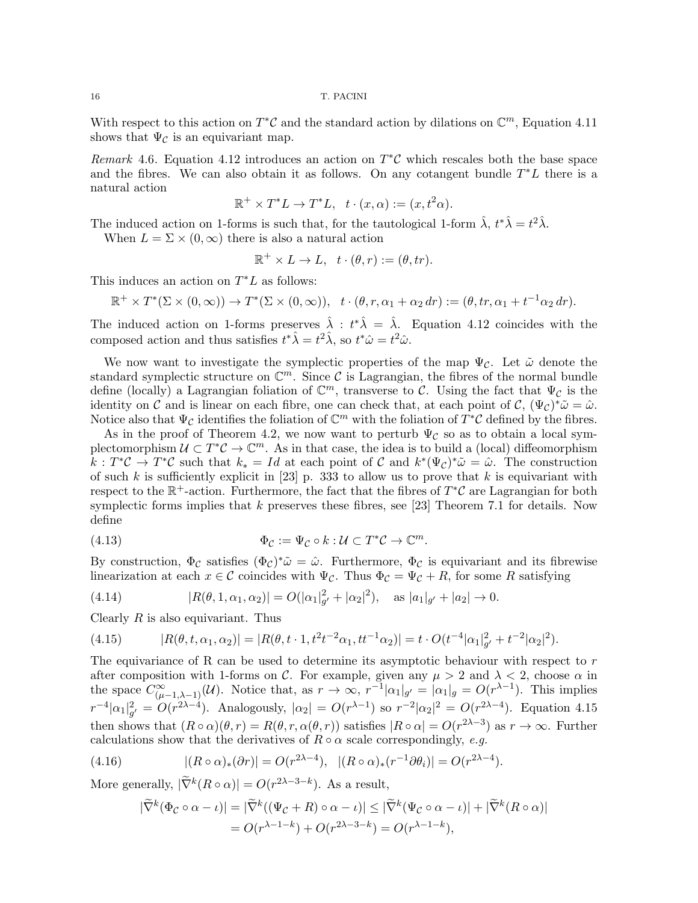With respect to this action on  $T^{\ast}$ C and the standard action by dilations on  $\mathbb{C}^m$ , Equation 4.11 shows that  $\Psi_{\mathcal{C}}$  is an equivariant map.

Remark 4.6. Equation 4.12 introduces an action on  $T^{\ast}C$  which rescales both the base space and the fibres. We can also obtain it as follows. On any cotangent bundle  $T^*L$  there is a natural action

$$
\mathbb{R}^+ \times T^*L \to T^*L, \quad t \cdot (x, \alpha) := (x, t^2\alpha).
$$

The induced action on 1-forms is such that, for the tautological 1-form  $\hat{\lambda}$ ,  $t^*\hat{\lambda} = t^2\hat{\lambda}$ . When  $L = \Sigma \times (0, \infty)$  there is also a natural action

$$
\mathbb{R}^+ \times L \to L, \quad t \cdot (\theta, r) := (\theta, tr).
$$

This induces an action on  $T^*L$  as follows:

$$
\mathbb{R}^+ \times T^*(\Sigma \times (0,\infty)) \to T^*(\Sigma \times (0,\infty)), \quad t \cdot (\theta,r,\alpha_1+\alpha_2 dr) := (\theta, tr, \alpha_1 + t^{-1}\alpha_2 dr).
$$

The induced action on 1-forms preserves  $\hat{\lambda}$  :  $t^*\hat{\lambda} = \hat{\lambda}$ . Equation 4.12 coincides with the composed action and thus satisfies  $t^* \hat{\lambda} = t^2 \hat{\lambda}$ , so  $t^* \hat{\omega} = t^2 \hat{\omega}$ .

We now want to investigate the symplectic properties of the map  $\Psi_{\mathcal{C}}$ . Let  $\tilde{\omega}$  denote the standard symplectic structure on  $\mathbb{C}^m$ . Since C is Lagrangian, the fibres of the normal bundle define (locally) a Lagrangian foliation of  $\mathbb{C}^m$ , transverse to C. Using the fact that  $\Psi_{\mathcal{C}}$  is the identity on C and is linear on each fibre, one can check that, at each point of C,  $(\Psi_{\mathcal{C}})^*\tilde{\omega} = \hat{\omega}$ . Notice also that  $\Psi_{\mathcal{C}}$  identifies the foliation of  $\mathbb{C}^m$  with the foliation of  $\tilde{T}^*\mathcal{C}$  defined by the fibres.

As in the proof of Theorem 4.2, we now want to perturb  $\Psi_c$  so as to obtain a local symplectomorphism  $\mathcal{U} \subset T^*\mathcal{C} \to \mathbb{C}^m$ . As in that case, the idea is to build a (local) diffeomorphism  $k: T^*\mathcal{C} \to T^*\mathcal{C}$  such that  $k_* = Id$  at each point of  $\mathcal{C}$  and  $k^*(\Psi_{\mathcal{C}})^*\tilde{\omega} = \hat{\omega}$ . The construction of such k is sufficiently explicit in [23] p. 333 to allow us to prove that k is equivariant with respect to the  $\mathbb{R}^+$ -action. Furthermore, the fact that the fibres of  $T^*\mathcal{C}$  are Lagrangian for both symplectic forms implies that k preserves these fibres, see [23] Theorem 7.1 for details. Now define

(4.13) 
$$
\Phi_{\mathcal{C}} := \Psi_{\mathcal{C}} \circ k : \mathcal{U} \subset T^*\mathcal{C} \to \mathbb{C}^m.
$$

By construction,  $\Phi_{\mathcal{C}}$  satisfies  $(\Phi_{\mathcal{C}})^*\tilde{\omega} = \hat{\omega}$ . Furthermore,  $\Phi_{\mathcal{C}}$  is equivariant and its fibrewise linearization at each  $x \in \mathcal{C}$  coincides with  $\Psi_{\mathcal{C}}$ . Thus  $\Phi_{\mathcal{C}} = \Psi_{\mathcal{C}} + R$ , for some R satisfying

(4.14) 
$$
|R(\theta, 1, \alpha_1, \alpha_2)| = O(|\alpha_1|_{g'}^2 + |\alpha_2|^2), \text{ as } |a_1|_{g'} + |a_2| \to 0.
$$

Clearly  $R$  is also equivariant. Thus

(4.15) 
$$
|R(\theta, t, \alpha_1, \alpha_2)| = |R(\theta, t \cdot 1, t^2 t^{-2} \alpha_1, t t^{-1} \alpha_2)| = t \cdot O(t^{-4} |\alpha_1|_{g'}^2 + t^{-2} |\alpha_2|^2).
$$

The equivariance of R can be used to determine its asymptotic behaviour with respect to  $r$ after composition with 1-forms on C. For example, given any  $\mu > 2$  and  $\lambda < 2$ , choose  $\alpha$  in the space  $C^{\infty}_{(\mu-1,\lambda-1)}(\mathcal{U})$ . Notice that, as  $r \to \infty$ ,  $r^{-1}|\alpha_1|_{g'} = |\alpha_1|_g = O(r^{\lambda-1})$ . This implies  $r^{-4}|\alpha_1|^2_{g'} = O(r^{2\lambda-4})$ . Analogously,  $|\alpha_2| = O(r^{\lambda-1})$  so  $r^{-2}|\alpha_2|^2 = O(r^{2\lambda-4})$ . Equation 4.15 then shows that  $(R \circ \alpha)(\theta, r) = R(\theta, r, \alpha(\theta, r))$  satisfies  $|R \circ \alpha| = O(r^{2\lambda - 3})$  as  $r \to \infty$ . Further calculations show that the derivatives of  $R \circ \alpha$  scale correspondingly, e.g.

(4.16) 
$$
|(R \circ \alpha)_*(\partial r)| = O(r^{2\lambda - 4}), \quad |(R \circ \alpha)_*(r^{-1}\partial \theta_i)| = O(r^{2\lambda - 4}).
$$

More generally,  $|\tilde{\nabla}^k(R \circ \alpha)| = O(r^{2\lambda - 3 - k})$ . As a result,

$$
|\widetilde{\nabla}^k(\Phi_{\mathcal{C}} \circ \alpha - \iota)| = |\widetilde{\nabla}^k((\Psi_{\mathcal{C}} + R) \circ \alpha - \iota)| \leq |\widetilde{\nabla}^k(\Psi_{\mathcal{C}} \circ \alpha - \iota)| + |\widetilde{\nabla}^k(R \circ \alpha)|
$$
  
=  $O(r^{\lambda - 1 - k}) + O(r^{2\lambda - 3 - k}) = O(r^{\lambda - 1 - k}),$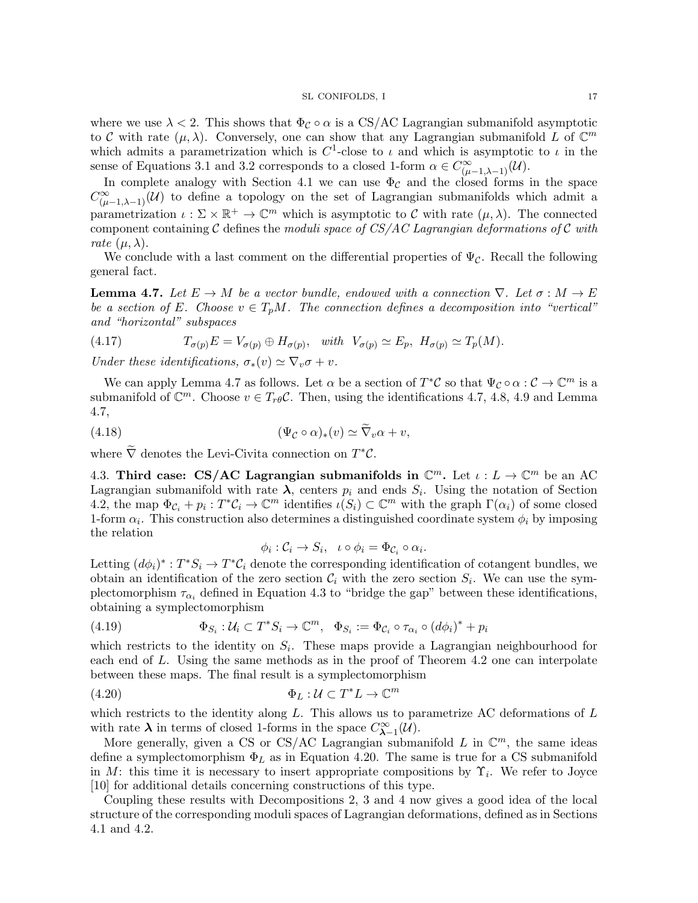where we use  $\lambda < 2$ . This shows that  $\Phi_{\mathcal{C}} \circ \alpha$  is a CS/AC Lagrangian submanifold asymptotic to C with rate  $(\mu, \lambda)$ . Conversely, one can show that any Lagrangian submanifold L of  $\mathbb{C}^m$ which admits a parametrization which is  $C^1$ -close to  $\iota$  and which is asymptotic to  $\iota$  in the sense of Equations 3.1 and 3.2 corresponds to a closed 1-form  $\alpha \in C^{\infty}_{(\mu-1,\lambda-1)}(\mathcal{U}).$ 

In complete analogy with Section 4.1 we can use  $\Phi_{\mathcal{C}}$  and the closed forms in the space  $C^{\infty}_{(\mu-1,\lambda-1)}(\mathcal{U})$  to define a topology on the set of Lagrangian submanifolds which admit a parametrization  $\iota : \Sigma \times \mathbb{R}^+ \to \mathbb{C}^m$  which is asymptotic to C with rate  $(\mu, \lambda)$ . The connected component containing C defines the moduli space of  $CS/AC$  Lagrangian deformations of C with rate  $(\mu, \lambda)$ .

We conclude with a last comment on the differential properties of  $\Psi_{\mathcal{C}}$ . Recall the following general fact.

**Lemma 4.7.** Let  $E \to M$  be a vector bundle, endowed with a connection  $\nabla$ . Let  $\sigma : M \to E$ be a section of E. Choose  $v \in T_pM$ . The connection defines a decomposition into "vertical" and "horizontal" subspaces

(4.17) 
$$
T_{\sigma(p)}E = V_{\sigma(p)} \oplus H_{\sigma(p)}, \text{ with } V_{\sigma(p)} \simeq E_p, H_{\sigma(p)} \simeq T_p(M).
$$

Under these identifications,  $\sigma_*(v) \simeq \nabla_v \sigma + v$ .

We can apply Lemma 4.7 as follows. Let  $\alpha$  be a section of  $T^*\mathcal{C}$  so that  $\Psi_{\mathcal{C}} \circ \alpha : \mathcal{C} \to \mathbb{C}^m$  is a submanifold of  $\mathbb{C}^m$ . Choose  $v \in T_{r\theta} \mathcal{C}$ . Then, using the identifications 4.7, 4.8, 4.9 and Lemma 4.7,

(4.18) 
$$
(\Psi_{\mathcal{C}} \circ \alpha)_*(v) \simeq \nabla_v \alpha + v,
$$

where  $\tilde{\nabla}$  denotes the Levi-Civita connection on  $T^*C$ .

4.3. Third case: CS/AC Lagrangian submanifolds in  $\mathbb{C}^m$ . Let  $\iota: L \to \mathbb{C}^m$  be an AC Lagrangian submanifold with rate  $\lambda$ , centers  $p_i$  and ends  $S_i$ . Using the notation of Section 4.2, the map  $\Phi_{\mathcal{C}_i} + p_i : T^*\mathcal{C}_i \to \mathbb{C}^m$  identifies  $\iota(S_i) \subset \mathbb{C}^m$  with the graph  $\Gamma(\alpha_i)$  of some closed 1-form  $\alpha_i$ . This construction also determines a distinguished coordinate system  $\phi_i$  by imposing the relation

$$
\phi_i : \mathcal{C}_i \to S_i, \quad \iota \circ \phi_i = \Phi_{\mathcal{C}_i} \circ \alpha_i.
$$

Letting  $(d\phi_i)^*: T^*S_i \to T^*\mathcal{C}_i$  denote the corresponding identification of cotangent bundles, we obtain an identification of the zero section  $C_i$  with the zero section  $S_i$ . We can use the symplectomorphism  $\tau_{\alpha_i}$  defined in Equation 4.3 to "bridge the gap" between these identifications, obtaining a symplectomorphism

(4.19) 
$$
\Phi_{S_i} : \mathcal{U}_i \subset T^* S_i \to \mathbb{C}^m, \quad \Phi_{S_i} := \Phi_{\mathcal{C}_i} \circ \tau_{\alpha_i} \circ (d\phi_i)^* + p_i
$$

which restricts to the identity on  $S_i$ . These maps provide a Lagrangian neighbourhood for each end of L. Using the same methods as in the proof of Theorem 4.2 one can interpolate between these maps. The final result is a symplectomorphism

(4.20) 
$$
\Phi_L: \mathcal{U} \subset T^*L \to \mathbb{C}^m
$$

which restricts to the identity along  $L$ . This allows us to parametrize AC deformations of  $L$ with rate  $\lambda$  in terms of closed 1-forms in the space  $C^{\infty}_{\lambda-1}(\mathcal{U})$ .

More generally, given a CS or CS/AC Lagrangian submanifold L in  $\mathbb{C}^m$ , the same ideas define a symplectomorphism  $\Phi_L$  as in Equation 4.20. The same is true for a CS submanifold in M: this time it is necessary to insert appropriate compositions by  $\Upsilon_i$ . We refer to Joyce [10] for additional details concerning constructions of this type.

Coupling these results with Decompositions 2, 3 and 4 now gives a good idea of the local structure of the corresponding moduli spaces of Lagrangian deformations, defined as in Sections 4.1 and 4.2.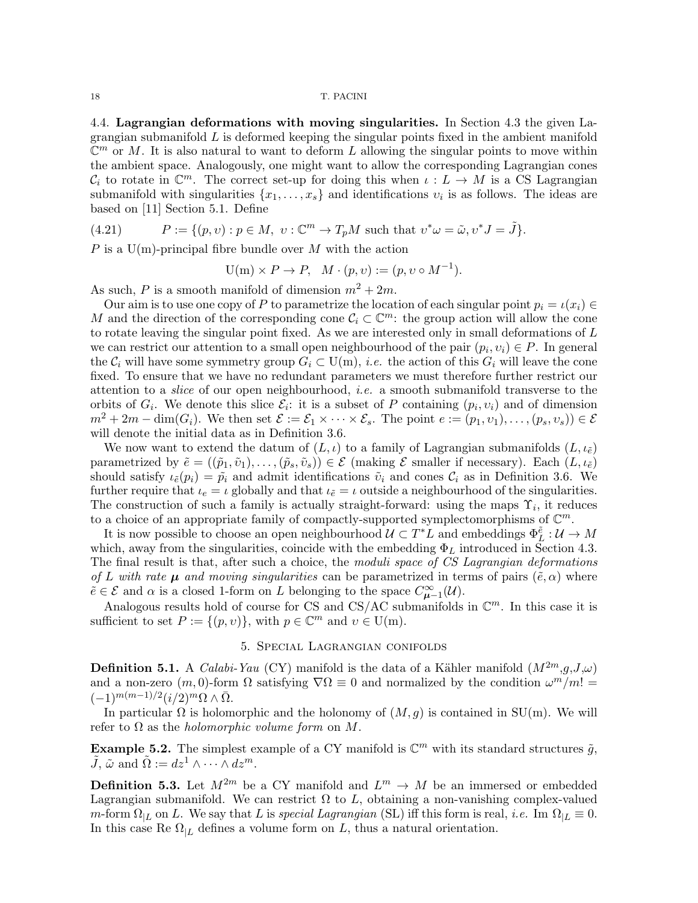4.4. Lagrangian deformations with moving singularities. In Section 4.3 the given Lagrangian submanifold  $L$  is deformed keeping the singular points fixed in the ambient manifold  $\mathbb{C}^m$  or M. It is also natural to want to deform L allowing the singular points to move within the ambient space. Analogously, one might want to allow the corresponding Lagrangian cones  $\mathcal{C}_i$  to rotate in  $\mathbb{C}^m$ . The correct set-up for doing this when  $\iota: L \to M$  is a CS Lagrangian submanifold with singularities  $\{x_1, \ldots, x_s\}$  and identifications  $v_i$  is as follows. The ideas are based on [11] Section 5.1. Define

(4.21) 
$$
P := \{(p, v) : p \in M, v : \mathbb{C}^m \to T_pM \text{ such that } v^* \omega = \tilde{\omega}, v^* J = \tilde{J}\}.
$$

P is a  $U(m)$ -principal fibre bundle over M with the action

$$
U(m) \times P \to P, \quad M \cdot (p, v) := (p, v \circ M^{-1}).
$$

As such, P is a smooth manifold of dimension  $m^2 + 2m$ .

Our aim is to use one copy of P to parametrize the location of each singular point  $p_i = \iota(x_i) \in$ M and the direction of the corresponding cone  $\mathcal{C}_i \subset \mathbb{C}^m$ : the group action will allow the cone to rotate leaving the singular point fixed. As we are interested only in small deformations of  $L$ we can restrict our attention to a small open neighbourhood of the pair  $(p_i, v_i) \in P$ . In general the  $\mathcal{C}_i$  will have some symmetry group  $G_i \subset U(m)$ , *i.e.* the action of this  $G_i$  will leave the cone fixed. To ensure that we have no redundant parameters we must therefore further restrict our attention to a slice of our open neighbourhood, i.e. a smooth submanifold transverse to the orbits of  $G_i$ . We denote this slice  $\mathcal{E}_i$ : it is a subset of P containing  $(p_i, v_i)$  and of dimension  $m^2 + 2m - \dim(G_i)$ . We then set  $\mathcal{E} := \mathcal{E}_1 \times \cdots \times \mathcal{E}_s$ . The point  $e := (p_1, v_1), \ldots, (p_s, v_s) \in \mathcal{E}$ will denote the initial data as in Definition 3.6.

We now want to extend the datum of  $(L, \iota)$  to a family of Lagrangian submanifolds  $(L, \iota_{\tilde{e}})$ parametrized by  $\tilde{e} = ((\tilde{p}_1, \tilde{v}_1), \ldots, (\tilde{p}_s, \tilde{v}_s)) \in \mathcal{E}$  (making  $\mathcal E$  smaller if necessary). Each  $(L, \iota_{\tilde{e}})$ should satisfy  $\iota_{\tilde{e}}(p_i) = \tilde{p}_i$  and admit identifications  $\tilde{v}_i$  and cones  $\mathcal{C}_i$  as in Definition 3.6. We further require that  $\iota_e = \iota$  globally and that  $\iota_{\tilde{e}} = \iota$  outside a neighbourhood of the singularities. The construction of such a family is actually straight-forward: using the maps  $\Upsilon_i$ , it reduces to a choice of an appropriate family of compactly-supported symplectomorphisms of  $\mathbb{C}^m$ .

It is now possible to choose an open neighbourhood  $\mathcal{U} \subset T^*L$  and embeddings  $\Phi_L^{\tilde{e}}: \mathcal{U} \to M$ which, away from the singularities, coincide with the embedding  $\Phi_L$  introduced in Section 4.3. The final result is that, after such a choice, the moduli space of CS Lagrangian deformations of L with rate  $\mu$  and moving singularities can be parametrized in terms of pairs  $(\tilde{e}, \alpha)$  where  $\tilde{e} \in \mathcal{E}$  and  $\alpha$  is a closed 1-form on L belonging to the space  $C^{\infty}_{\mu-1}(\mathcal{U})$ .

Analogous results hold of course for CS and CS/AC submanifolds in  $\mathbb{C}^m$ . In this case it is sufficient to set  $P := \{(p, v)\}\$ , with  $p \in \mathbb{C}^m$  and  $v \in U(m)$ .

# 5. Special Lagrangian conifolds

**Definition 5.1.** A *Calabi-Yau* (CY) manifold is the data of a Kähler manifold  $(M^{2m},g,J,\omega)$ and a non-zero  $(m, 0)$ -form  $\Omega$  satisfying  $\nabla \Omega \equiv 0$  and normalized by the condition  $\omega^m/m! =$  $(-1)^{m(m-1)/2} (i/2)^m \Omega \wedge \overline{\Omega}.$ 

In particular  $\Omega$  is holomorphic and the holonomy of  $(M, g)$  is contained in SU(m). We will refer to  $\Omega$  as the *holomorphic volume form* on M.

**Example 5.2.** The simplest example of a CY manifold is  $\mathbb{C}^m$  with its standard structures  $\tilde{g}$ ,  $\tilde{J}, \tilde{\omega}$  and  $\tilde{\Omega} := dz^1 \wedge \cdots \wedge dz^m$ .

**Definition 5.3.** Let  $M^{2m}$  be a CY manifold and  $L^m \to M$  be an immersed or embedded Lagrangian submanifold. We can restrict  $\Omega$  to L, obtaining a non-vanishing complex-valued m-form  $\Omega_{|L}$  on L. We say that L is special Lagrangian (SL) iff this form is real, *i.e.* Im  $\Omega_{|L} \equiv 0$ . In this case Re  $\Omega_{|L}$  defines a volume form on L, thus a natural orientation.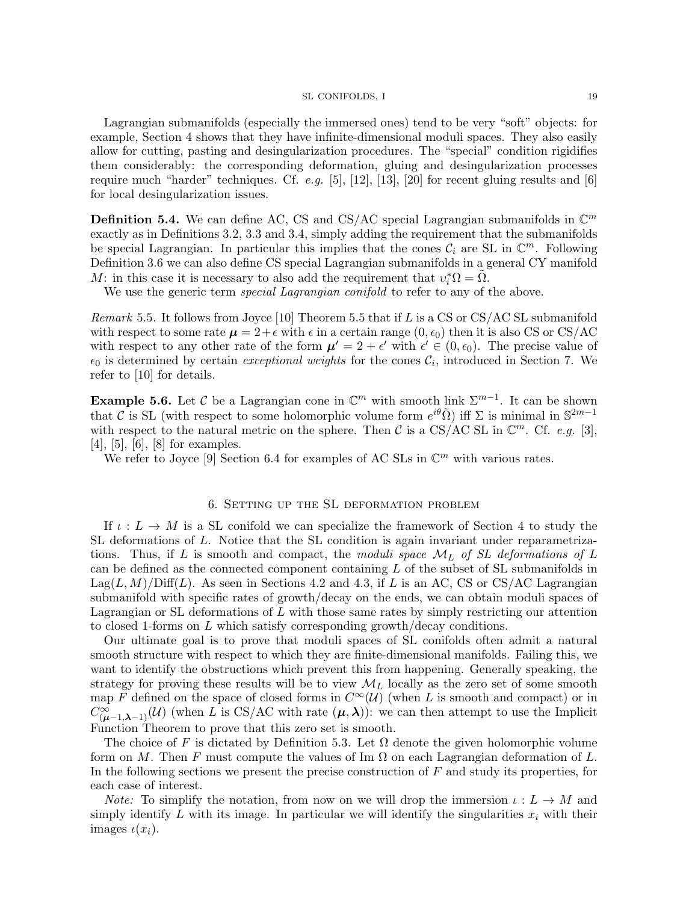Lagrangian submanifolds (especially the immersed ones) tend to be very "soft" objects: for example, Section 4 shows that they have infinite-dimensional moduli spaces. They also easily allow for cutting, pasting and desingularization procedures. The "special" condition rigidifies them considerably: the corresponding deformation, gluing and desingularization processes require much "harder" techniques. Cf. e.g. [5], [12], [13], [20] for recent gluing results and [6] for local desingularization issues.

**Definition 5.4.** We can define AC, CS and CS/AC special Lagrangian submanifolds in  $\mathbb{C}^m$ exactly as in Definitions 3.2, 3.3 and 3.4, simply adding the requirement that the submanifolds be special Lagrangian. In particular this implies that the cones  $\mathcal{C}_i$  are SL in  $\mathbb{C}^m$ . Following Definition 3.6 we can also define CS special Lagrangian submanifolds in a general CY manifold M: in this case it is necessary to also add the requirement that  $v_i^* \Omega = \tilde{\Omega}$ .

We use the generic term *special Lagrangian conifold* to refer to any of the above.

*Remark* 5.5. It follows from Joyce [10] Theorem 5.5 that if L is a CS or  $CS/AC$  SL submanifold with respect to some rate  $\mu = 2 + \epsilon$  with  $\epsilon$  in a certain range  $(0, \epsilon_0)$  then it is also CS or CS/AC with respect to any other rate of the form  $\mu' = 2 + \epsilon'$  with  $\epsilon' \in (0, \epsilon_0)$ . The precise value of  $\epsilon_0$  is determined by certain exceptional weights for the cones  $\mathcal{C}_i$ , introduced in Section 7. We refer to [10] for details.

**Example 5.6.** Let C be a Lagrangian cone in  $\mathbb{C}^m$  with smooth link  $\Sigma^{m-1}$ . It can be shown that C is SL (with respect to some holomorphic volume form  $e^{i\theta}\tilde{\Omega}$ ) iff  $\Sigma$  is minimal in  $\mathbb{S}^{2m-1}$ with respect to the natural metric on the sphere. Then C is a CS/AC SL in  $\mathbb{C}^m$ . Cf. e.g. [3], [4], [5], [6], [8] for examples.

We refer to Joyce [9] Section 6.4 for examples of AC SLs in  $\mathbb{C}^m$  with various rates.

# 6. Setting up the SL deformation problem

If  $\iota: L \to M$  is a SL conifold we can specialize the framework of Section 4 to study the SL deformations of L. Notice that the SL condition is again invariant under reparametrizations. Thus, if L is smooth and compact, the moduli space  $\mathcal{M}_L$  of SL deformations of L can be defined as the connected component containing L of the subset of SL submanifolds in  $\text{Lag}(L, M)/\text{Diff}(L)$ . As seen in Sections 4.2 and 4.3, if L is an AC, CS or CS/AC Lagrangian submanifold with specific rates of growth/decay on the ends, we can obtain moduli spaces of Lagrangian or SL deformations of L with those same rates by simply restricting our attention to closed 1-forms on L which satisfy corresponding growth/decay conditions.

Our ultimate goal is to prove that moduli spaces of SL conifolds often admit a natural smooth structure with respect to which they are finite-dimensional manifolds. Failing this, we want to identify the obstructions which prevent this from happening. Generally speaking, the strategy for proving these results will be to view  $\mathcal{M}_L$  locally as the zero set of some smooth map F defined on the space of closed forms in  $C^{\infty}(\mathcal{U})$  (when L is smooth and compact) or in  $C^{\infty}_{(\mu-1,\lambda-1)}(\mathcal{U})$  (when L is CS/AC with rate  $(\mu,\lambda)$ ): we can then attempt to use the Implicit Function Theorem to prove that this zero set is smooth.

The choice of F is dictated by Definition 5.3. Let  $\Omega$  denote the given holomorphic volume form on M. Then F must compute the values of Im  $\Omega$  on each Lagrangian deformation of L. In the following sections we present the precise construction of  $F$  and study its properties, for each case of interest.

*Note:* To simplify the notation, from now on we will drop the immersion  $\iota : L \to M$  and simply identify  $L$  with its image. In particular we will identify the singularities  $x_i$  with their images  $\iota(x_i)$ .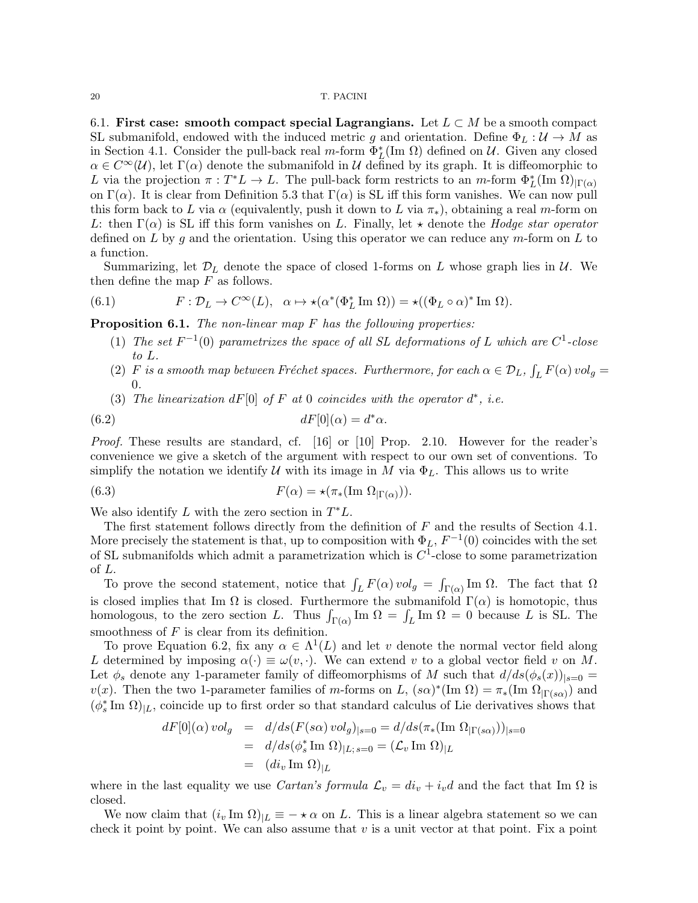6.1. First case: smooth compact special Lagrangians. Let  $L \subset M$  be a smooth compact SL submanifold, endowed with the induced metric g and orientation. Define  $\Phi_L : \mathcal{U} \to M$  as in Section 4.1. Consider the pull-back real m-form  $\Phi_L^*(\text{Im }\Omega)$  defined on U. Given any closed  $\alpha \in C^{\infty}(\mathcal{U})$ , let  $\Gamma(\alpha)$  denote the submanifold in U defined by its graph. It is diffeomorphic to L via the projection  $\pi: T^*L \to L$ . The pull-back form restricts to an m-form  $\Phi_L^*({\rm Im }\ \Omega)_{|\Gamma(\alpha)}$ on  $\Gamma(\alpha)$ . It is clear from Definition 5.3 that  $\Gamma(\alpha)$  is SL iff this form vanishes. We can now pull this form back to L via  $\alpha$  (equivalently, push it down to L via  $\pi_*$ ), obtaining a real m-form on L: then  $\Gamma(\alpha)$  is SL iff this form vanishes on L. Finally, let  $\star$  denote the Hodge star operator defined on  $L$  by  $g$  and the orientation. Using this operator we can reduce any  $m$ -form on  $L$  to a function.

Summarizing, let  $\mathcal{D}_L$  denote the space of closed 1-forms on L whose graph lies in  $\mathcal{U}$ . We then define the map  $F$  as follows.

(6.1) 
$$
F: \mathcal{D}_L \to C^{\infty}(L), \quad \alpha \mapsto \star(\alpha^*(\Phi_L^* \operatorname{Im} \Omega)) = \star((\Phi_L \circ \alpha)^* \operatorname{Im} \Omega).
$$

**Proposition 6.1.** The non-linear map  $F$  has the following properties:

- (1) The set  $F^{-1}(0)$  parametrizes the space of all SL deformations of L which are  $C^1$ -close to L.
- (2) F is a smooth map between Fréchet spaces. Furthermore, for each  $\alpha \in \mathcal{D}_L$ ,  $\int_L F(\alpha) \, vol_g =$ 0.
- (3) The linearization  $dF[0]$  of F at 0 coincides with the operator  $d^*$ , i.e.

(6.2) 
$$
dF[0](\alpha) = d^*\alpha.
$$

Proof. These results are standard, cf. [16] or [10] Prop. 2.10. However for the reader's convenience we give a sketch of the argument with respect to our own set of conventions. To simplify the notation we identify U with its image in M via  $\Phi_L$ . This allows us to write

(6.3) 
$$
F(\alpha) = \star(\pi_*(\text{Im }\Omega_{|\Gamma(\alpha)})).
$$

We also identify  $L$  with the zero section in  $T^*L$ .

The first statement follows directly from the definition of  $F$  and the results of Section 4.1. More precisely the statement is that, up to composition with  $\Phi_L$ ,  $F^{-1}(0)$  coincides with the set of SL submanifolds which admit a parametrization which is  $C<sup>1</sup>$ -close to some parametrization of L.

To prove the second statement, notice that  $\int_L F(\alpha) \, vol_g = \int_{\Gamma(\alpha)} \text{Im } \Omega$ . The fact that  $\Omega$ is closed implies that Im  $\Omega$  is closed. Furthermore the submanifold  $\Gamma(\alpha)$  is homotopic, thus homologous, to the zero section L. Thus  $\int_{\Gamma(\alpha)}$  Im  $\Omega = \int_L$  Im  $\Omega = 0$  because L is SL. The smoothness of  $F$  is clear from its definition.

To prove Equation 6.2, fix any  $\alpha \in \Lambda^1(L)$  and let v denote the normal vector field along L determined by imposing  $\alpha(\cdot) \equiv \omega(v, \cdot)$ . We can extend v to a global vector field v on M. Let  $\phi_s$  denote any 1-parameter family of diffeomorphisms of M such that  $d/ds(\phi_s(x))_{|s=0}$ v(x). Then the two 1-parameter families of m-forms on L,  $(s\alpha)^*(\text{Im }\Omega) = \pi_*(\text{Im }\Omega_{|\Gamma(s\alpha)})$  and  $(\phi_s^*$ Im  $\Omega)_{|L}$ , coincide up to first order so that standard calculus of Lie derivatives shows that

$$
dF[0](\alpha) \, vol_g = d/ds (F(s\alpha) \, vol_g)_{|s=0} = d/ds (\pi_*(\text{Im }\Omega_{|\Gamma(s\alpha)}))_{|s=0}
$$
  
=  $d/ds (\phi_s^* \text{Im }\Omega)_{|L;s=0} = (\mathcal{L}_v \text{Im }\Omega)_{|L}$   
=  $(di_v \text{ Im }\Omega)_{|L}$ 

where in the last equality we use *Cartan's formula*  $\mathcal{L}_v = di_v + i_v d$  and the fact that Im  $\Omega$  is closed.

We now claim that  $(i_v \text{Im } \Omega)_{|L} = - \star \alpha$  on L. This is a linear algebra statement so we can check it point by point. We can also assume that  $v$  is a unit vector at that point. Fix a point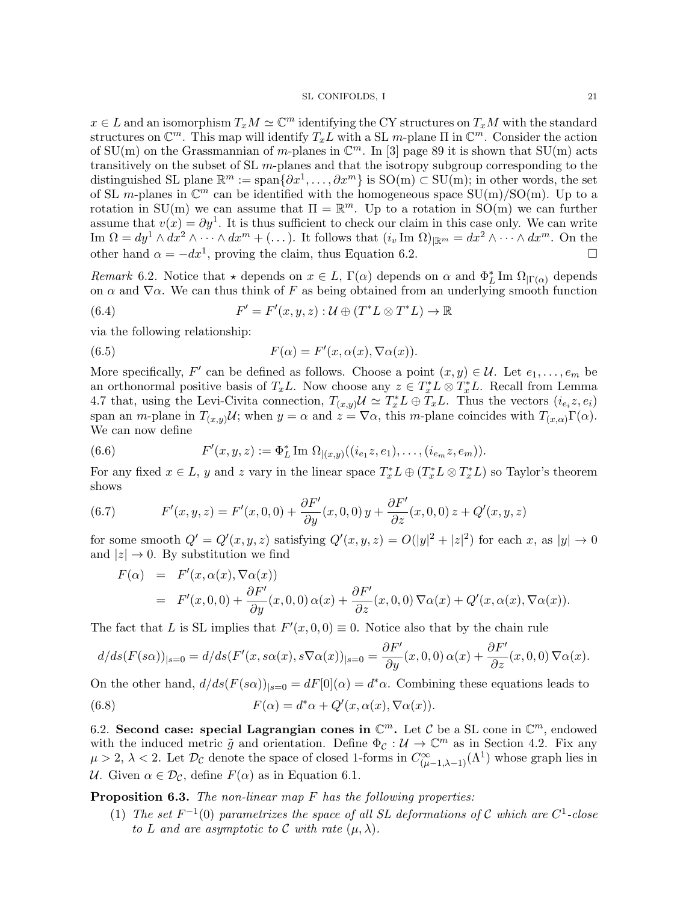$x \in L$  and an isomorphism  $T_x M \simeq \mathbb{C}^m$  identifying the CY structures on  $T_x M$  with the standard structures on  $\mathbb{C}^m$ . This map will identify  $T_x L$  with a SL m-plane  $\Pi$  in  $\mathbb{C}^m$ . Consider the action of SU(m) on the Grassmannian of m-planes in  $\mathbb{C}^m$ . In [3] page 89 it is shown that SU(m) acts transitively on the subset of SL  $m$ -planes and that the isotropy subgroup corresponding to the distinguished SL plane  $\mathbb{R}^m := \text{span}\{\partial x^1, \ldots, \partial x^m\}$  is  $\text{SO}(m) \subset \text{SU}(m)$ ; in other words, the set of SL m-planes in  $\mathbb{C}^m$  can be identified with the homogeneous space  $SU(m)/SO(m)$ . Up to a rotation in SU(m) we can assume that  $\Pi = \mathbb{R}^m$ . Up to a rotation in SO(m) we can further assume that  $v(x) = \partial y^1$ . It is thus sufficient to check our claim in this case only. We can write Im  $\Omega = dy^1 \wedge dx^2 \wedge \cdots \wedge dx^m + (\ldots)$ . It follows that  $(i_v \text{Im } \Omega)_{\mathbb{R}^m} = dx^2 \wedge \cdots \wedge dx^m$ . On the other hand  $\alpha = -dx^1$ , proving the claim, thus Equation 6.2.

Remark 6.2. Notice that  $\star$  depends on  $x \in L$ ,  $\Gamma(\alpha)$  depends on  $\alpha$  and  $\Phi_L^*$  Im  $\Omega_{|\Gamma(\alpha)}$  depends on  $\alpha$  and  $\nabla \alpha$ . We can thus think of F as being obtained from an underlying smooth function

(6.4) 
$$
F' = F'(x, y, z) : \mathcal{U} \oplus (T^*L \otimes T^*L) \to \mathbb{R}
$$

via the following relationship:

(6.5) 
$$
F(\alpha) = F'(x, \alpha(x), \nabla \alpha(x)).
$$

More specifically, F' can be defined as follows. Choose a point  $(x, y) \in \mathcal{U}$ . Let  $e_1, \ldots, e_m$  be an orthonormal positive basis of  $T_xL$ . Now choose any  $z \in T_x^*L \otimes T_x^*L$ . Recall from Lemma 4.7 that, using the Levi-Civita connection,  $T_{(x,y)}\mathcal{U} \simeq T_x^*L \oplus T_xL$ . Thus the vectors  $(i_{e_i}z, e_i)$ span an m-plane in  $T_{(x,y)}\mathcal{U}$ ; when  $y = \alpha$  and  $z = \nabla \alpha$ , this m-plane coincides with  $T_{(x,\alpha)}\Gamma(\alpha)$ . We can now define

(6.6) 
$$
F'(x, y, z) := \Phi_L^* \operatorname{Im} \Omega_{|(x, y)}((i_{e_1}z, e_1), \ldots, (i_{e_m}z, e_m)).
$$

For any fixed  $x \in L$ , y and z vary in the linear space  $T_x^*L \oplus (T_x^*L \otimes T_x^*L)$  so Taylor's theorem shows

(6.7) 
$$
F'(x, y, z) = F'(x, 0, 0) + \frac{\partial F'}{\partial y}(x, 0, 0) y + \frac{\partial F'}{\partial z}(x, 0, 0) z + Q'(x, y, z)
$$

for some smooth  $Q' = Q'(x, y, z)$  satisfying  $Q'(x, y, z) = O(|y|^2 + |z|^2)$  for each x, as  $|y| \to 0$ and  $|z| \to 0$ . By substitution we find

$$
F(\alpha) = F'(x, \alpha(x), \nabla \alpha(x))
$$
  
=  $F'(x, 0, 0) + \frac{\partial F'}{\partial y}(x, 0, 0) \alpha(x) + \frac{\partial F'}{\partial z}(x, 0, 0) \nabla \alpha(x) + Q'(x, \alpha(x), \nabla \alpha(x)).$ 

The fact that L is SL implies that  $F'(x, 0, 0) \equiv 0$ . Notice also that by the chain rule

$$
d/ds(F(s\alpha))_{|s=0} = d/ds(F'(x, s\alpha(x), s\nabla\alpha(x))_{|s=0} = \frac{\partial F'}{\partial y}(x, 0, 0) \alpha(x) + \frac{\partial F'}{\partial z}(x, 0, 0) \nabla\alpha(x).
$$

On the other hand,  $d/ds(F(s\alpha))_{|s=0} = dF[0](\alpha) = d^*\alpha$ . Combining these equations leads to

(6.8) 
$$
F(\alpha) = d^*\alpha + Q'(x, \alpha(x), \nabla \alpha(x)).
$$

6.2. Second case: special Lagrangian cones in  $\mathbb{C}^m$ . Let C be a SL cone in  $\mathbb{C}^m$ , endowed with the induced metric  $\tilde{g}$  and orientation. Define  $\Phi_{\mathcal{C}}: \mathcal{U} \to \mathbb{C}^m$  as in Section 4.2. Fix any  $\mu > 2$ ,  $\lambda < 2$ . Let  $\mathcal{D}_{\mathcal{C}}$  denote the space of closed 1-forms in  $C^{\infty}_{(\mu-1,\lambda-1)}(\Lambda^1)$  whose graph lies in U. Given  $\alpha \in \mathcal{D}_{\mathcal{C}}$ , define  $F(\alpha)$  as in Equation 6.1.

Proposition 6.3. The non-linear map F has the following properties:

(1) The set  $F^{-1}(0)$  parametrizes the space of all SL deformations of C which are  $C^1$ -close to L and are asymptotic to C with rate  $(\mu, \lambda)$ .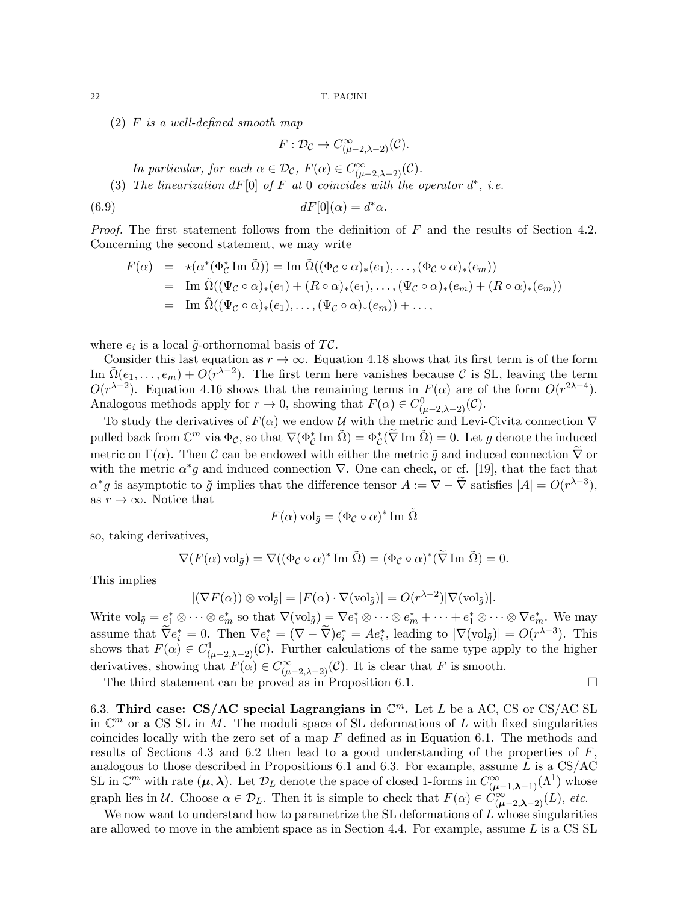(2) F is a well-defined smooth map

 $F: \mathcal{D}_{\mathcal{C}} \to C^{\infty}_{(\mu-2,\lambda-2)}(\mathcal{C}).$ 

In particular, for each  $\alpha \in \mathcal{D}_{\mathcal{C}}$ ,  $F(\alpha) \in C^{\infty}_{(\mu-2,\lambda-2)}(\mathcal{C})$ .

(3) The linearization  $dF[0]$  of F at 0 coincides with the operator  $d^*$ , i.e.

(6.9) 
$$
dF[0](\alpha) = d^*\alpha.
$$

*Proof.* The first statement follows from the definition of  $F$  and the results of Section 4.2. Concerning the second statement, we may write

$$
F(\alpha) = \star(\alpha^*(\Phi_C^* \operatorname{Im} \tilde{\Omega})) = \operatorname{Im} \tilde{\Omega}((\Phi_C \circ \alpha)_*(e_1), \dots, (\Phi_C \circ \alpha)_*(e_m))
$$
  
= 
$$
\operatorname{Im} \tilde{\Omega}((\Psi_C \circ \alpha)_*(e_1) + (R \circ \alpha)_*(e_1), \dots, (\Psi_C \circ \alpha)_*(e_m) + (R \circ \alpha)_*(e_m))
$$
  
= 
$$
\operatorname{Im} \tilde{\Omega}((\Psi_C \circ \alpha)_*(e_1), \dots, (\Psi_C \circ \alpha)_*(e_m)) + \dots,
$$

where  $e_i$  is a local  $\tilde{g}$ -orthornomal basis of TC.

Consider this last equation as  $r \to \infty$ . Equation 4.18 shows that its first term is of the form Im  $\tilde{\Omega}(e_1,\ldots,e_m) + \tilde{\Omega(r^{\lambda-2})}$ . The first term here vanishes because C is SL, leaving the term  $O(r^{\lambda-2})$ . Equation 4.16 shows that the remaining terms in  $F(\alpha)$  are of the form  $O(r^{2\lambda-4})$ . Analogous methods apply for  $r \to 0$ , showing that  $F(\alpha) \in C^0_{(\mu-2,\lambda-2)}(\mathcal{C})$ .

To study the derivatives of  $F(\alpha)$  we endow U with the metric and Levi-Civita connection  $\nabla$ pulled back from  $\mathbb{C}^m$  via  $\Phi_{\mathcal{C}}$ , so that  $\nabla(\Phi_{\mathcal{C}}^*\text{Im }\tilde{\Omega}) = \Phi_{\mathcal{C}}^*(\tilde{\nabla} \text{Im }\tilde{\Omega}) = 0$ . Let g denote the induced metric on  $\Gamma(\alpha)$ . Then C can be endowed with either the metric  $\tilde{q}$  and induced connection  $\nabla$  or with the metric  $\alpha^* g$  and induced connection  $\nabla$ . One can check, or cf. [19], that the fact that  $\alpha^* g$  is asymptotic to  $\tilde{g}$  implies that the difference tensor  $A := \nabla - \tilde{\nabla}$  satisfies  $|A| = O(r^{\lambda-3}),$ as  $r \to \infty$ . Notice that

$$
F(\alpha) \,\mathrm{vol}_{\tilde{g}} = (\Phi_{\mathcal{C}} \circ \alpha)^* \,\mathrm{Im}\,\,\tilde{\Omega}
$$

so, taking derivatives,

$$
\nabla(F(\alpha)\,\mathrm{vol}_{\tilde{g}}) = \nabla((\Phi_{\mathcal{C}}\circ\alpha)^* \mathrm{Im}\,\,\tilde{\Omega}) = (\Phi_{\mathcal{C}}\circ\alpha)^*(\widetilde{\nabla}\mathrm{Im}\,\,\tilde{\Omega}) = 0.
$$

This implies

$$
|(\nabla F(\alpha)) \otimes \text{vol}_{\tilde{g}}| = |F(\alpha) \cdot \nabla(\text{vol}_{\tilde{g}})| = O(r^{\lambda - 2}) |\nabla(\text{vol}_{\tilde{g}})|.
$$

Write  $\mathrm{vol}_{\tilde{g}} = e_1^* \otimes \cdots \otimes e_m^*$  so that  $\nabla(\mathrm{vol}_{\tilde{g}}) = \nabla e_1^* \otimes \cdots \otimes e_m^* + \cdots + e_1^* \otimes \cdots \otimes \nabla e_m^*$ . We may assume that  $\widetilde{\nabla}e_i^* = 0$ . Then  $\nabla e_i^* = (\nabla - \widetilde{\nabla})e_i^* = Ae_i^*$ , leading to  $|\nabla(\text{vol}_{\tilde{g}})| = O(r^{\lambda-3})$ . This shows that  $F(\alpha) \in C^1_{(\mu-2,\lambda-2)}(\mathcal{C})$ . Further calculations of the same type apply to the higher derivatives, showing that  $F(\alpha) \in C^{\infty}_{(\mu-2,\lambda-2)}(\mathcal{C})$ . It is clear that F is smooth.

The third statement can be proved as in Proposition 6.1.  $\Box$ 

6.3. Third case: CS/AC special Lagrangians in  $\mathbb{C}^m$ . Let L be a AC, CS or CS/AC SL in  $\mathbb{C}^m$  or a CS SL in M. The moduli space of SL deformations of L with fixed singularities coincides locally with the zero set of a map  $F$  defined as in Equation 6.1. The methods and results of Sections 4.3 and 6.2 then lead to a good understanding of the properties of  $F$ , analogous to those described in Propositions 6.1 and 6.3. For example, assume L is a  $\text{CS/AC}$ SL in  $\mathbb{C}^m$  with rate  $(\mu, \lambda)$ . Let  $\mathcal{D}_L$  denote the space of closed 1-forms in  $C^{\infty}_{(\mu-1,\lambda-1)}(\Lambda^1)$  whose graph lies in U. Choose  $\alpha \in \mathcal{D}_L$ . Then it is simple to check that  $F(\alpha) \in \check{C}^{\infty}_{(\mu-2,\lambda-2)}(L)$ , etc.

We now want to understand how to parametrize the SL deformations of  $L$  whose singularities are allowed to move in the ambient space as in Section 4.4. For example, assume  $L$  is a CS SL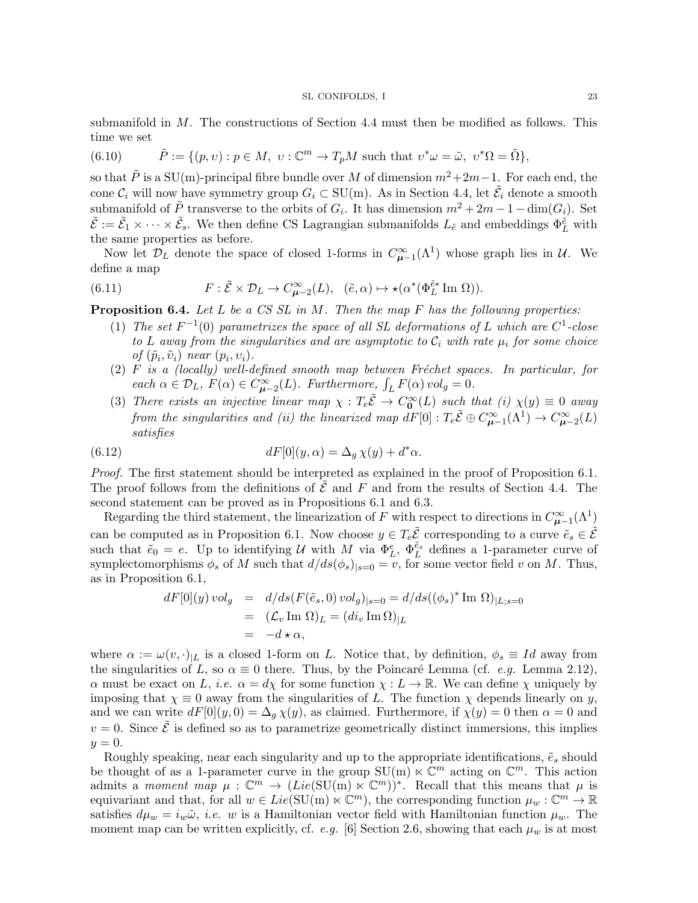submanifold in M. The constructions of Section 4.4 must then be modified as follows. This time we set

(6.10) 
$$
\tilde{P} := \{ (p, v) : p \in M, v : \mathbb{C}^m \to T_p M \text{ such that } v^* \omega = \tilde{\omega}, v^* \Omega = \tilde{\Omega} \},
$$

so that  $\tilde{P}$  is a SU(m)-principal fibre bundle over M of dimension  $m^2+2m-1$ . For each end, the cone  $\mathcal{C}_i$  will now have symmetry group  $G_i \subset SU(m)$ . As in Section 4.4, let  $\tilde{\mathcal{E}}_i$  denote a smooth submanifold of  $\tilde{P}$  transverse to the orbits of  $G_i$ . It has dimension  $m^2 + 2m - 1 - \dim(G_i)$ . Set  $\tilde{\mathcal{E}} := \tilde{\mathcal{E}}_1 \times \cdots \times \tilde{\mathcal{E}}_s$ . We then define CS Lagrangian submanifolds  $L_{\tilde{e}}$  and embeddings  $\Phi_L^{\tilde{e}}$  with the same properties as before.

Now let  $\mathcal{D}_L$  denote the space of closed 1-forms in  $C^{\infty}_{\mu-1}(\Lambda^1)$  whose graph lies in  $\mathcal{U}$ . We define a map

(6.11) 
$$
F: \tilde{\mathcal{E}} \times \mathcal{D}_L \to C^{\infty}_{\mu-2}(L), \quad (\tilde{e}, \alpha) \mapsto \star(\alpha^*(\Phi_L^{\tilde{e}*} \text{Im } \Omega)).
$$

**Proposition 6.4.** Let L be a CS SL in M. Then the map F has the following properties:

- (1) The set  $F^{-1}(0)$  parametrizes the space of all SL deformations of L which are  $C^1$ -close to L away from the singularities and are asymptotic to  $\mathcal{C}_i$  with rate  $\mu_i$  for some choice of  $(\tilde{p}_i, \tilde{v}_i)$  near  $(p_i, v_i)$ .
- $(2)$  F is a (locally) well-defined smooth map between Fréchet spaces. In particular, for each  $\alpha \in \mathcal{D}_L$ ,  $F(\alpha) \in C^{\infty}_{\mu-2}(L)$ . Furthermore,  $\int_L F(\alpha) \, vol_g = 0$ .
- (3) There exists an injective linear map  $\chi : T_e \tilde{E} \to C_0^{\infty}(L)$  such that (i)  $\chi(y) \equiv 0$  away from the singularities and (ii) the linearized map  $dF[0]$  :  $T_e\tilde{\mathcal{E}} \oplus C_{\mu-1}^{\infty}(\Lambda^1) \to C_{\mu-2}^{\infty}(L)$ satisfies

(6.12) 
$$
dF[0](y,\alpha) = \Delta_g \chi(y) + d^*\alpha.
$$

Proof. The first statement should be interpreted as explained in the proof of Proposition 6.1. The proof follows from the definitions of  $\tilde{\mathcal{E}}$  and F and from the results of Section 4.4. The second statement can be proved as in Propositions 6.1 and 6.3.

Regarding the third statement, the linearization of F with respect to directions in  $C^{\infty}_{\mu-1}(\Lambda^1)$ can be computed as in Proposition 6.1. Now choose  $y \in T_e \tilde{\mathcal{E}}$  corresponding to a curve  $\tilde{e}_s \in \tilde{\mathcal{E}}$ such that  $\tilde{e}_0 = e$ . Up to identifying U with M via  $\Phi_L^e$ ,  $\Phi_L^{\tilde{e}_s}$  defines a 1-parameter curve of symplectomorphisms  $\phi_s$  of M such that  $d/ds(\phi_s)_{|s=0} = v$ , for some vector field v on M. Thus, as in Proposition 6.1,

$$
dF[0](y) \, vol_g = d/ds (F(\tilde{e}_s, 0) \, vol_g)_{|s=0} = d/ds ((\phi_s)^* \operatorname{Im} \Omega)_{|L;s=0}
$$
  
=  $(\mathcal{L}_v \operatorname{Im} \Omega)_L = (di_v \operatorname{Im} \Omega)_{|L}$   
=  $-d \star \alpha$ ,

where  $\alpha := \omega(v, \cdot)_{|L}$  is a closed 1-form on L. Notice that, by definition,  $\phi_s \equiv Id$  away from the singularities of L, so  $\alpha \equiv 0$  there. Thus, by the Poincaré Lemma (cf. e.g. Lemma 2.12),  $\alpha$  must be exact on L, *i.e.*  $\alpha = d\chi$  for some function  $\chi : L \to \mathbb{R}$ . We can define  $\chi$  uniquely by imposing that  $\chi \equiv 0$  away from the singularities of L. The function  $\chi$  depends linearly on y, and we can write  $dF[0](y,0) = \Delta_q \chi(y)$ , as claimed. Furthermore, if  $\chi(y) = 0$  then  $\alpha = 0$  and  $v = 0$ . Since  $\tilde{\mathcal{E}}$  is defined so as to parametrize geometrically distinct immersions, this implies  $y=0.$ 

Roughly speaking, near each singularity and up to the appropriate identifications,  $\tilde{e}_s$  should be thought of as a 1-parameter curve in the group  $SU(m) \ltimes \mathbb{C}^m$  acting on  $\mathbb{C}^m$ . This action admits a moment map  $\mu: \mathbb{C}^m \to (Lie(SU(m) \ltimes \mathbb{C}^m))^{*}$ . Recall that this means that  $\mu$  is equivariant and that, for all  $w \in Lie(\mathrm{SU}(m) \ltimes \mathbb{C}^m)$ , the corresponding function  $\mu_w : \mathbb{C}^m \to \mathbb{R}$ satisfies  $d\mu_w = i_w \tilde{\omega}$ , *i.e.* w is a Hamiltonian vector field with Hamiltonian function  $\mu_w$ . The moment map can be written explicitly, cf. e.g. [6] Section 2.6, showing that each  $\mu_w$  is at most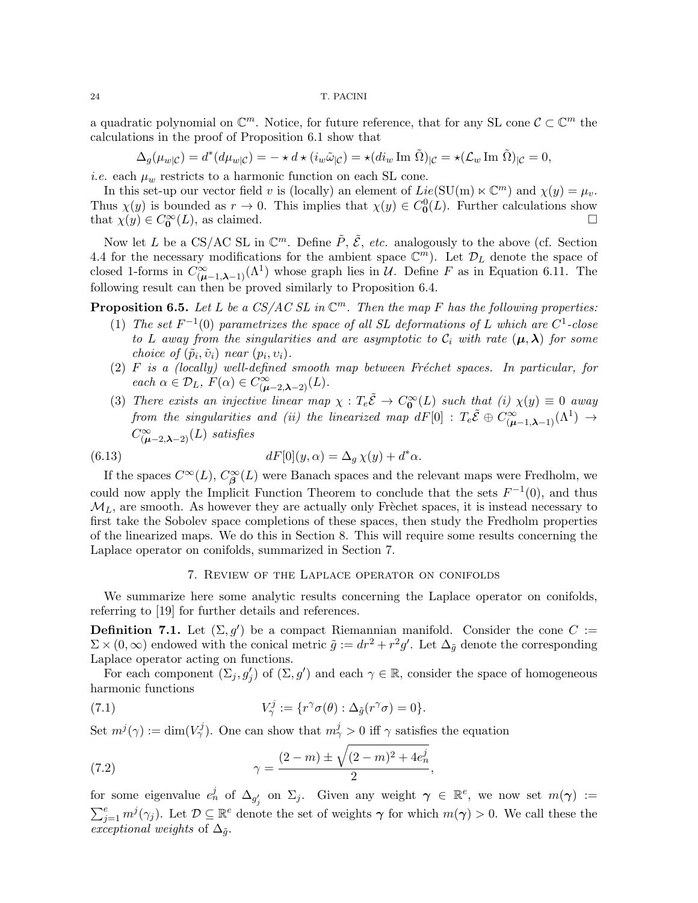a quadratic polynomial on  $\mathbb{C}^m$ . Notice, for future reference, that for any SL cone  $\mathcal{C} \subset \mathbb{C}^m$  the calculations in the proof of Proposition 6.1 show that

$$
\Delta_g(\mu_{w|\mathcal{C}}) = d^*(d\mu_{w|\mathcal{C}}) = - \star d \star (i_w \tilde{\omega}_{|\mathcal{C}}) = \star (d i_w \operatorname{Im} \tilde{\Omega})_{|\mathcal{C}} = \star (\mathcal{L}_w \operatorname{Im} \tilde{\Omega})_{|\mathcal{C}} = 0,
$$

*i.e.* each  $\mu_w$  restricts to a harmonic function on each SL cone.

In this set-up our vector field v is (locally) an element of  $Lie(SU(m) \ltimes \mathbb{C}^m)$  and  $\chi(y) = \mu_v$ . Thus  $\chi(y)$  is bounded as  $r \to 0$ . This implies that  $\chi(y) \in C_0^0(L)$ . Further calculations show that  $\chi(y) \in C_0^{\infty}(L)$ , as claimed.

Now let L be a CS/AC SL in  $\mathbb{C}^m$ . Define  $\tilde{P}$ ,  $\tilde{\mathcal{E}}$ , etc. analogously to the above (cf. Section 4.4 for the necessary modifications for the ambient space  $\mathbb{C}^m$ ). Let  $\mathcal{D}_L$  denote the space of closed 1-forms in  $C^{\infty}_{(\mu-1,\lambda-1)}(\Lambda^1)$  whose graph lies in U. Define F as in Equation 6.11. The following result can then be proved similarly to Proposition 6.4.

**Proposition 6.5.** Let L be a CS/AC SL in  $\mathbb{C}^m$ . Then the map F has the following properties:

- (1) The set  $F^{-1}(0)$  parametrizes the space of all SL deformations of L which are  $C^1$ -close to L away from the singularities and are asymptotic to  $\mathcal{C}_i$  with rate  $(\mu, \lambda)$  for some choice of  $(\tilde{p}_i, \tilde{v}_i)$  near  $(p_i, v_i)$ .
- $(2)$  F is a (locally) well-defined smooth map between Fréchet spaces. In particular, for each  $\alpha \in \mathcal{D}_L$ ,  $F(\alpha) \in C^{\infty}_{(\mu-2,\lambda-2)}(L)$ .
- (3) There exists an injective linear map  $\chi : T_e \tilde{E} \to C_0^{\infty}(L)$  such that (i)  $\chi(y) \equiv 0$  away from the singularities and (ii) the linearized map  $dF[0]$  :  $T_e\tilde{\mathcal{E}} \oplus C^\infty_{(\mu-1,\boldsymbol{\lambda}-1)}(\Lambda^1) \rightarrow$  $C^{\infty}_{(\mu-2,\lambda-2)}(L)$  satisfies

(6.13) 
$$
dF[0](y,\alpha) = \Delta_g \chi(y) + d^*\alpha.
$$

If the spaces  $C^{\infty}(L)$ ,  $C^{\infty}_{\beta}(L)$  were Banach spaces and the relevant maps were Fredholm, we could now apply the Implicit Function Theorem to conclude that the sets  $F^{-1}(0)$ , and thus  $M_L$ , are smooth. As however they are actually only Frèchet spaces, it is instead necessary to first take the Sobolev space completions of these spaces, then study the Fredholm properties of the linearized maps. We do this in Section 8. This will require some results concerning the Laplace operator on conifolds, summarized in Section 7.

### 7. Review of the Laplace operator on conifolds

We summarize here some analytic results concerning the Laplace operator on conifolds, referring to [19] for further details and references.

**Definition 7.1.** Let  $(\Sigma, g')$  be a compact Riemannian manifold. Consider the cone C :=  $\Sigma \times (0,\infty)$  endowed with the conical metric  $\tilde{g} := dr^2 + r^2 g'$ . Let  $\Delta_{\tilde{g}}$  denote the corresponding Laplace operator acting on functions.

For each component  $(\Sigma_j, g'_j)$  of  $(\Sigma, g')$  and each  $\gamma \in \mathbb{R}$ , consider the space of homogeneous harmonic functions

(7.1) 
$$
V^j_\gamma := \{r^\gamma \sigma(\theta) : \Delta_{\tilde{g}}(r^\gamma \sigma) = 0\}.
$$

Set  $m^{j}(\gamma) := \dim(V_{\gamma}^{j})$ . One can show that  $m_{\gamma}^{j} > 0$  iff  $\gamma$  satisfies the equation

(7.2) 
$$
\gamma = \frac{(2-m) \pm \sqrt{(2-m)^2 + 4e_n^j}}{2},
$$

for some eigenvalue  $e_n^j$  of  $\Delta_{g'_j}$  on  $\Sigma_j$ . Given any weight  $\gamma \in \mathbb{R}^e$ , we now set  $m(\gamma) :=$  $\sum_{j=1}^e m^j(\gamma_j)$ . Let  $\mathcal{D} \subseteq \mathbb{R}^e$  denote the set of weights  $\gamma$  for which  $m(\gamma) > 0$ . We call these the exceptional weights of  $\Delta_{\tilde{q}}$ .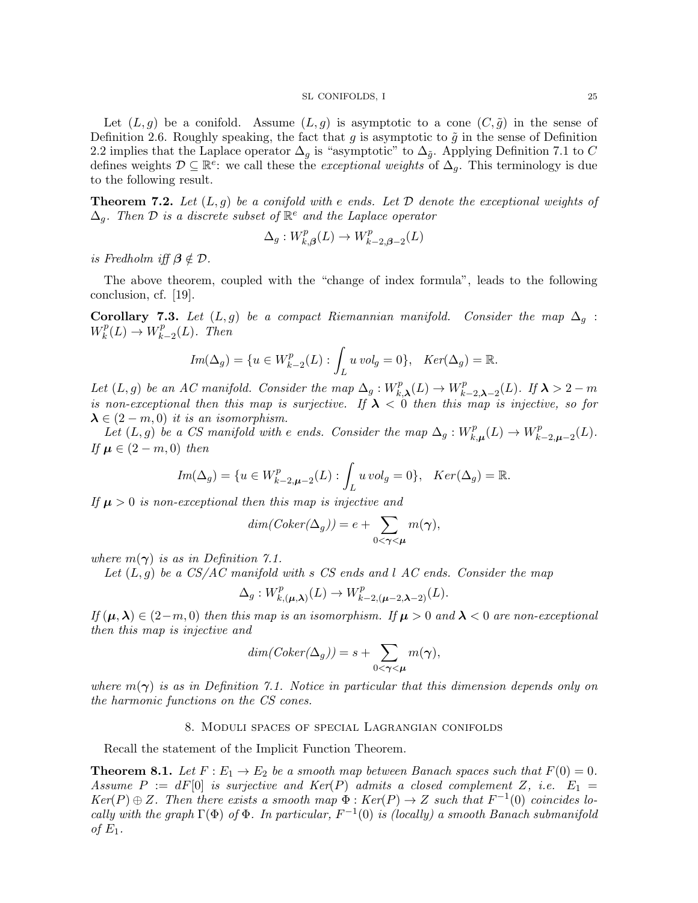Let  $(L, g)$  be a conifold. Assume  $(L, g)$  is asymptotic to a cone  $(C, \tilde{g})$  in the sense of Definition 2.6. Roughly speaking, the fact that g is asymptotic to  $\tilde{g}$  in the sense of Definition 2.2 implies that the Laplace operator  $\Delta_q$  is "asymptotic" to  $\Delta_{\tilde{q}}$ . Applying Definition 7.1 to C defines weights  $\mathcal{D} \subseteq \mathbb{R}^e$ : we call these the *exceptional weights* of  $\Delta_g$ . This terminology is due to the following result.

**Theorem 7.2.** Let  $(L, g)$  be a conifold with e ends. Let  $D$  denote the exceptional weights of  $\Delta_g$ . Then  $\mathcal D$  is a discrete subset of  $\mathbb R^e$  and the Laplace operator

$$
\Delta_g: W_{k,\beta}^p(L) \to W_{k-2,\beta-2}^p(L)
$$

is Fredholm iff  $\beta \notin \mathcal{D}$ .

The above theorem, coupled with the "change of index formula", leads to the following conclusion, cf. [19].

**Corollary 7.3.** Let  $(L, g)$  be a compact Riemannian manifold. Consider the map  $\Delta_g$ :  $W_k^p$  $\chi_k^p(L) \to W_k^p$  $k-2(L)$ . Then

$$
Im(\Delta_g) = \{ u \in W_{k-2}^p(L) : \int_L u \, vol_g = 0 \}, \quad Ker(\Delta_g) = \mathbb{R}.
$$

Let  $(L, g)$  be an AC manifold. Consider the map  $\Delta_g : W_k^p$  $W_{k,\boldsymbol{\lambda}}^p(L) \to W_k^p$  $\iota_{k-2,\boldsymbol{\lambda}-2}^{p}(L)$ . If  $\boldsymbol{\lambda}>2-m$ is non-exceptional then this map is surjective. If  $\lambda < 0$  then this map is injective, so for  $\lambda \in (2-m,0)$  it is an isomorphism.

Let  $(L, g)$  be a CS manifold with e ends. Consider the map  $\Delta_g : W_k^p$  $k, \mu(L) \to W_k^p$  $_{k-2,\boldsymbol{\mu}-2}^p(L).$ If  $\mu \in (2-m,0)$  then

$$
Im(\Delta_g) = \{ u \in W^p_{k-2,\mu-2}(L) : \int_L u \, vol_g = 0 \}, \quad Ker(\Delta_g) = \mathbb{R}.
$$

If  $\mu > 0$  is non-exceptional then this map is injective and

$$
dim(Coker(\Delta_g)) = e + \sum_{0 < \gamma < \mu} m(\gamma),
$$

where  $m(\gamma)$  is as in Definition 7.1.

Let  $(L, q)$  be a CS/AC manifold with s CS ends and l AC ends. Consider the map

$$
\Delta_g: W^p_{k,(\boldsymbol{\mu},\boldsymbol{\lambda})}(L) \to W^p_{k-2,(\boldsymbol{\mu}-2,\boldsymbol{\lambda}-2)}(L).
$$

If  $(\mu, \lambda) \in (2-m, 0)$  then this map is an isomorphism. If  $\mu > 0$  and  $\lambda < 0$  are non-exceptional then this map is injective and

$$
dim(Coker(\Delta_g)) = s + \sum_{0 < \gamma < \mu} m(\gamma),
$$

where  $m(\gamma)$  is as in Definition 7.1. Notice in particular that this dimension depends only on the harmonic functions on the CS cones.

#### 8. Moduli spaces of special Lagrangian conifolds

Recall the statement of the Implicit Function Theorem.

**Theorem 8.1.** Let  $F: E_1 \to E_2$  be a smooth map between Banach spaces such that  $F(0) = 0$ . Assume  $P := dF[0]$  is surjective and  $Ker(P)$  admits a closed complement Z, i.e.  $E_1 =$  $Ker(P) \oplus Z$ . Then there exists a smooth map  $\Phi : Ker(P) \to Z$  such that  $F^{-1}(0)$  coincides locally with the graph  $\Gamma(\Phi)$  of  $\Phi$ . In particular,  $F^{-1}(0)$  is (locally) a smooth Banach submanifold of  $E_1$ .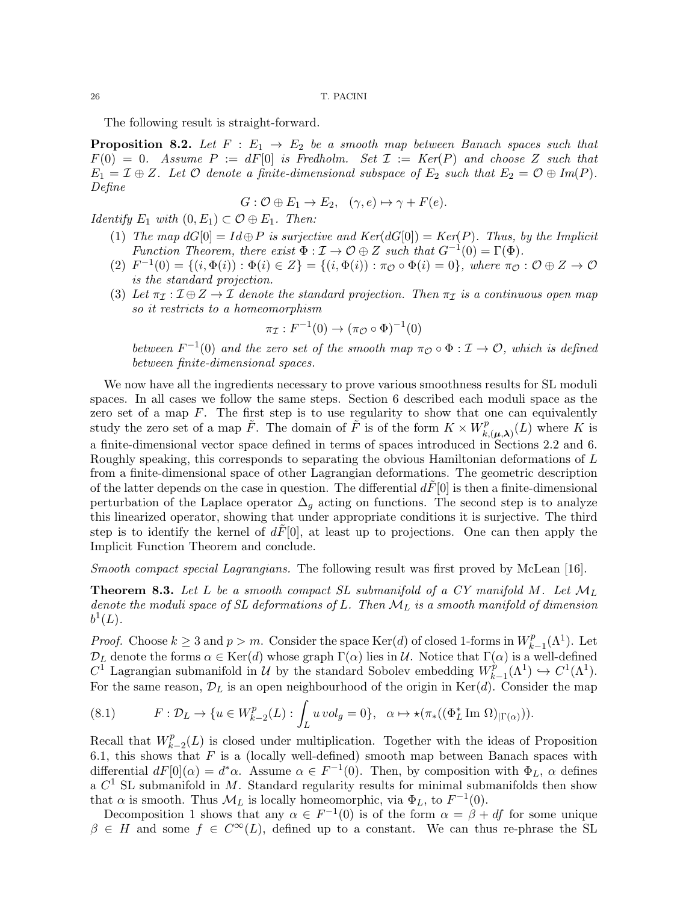The following result is straight-forward.

**Proposition 8.2.** Let  $F : E_1 \rightarrow E_2$  be a smooth map between Banach spaces such that  $F(0) = 0$ . Assume  $P := dF[0]$  is Fredholm. Set  $\mathcal{I} := Ker(P)$  and choose Z such that  $E_1 = \mathcal{I} \oplus \mathcal{Z}$ . Let  $\mathcal O$  denote a finite-dimensional subspace of  $E_2$  such that  $E_2 = \mathcal O \oplus Im(P)$ . Define

$$
G: \mathcal{O} \oplus E_1 \to E_2, \quad (\gamma, e) \mapsto \gamma + F(e).
$$

*Identify*  $E_1$  with  $(0, E_1) \subset \mathcal{O} \oplus E_1$ . Then:

- (1) The map  $dG[0] = Id \oplus P$  is surjective and  $Ker(dG[0]) = Ker(P)$ . Thus, by the Implicit Function Theorem, there exist  $\Phi : \mathcal{I} \to \mathcal{O} \oplus Z$  such that  $G^{-1}(0) = \Gamma(\Phi)$ .
- (2)  $F^{-1}(0) = \{(i, \Phi(i)) : \Phi(i) \in Z\} = \{(i, \Phi(i)) : \pi_{\mathcal{O}} \circ \Phi(i) = 0\}$ , where  $\pi_{\mathcal{O}} : \mathcal{O} \oplus Z \to \mathcal{O}$ is the standard projection.
- (3) Let  $\pi_{\mathcal{I}} : \mathcal{I} \oplus \mathcal{Z} \to \mathcal{I}$  denote the standard projection. Then  $\pi_{\mathcal{I}}$  is a continuous open map so it restricts to a homeomorphism

$$
\pi_{\mathcal{I}}: F^{-1}(0) \to (\pi_{\mathcal{O}} \circ \Phi)^{-1}(0)
$$

between  $F^{-1}(0)$  and the zero set of the smooth map  $\pi_{\mathcal{O}} \circ \Phi : \mathcal{I} \to \mathcal{O}$ , which is defined between finite-dimensional spaces.

We now have all the ingredients necessary to prove various smoothness results for SL moduli spaces. In all cases we follow the same steps. Section 6 described each moduli space as the zero set of a map  $F$ . The first step is to use regularity to show that one can equivalently study the zero set of a map  $\tilde{F}$ . The domain of  $\tilde{F}$  is of the form  $K \times W_p^p$ .  $k(\mu,\lambda)}^{p}(L)$  where K is a finite-dimensional vector space defined in terms of spaces introduced in Sections 2.2 and 6. Roughly speaking, this corresponds to separating the obvious Hamiltonian deformations of L from a finite-dimensional space of other Lagrangian deformations. The geometric description of the latter depends on the case in question. The differential  $d\tilde{F}[0]$  is then a finite-dimensional perturbation of the Laplace operator  $\Delta_g$  acting on functions. The second step is to analyze this linearized operator, showing that under appropriate conditions it is surjective. The third step is to identify the kernel of  $dF[0]$ , at least up to projections. One can then apply the Implicit Function Theorem and conclude.

Smooth compact special Lagrangians. The following result was first proved by McLean [16].

**Theorem 8.3.** Let L be a smooth compact SL submanifold of a CY manifold M. Let  $\mathcal{M}_L$ denote the moduli space of SL deformations of L. Then  $\mathcal{M}_L$  is a smooth manifold of dimension  $b^1(L)$ .

*Proof.* Choose  $k \geq 3$  and  $p > m$ . Consider the space Ker(d) of closed 1-forms in  $W_k^p$ .  $k-1}^{p}(\Lambda^1)$ . Let  $\mathcal{D}_L$  denote the forms  $\alpha \in \text{Ker}(d)$  whose graph  $\Gamma(\alpha)$  lies in  $\mathcal{U}$ . Notice that  $\Gamma(\alpha)$  is a well-defined  $C^{\overline{1}}$  Lagrangian submanifold in  $\mathcal{U}$  by the standard Sobolev embedding  $W_k^{\hat{p}}$  $\chi_{k-1}^p(\Lambda^1) \hookrightarrow C^1(\Lambda^1).$ For the same reason,  $\mathcal{D}_L$  is an open neighbourhood of the origin in Ker(d). Consider the map

(8.1) 
$$
F: \mathcal{D}_L \to \{u \in W_{k-2}^p(L): \int_L u \, vol_g = 0\}, \quad \alpha \mapsto \star(\pi_*((\Phi_L^* \operatorname{Im} \Omega)|_{\Gamma(\alpha)})).
$$

Recall that  $W_k^p$  $k-2(L)$  is closed under multiplication. Together with the ideas of Proposition 6.1, this shows that  $F$  is a (locally well-defined) smooth map between Banach spaces with differential  $dF[0](\alpha) = d^*\alpha$ . Assume  $\alpha \in F^{-1}(0)$ . Then, by composition with  $\Phi_L$ ,  $\alpha$  defines a  $C<sup>1</sup>$  SL submanifold in M. Standard regularity results for minimal submanifolds then show that  $\alpha$  is smooth. Thus  $\mathcal{M}_L$  is locally homeomorphic, via  $\Phi_L$ , to  $F^{-1}(0)$ .

Decomposition 1 shows that any  $\alpha \in F^{-1}(0)$  is of the form  $\alpha = \beta + df$  for some unique  $\beta \in H$  and some  $f \in C^{\infty}(L)$ , defined up to a constant. We can thus re-phrase the SL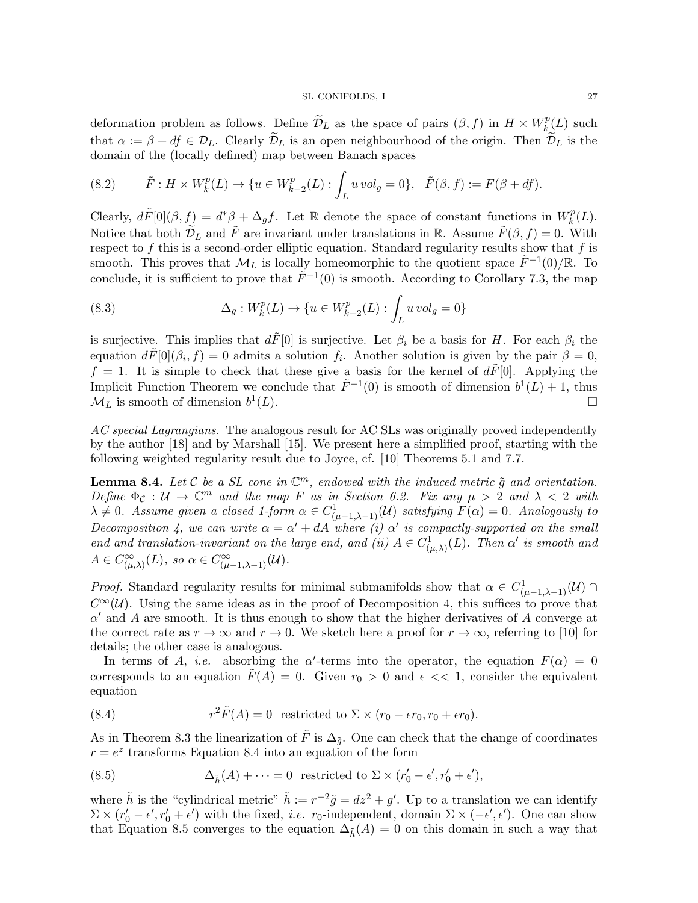deformation problem as follows. Define  $\widetilde{\mathcal{D}}_L$  as the space of pairs  $(\beta, f)$  in  $H \times W^p_{k}$  $\int_k^p(L)$  such that  $\alpha := \beta + df \in \mathcal{D}_L$ . Clearly  $\widetilde{\mathcal{D}}_L$  is an open neighbourhood of the origin. Then  $\widetilde{\mathcal{D}}_L$  is the domain of the (locally defined) map between Banach spaces

(8.2) 
$$
\tilde{F}: H \times W_k^p(L) \to \{u \in W_{k-2}^p(L) : \int_L u \, vol_g = 0\}, \quad \tilde{F}(\beta, f) := F(\beta + df).
$$

Clearly,  $d\tilde{F}[0](\beta, f) = d^*\beta + \Delta_g f$ . Let R denote the space of constant functions in  $W_k^p$  $\binom{p}{k}(L)$ . Notice that both  $\widetilde{\mathcal{D}}_L$  and  $\widetilde{F}$  are invariant under translations in R. Assume  $\widetilde{F}(\beta, f) = 0$ . With respect to  $f$  this is a second-order elliptic equation. Standard regularity results show that  $f$  is smooth. This proves that  $\mathcal{M}_L$  is locally homeomorphic to the quotient space  $\tilde{F}^{-1}(0)/\mathbb{R}$ . To conclude, it is sufficient to prove that  $\tilde{F}^{-1}(0)$  is smooth. According to Corollary 7.3, the map

(8.3) 
$$
\Delta_g: W_k^p(L) \to \{ u \in W_{k-2}^p(L) : \int_L u \, vol_g = 0 \}
$$

is surjective. This implies that  $d\tilde{F}[0]$  is surjective. Let  $\beta_i$  be a basis for H. For each  $\beta_i$  the equation  $d\tilde{F}[0](\beta_i, f) = 0$  admits a solution  $f_i$ . Another solution is given by the pair  $\beta = 0$ ,  $f = 1$ . It is simple to check that these give a basis for the kernel of  $dF[0]$ . Applying the Implicit Function Theorem we conclude that  $\tilde{F}^{-1}(0)$  is smooth of dimension  $b^1(L) + 1$ , thus  $\mathcal{M}_L$  is smooth of dimension  $b^1$  $(L).$ 

AC special Lagrangians. The analogous result for AC SLs was originally proved independently by the author [18] and by Marshall [15]. We present here a simplified proof, starting with the following weighted regularity result due to Joyce, cf. [10] Theorems 5.1 and 7.7.

**Lemma 8.4.** Let C be a SL cone in  $\mathbb{C}^m$ , endowed with the induced metric  $\tilde{g}$  and orientation. Define  $\Phi_{\mathcal{C}}: \mathcal{U} \to \mathbb{C}^m$  and the map F as in Section 6.2. Fix any  $\mu > 2$  and  $\lambda < 2$  with  $\lambda \neq 0$ . Assume given a closed 1-form  $\alpha \in C^1_{(\mu-1,\lambda-1)}(\mathcal{U})$  satisfying  $F(\alpha) = 0$ . Analogously to Decomposition 4, we can write  $\alpha = \alpha' + dA$  where (i)  $\alpha'$  is compactly-supported on the small end and translation-invariant on the large end, and (ii)  $A \in C^1_{(\mu,\lambda)}(L)$ . Then  $\alpha'$  is smooth and  $A \in C^{\infty}_{(\mu,\lambda)}(L)$ , so  $\alpha \in C^{\infty}_{(\mu-1,\lambda-1)}(\mathcal{U})$ .

*Proof.* Standard regularity results for minimal submanifolds show that  $\alpha \in C^1_{(\mu-1,\lambda-1)}(\mathcal{U})$  $C^{\infty}(\mathcal{U})$ . Using the same ideas as in the proof of Decomposition 4, this suffices to prove that  $\alpha'$  and A are smooth. It is thus enough to show that the higher derivatives of A converge at the correct rate as  $r \to \infty$  and  $r \to 0$ . We sketch here a proof for  $r \to \infty$ , referring to [10] for details; the other case is analogous.

In terms of A, *i.e.* absorbing the  $\alpha'$ -terms into the operator, the equation  $F(\alpha) = 0$ corresponds to an equation  $\tilde{F}(A) = 0$ . Given  $r_0 > 0$  and  $\epsilon \ll 1$ , consider the equivalent equation

(8.4) 
$$
r^2 \tilde{F}(A) = 0 \text{ restricted to } \Sigma \times (r_0 - \epsilon r_0, r_0 + \epsilon r_0).
$$

As in Theorem 8.3 the linearization of  $\tilde{F}$  is  $\Delta_{\tilde{q}}$ . One can check that the change of coordinates  $r = e^z$  transforms Equation 8.4 into an equation of the form

(8.5) 
$$
\Delta_{\tilde{h}}(A) + \cdots = 0 \text{ restricted to } \Sigma \times (r'_0 - \epsilon', r'_0 + \epsilon'),
$$

where  $\tilde{h}$  is the "cylindrical metric"  $\tilde{h} := r^{-2}\tilde{g} = dz^2 + g'$ . Up to a translation we can identify  $\Sigma \times (r'_0 - \epsilon', r'_0 + \epsilon')$  with the fixed, *i.e.*  $r_0$ -independent, domain  $\Sigma \times (-\epsilon', \epsilon')$ . One can show that Equation 8.5 converges to the equation  $\Delta_{\tilde{h}}(A) = 0$  on this domain in such a way that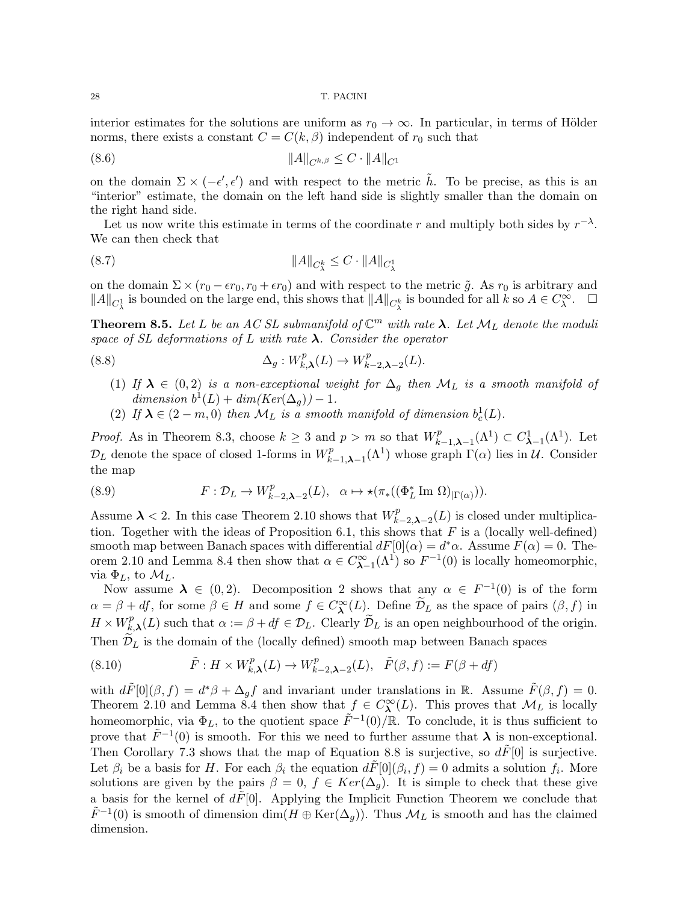interior estimates for the solutions are uniform as  $r_0 \to \infty$ . In particular, in terms of Hölder norms, there exists a constant  $C = C(k, \beta)$  independent of  $r_0$  such that

(8.6) kAkCk,β ≤ C · kAkC<sup>1</sup>

on the domain  $\Sigma \times (-\epsilon', \epsilon')$  and with respect to the metric  $\tilde{h}$ . To be precise, as this is an "interior" estimate, the domain on the left hand side is slightly smaller than the domain on the right hand side.

Let us now write this estimate in terms of the coordinate r and multiply both sides by  $r^{-\lambda}$ . We can then check that

(8.7) kAkC<sup>k</sup> λ ≤ C · kAkC<sup>1</sup> λ

on the domain  $\Sigma \times (r_0 - \epsilon r_0, r_0 + \epsilon r_0)$  and with respect to the metric  $\tilde{g}$ . As  $r_0$  is arbitrary and  $||A||_{C^1_\lambda}$  is bounded on the large end, this shows that  $||A||_{C^k_\lambda}$  is bounded for all k so  $A \in C^{\infty}_{\lambda}$ .  $\square$ 

**Theorem 8.5.** Let L be an AC SL submanifold of  $\mathbb{C}^m$  with rate  $\lambda$ . Let  $\mathcal{M}_L$  denote the moduli space of SL deformations of L with rate  $\lambda$ . Consider the operator

(8.8) 
$$
\Delta_g: W_{k,\lambda}^p(L) \to W_{k-2,\lambda-2}^p(L).
$$

- (1) If  $\lambda \in (0,2)$  is a non-exceptional weight for  $\Delta_g$  then  $\mathcal{M}_L$  is a smooth manifold of dimension  $b^1(L) + dim(Ker(\Delta_g)) - 1$ .
- (2) If  $\lambda \in (2 m, 0)$  then  $\mathcal{M}_L$  is a smooth manifold of dimension  $b_c^1(L)$ .

*Proof.* As in Theorem 8.3, choose  $k \geq 3$  and  $p > m$  so that  $W_p^p$ .  $C^p_{\lambda-1,\lambda-1}(\Lambda^1) \subset C^1_{\lambda-1}(\Lambda^1)$ . Let  $\mathcal{D}_L$  denote the space of closed 1-forms in  $W_k^p$  $\prod_{k=1,\lambda-1}^{p}(\Lambda^1)$  whose graph  $\Gamma(\alpha)$  lies in  $\mathcal{U}$ . Consider the map

(8.9) 
$$
F: \mathcal{D}_L \to W^p_{k-2,\lambda-2}(L), \quad \alpha \mapsto \star(\pi_*( (\Phi_L^* \operatorname{Im} \Omega)_{|\Gamma(\alpha)})).
$$

Assume  $\lambda < 2$ . In this case Theorem 2.10 shows that  $W_{k}^{p}$ .  $k_{k-2,\lambda-2}^{p}(L)$  is closed under multiplication. Together with the ideas of Proposition 6.1, this shows that  $F$  is a (locally well-defined) smooth map between Banach spaces with differential  $dF[0](\alpha) = d^*\alpha$ . Assume  $F(\alpha) = 0$ . Theorem 2.10 and Lemma 8.4 then show that  $\alpha \in C^{\infty}_{\lambda-1}(\Lambda^1)$  so  $F^{-1}(0)$  is locally homeomorphic, via  $\Phi_L$ , to  $\mathcal{M}_L$ .

Now assume  $\lambda \in (0,2)$ . Decomposition 2 shows that any  $\alpha \in F^{-1}(0)$  is of the form  $\alpha = \beta + df$ , for some  $\beta \in H$  and some  $f \in C^{\infty}_{\lambda}(L)$ . Define  $\widetilde{\mathcal{D}}_L$  as the space of pairs  $(\beta, f)$  in  $H \times W_k^p$  $k_{k,\lambda}^{p}(L)$  such that  $\alpha := \beta + df \in \mathcal{D}_L$ . Clearly  $\mathcal{D}_L$  is an open neighbourhood of the origin. Then  $\mathcal{D}_L$  is the domain of the (locally defined) smooth map between Banach spaces

(8.10) 
$$
\tilde{F}: H \times W_{k,\lambda}^p(L) \to W_{k-2,\lambda-2}^p(L), \quad \tilde{F}(\beta, f) := F(\beta + df)
$$

with  $d\tilde{F}[0](\beta, f) = d^*\beta + \Delta_g f$  and invariant under translations in R. Assume  $\tilde{F}(\beta, f) = 0$ . Theorem 2.10 and Lemma 8.4 then show that  $f \in C^{\infty}_{\lambda}(L)$ . This proves that  $\mathcal{M}_{L}$  is locally homeomorphic, via  $\Phi_L$ , to the quotient space  $\tilde{F}^{-1}(0)/\mathbb{R}$ . To conclude, it is thus sufficient to prove that  $\tilde{F}^{-1}(0)$  is smooth. For this we need to further assume that  $\lambda$  is non-exceptional. Then Corollary 7.3 shows that the map of Equation 8.8 is surjective, so  $d\tilde{F}[0]$  is surjective. Let  $\beta_i$  be a basis for H. For each  $\beta_i$  the equation  $d\tilde{F}[0](\beta_i, f) = 0$  admits a solution  $f_i$ . More solutions are given by the pairs  $\beta = 0$ ,  $f \in Ker(\Delta_g)$ . It is simple to check that these give a basis for the kernel of  $dF[0]$ . Applying the Implicit Function Theorem we conclude that  $\tilde{F}^{-1}(0)$  is smooth of dimension  $\dim(H \oplus \text{Ker}(\Delta_g))$ . Thus  $\mathcal{M}_L$  is smooth and has the claimed dimension.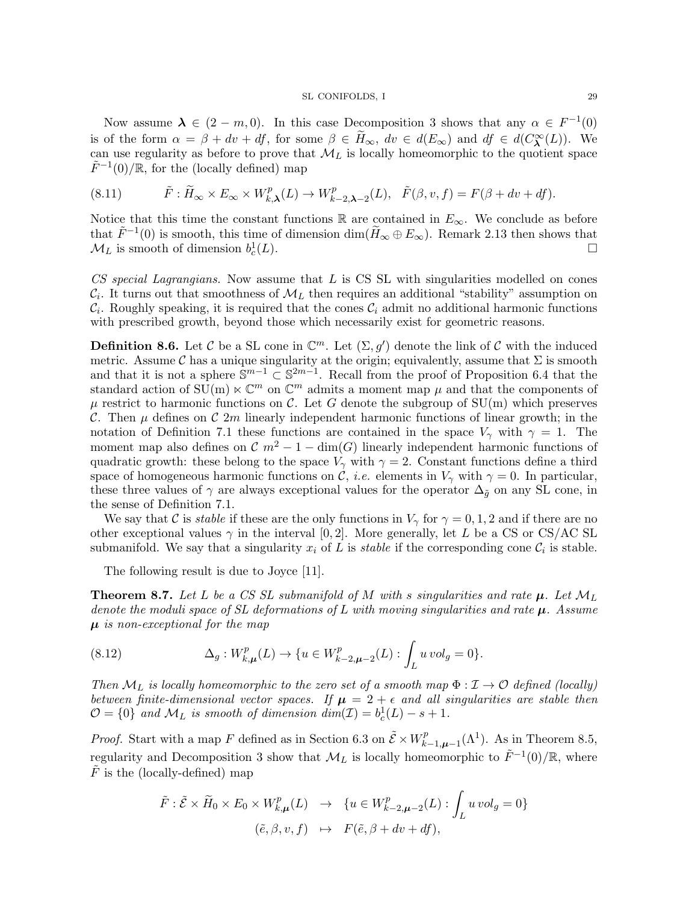Now assume  $\lambda \in (2 - m, 0)$ . In this case Decomposition 3 shows that any  $\alpha \in F^{-1}(0)$ is of the form  $\alpha = \beta + dv + df$ , for some  $\beta \in \tilde{H}_{\infty}$ ,  $dv \in d(E_{\infty})$  and  $df \in d(C_{\lambda}^{\infty}(L))$ . We can use regularity as before to prove that  $\mathcal{M}_L$  is locally homeomorphic to the quotient space  $\tilde{F}^{-1}(0)/\mathbb{R}$ , for the (locally defined) map

(8.11) 
$$
\tilde{F}: \tilde{H}_{\infty} \times E_{\infty} \times W_{k,\lambda}^p(L) \to W_{k-2,\lambda-2}^p(L), \quad \tilde{F}(\beta, v, f) = F(\beta + dv + df).
$$

Notice that this time the constant functions R are contained in  $E_{\infty}$ . We conclude as before that  $\tilde{F}^{-1}(0)$  is smooth, this time of dimension  $\dim(\tilde{H}_{\infty} \oplus E_{\infty})$ . Remark 2.13 then shows that  $\mathcal{M}_L$  is smooth of dimension  $b_c^1$  $(L).$ 

CS special Lagrangians. Now assume that  $L$  is CS SL with singularities modelled on cones  $\mathcal{C}_i$ . It turns out that smoothness of  $\mathcal{M}_L$  then requires an additional "stability" assumption on  $\mathcal{C}_i$ . Roughly speaking, it is required that the cones  $\mathcal{C}_i$  admit no additional harmonic functions with prescribed growth, beyond those which necessarily exist for geometric reasons.

**Definition 8.6.** Let C be a SL cone in  $\mathbb{C}^m$ . Let  $(\Sigma, g')$  denote the link of C with the induced metric. Assume C has a unique singularity at the origin; equivalently, assume that  $\Sigma$  is smooth and that it is not a sphere  $\hat{\mathbb{S}}^{m-1} \subset \mathbb{S}^{2m-1}$ . Recall from the proof of Proposition 6.4 that the standard action of  $\text{SU}(m) \ltimes \mathbb{C}^m$  on  $\mathbb{C}^m$  admits a moment map  $\mu$  and that the components of  $\mu$  restrict to harmonic functions on C. Let G denote the subgroup of SU(m) which preserves C. Then  $\mu$  defines on C 2m linearly independent harmonic functions of linear growth; in the notation of Definition 7.1 these functions are contained in the space  $V_{\gamma}$  with  $\gamma = 1$ . The moment map also defines on  $\mathcal{C}$  m<sup>2</sup> – 1 – dim(G) linearly independent harmonic functions of quadratic growth: these belong to the space  $V_{\gamma}$  with  $\gamma = 2$ . Constant functions define a third space of homogeneous harmonic functions on  $\mathcal{C}$ , *i.e.* elements in  $V_{\gamma}$  with  $\gamma = 0$ . In particular, these three values of  $\gamma$  are always exceptional values for the operator  $\Delta_{\tilde{q}}$  on any SL cone, in the sense of Definition 7.1.

We say that C is *stable* if these are the only functions in  $V_{\gamma}$  for  $\gamma = 0, 1, 2$  and if there are no other exceptional values  $\gamma$  in the interval [0, 2]. More generally, let L be a CS or CS/AC SL submanifold. We say that a singularity  $x_i$  of L is *stable* if the corresponding cone  $\mathcal{C}_i$  is stable.

The following result is due to Joyce [11].

**Theorem 8.7.** Let L be a CS SL submanifold of M with s singularities and rate  $\mu$ . Let  $\mathcal{M}_L$ denote the moduli space of SL deformations of L with moving singularities and rate  $\mu$ . Assume  $\mu$  is non-exceptional for the map

(8.12) 
$$
\Delta_g: W_{k,\mu}^p(L) \to \{u \in W_{k-2,\mu-2}^p(L): \int_L u \, vol_g = 0\}.
$$

Then  $\mathcal{M}_L$  is locally homeomorphic to the zero set of a smooth map  $\Phi: \mathcal{I} \to \mathcal{O}$  defined (locally) between finite-dimensional vector spaces. If  $\mu = 2 + \epsilon$  and all singularities are stable then  $\mathcal{O} = \{0\}$  and  $\mathcal{M}_L$  is smooth of dimension  $dim(\mathcal{I}) = b_c^1(L) - s + 1$ .

*Proof.* Start with a map F defined as in Section 6.3 on  $\tilde{\mathcal{E}} \times W_k^p$ .  $k^p_{k-1,\mu-1}(\Lambda^1)$ . As in Theorem 8.5, regularity and Decomposition 3 show that  $\mathcal{M}_L$  is locally homeomorphic to  $\tilde{F}^{-1}(0)/\mathbb{R}$ , where  $F$  is the (locally-defined) map

$$
\tilde{F} : \tilde{\mathcal{E}} \times \tilde{H}_0 \times E_0 \times W_{k,\mu}^p(L) \rightarrow \{ u \in W_{k-2,\mu-2}^p(L) : \int_L u \, vol_g = 0 \}
$$
  

$$
(\tilde{e}, \beta, v, f) \mapsto F(\tilde{e}, \beta + dv + df),
$$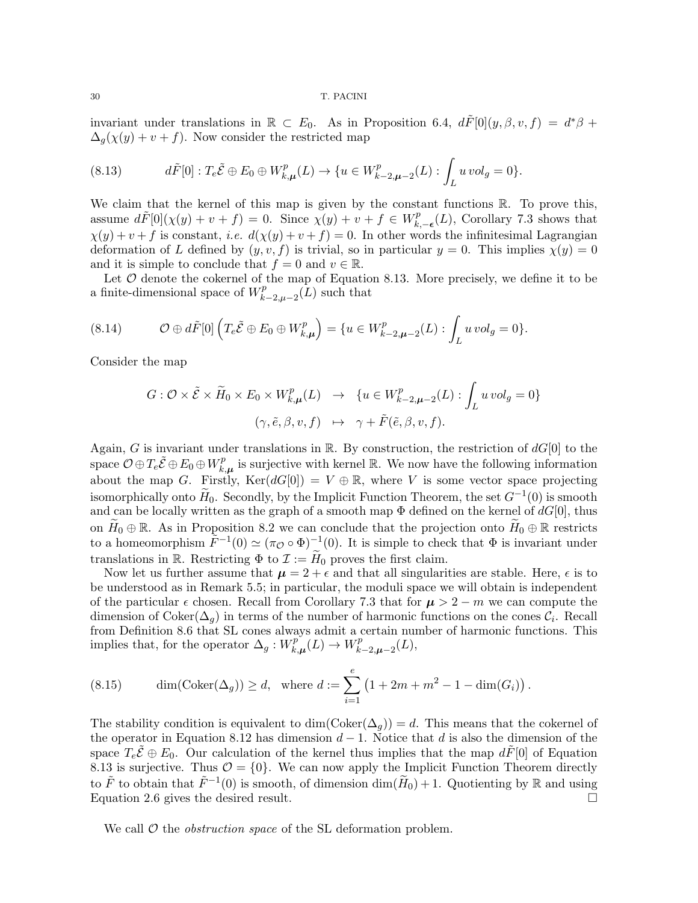invariant under translations in  $\mathbb{R} \subset E_0$ . As in Proposition 6.4,  $d\tilde{F}[0](y,\beta,v,f) = d^*\beta +$  $\Delta_g(\chi(y) + v + f)$ . Now consider the restricted map

(8.13) 
$$
d\tilde{F}[0]: T_e \tilde{\mathcal{E}} \oplus E_0 \oplus W_{k,\mu}^p(L) \to \{u \in W_{k-2,\mu-2}^p(L) : \int_L u \, vol_g = 0\}.
$$

We claim that the kernel of this map is given by the constant functions  $\mathbb{R}$ . To prove this, assume  $d\tilde{F}[0](\chi(y)+v+f) = 0$ . Since  $\chi(y)+v+f \in W_k^p$  $k, -\epsilon$ (*L*), Corollary 7.3 shows that  $\chi(y) + v + f$  is constant, *i.e.*  $d(\chi(y) + v + f) = 0$ . In other words the infinitesimal Lagrangian deformation of L defined by  $(y, v, f)$  is trivial, so in particular  $y = 0$ . This implies  $\chi(y) = 0$ and it is simple to conclude that  $f = 0$  and  $v \in \mathbb{R}$ .

Let  $\mathcal O$  denote the cokernel of the map of Equation 8.13. More precisely, we define it to be a finite-dimensional space of  $W_k^p$  $\chi_{k-2,\mu-2}^{p}(L)$  such that

$$
(8.14) \t\mathcal{O} \oplus d\tilde{F}[0] \left( T_e \tilde{\mathcal{E}} \oplus E_0 \oplus W_{k,\mu}^p \right) = \{ u \in W_{k-2,\mu-2}^p(L) : \int_L u \, vol_g = 0 \}.
$$

Consider the map

$$
G: \mathcal{O} \times \tilde{\mathcal{E}} \times \tilde{H}_0 \times E_0 \times W_{k,\mu}^p(L) \rightarrow \{ u \in W_{k-2,\mu-2}^p(L) : \int_L u \, vol_g = 0 \}
$$

$$
(\gamma, \tilde{e}, \beta, v, f) \mapsto \gamma + \tilde{F}(\tilde{e}, \beta, v, f).
$$

Again, G is invariant under translations in R. By construction, the restriction of  $dG[0]$  to the space  $\mathcal{O} \oplus T_e \tilde{\mathcal{E}} \oplus E_0 \oplus W^p_k$  $\sum_{k,\mu}^{p}$  is surjective with kernel R. We now have the following information about the map G. Firstly,  $\text{Ker}(dG[0]) = V \oplus \mathbb{R}$ , where V is some vector space projecting isomorphically onto  $\widetilde{H}_0$ . Secondly, by the Implicit Function Theorem, the set  $G^{-1}(0)$  is smooth and can be locally written as the graph of a smooth map  $\Phi$  defined on the kernel of  $dG[0]$ , thus on  $\widetilde{H}_0 \oplus \mathbb{R}$ . As in Proposition 8.2 we can conclude that the projection onto  $\widetilde{H}_0 \oplus \mathbb{R}$  restricts to a homeomorphism  $\tilde{F}^{-1}(0) \simeq (\pi_{\mathcal{O}} \circ \Phi)^{-1}(0)$ . It is simple to check that  $\Phi$  is invariant under translations in R. Restricting  $\Phi$  to  $\mathcal{I} := H_0$  proves the first claim.

Now let us further assume that  $\mu = 2 + \epsilon$  and that all singularities are stable. Here,  $\epsilon$  is to be understood as in Remark 5.5; in particular, the moduli space we will obtain is independent of the particular  $\epsilon$  chosen. Recall from Corollary 7.3 that for  $\mu > 2 - m$  we can compute the dimension of Coker $(\Delta_g)$  in terms of the number of harmonic functions on the cones  $\mathcal{C}_i$ . Recall from Definition 8.6 that SL cones always admit a certain number of harmonic functions. This implies that, for the operator  $\Delta_g : W^p_k$  $\overline{h}_{k,\boldsymbol{\mu}}^{p}(L) \rightarrow W_{k}^{p}$  $k^{rP}_{k-2,\boldsymbol{\mu}-2}(L),$ 

(8.15) 
$$
\dim(\text{Coker}(\Delta_g)) \ge d
$$
, where  $d := \sum_{i=1}^{e} (1 + 2m + m^2 - 1 - \dim(G_i))$ .

The stability condition is equivalent to dim( $\text{Coker}(\Delta_q)$ ) = d. This means that the cokernel of the operator in Equation 8.12 has dimension  $d-1$ . Notice that d is also the dimension of the space  $T_e \mathcal{E} \oplus E_0$ . Our calculation of the kernel thus implies that the map  $dF[0]$  of Equation 8.13 is surjective. Thus  $\mathcal{O} = \{0\}$ . We can now apply the Implicit Function Theorem directly to  $\tilde{F}$  to obtain that  $\tilde{F}^{-1}(0)$  is smooth, of dimension  $\dim(\tilde{H}_0) + 1$ . Quotienting by R and using Equation 2.6 gives the desired result.  $\Box$ 

We call  $\mathcal O$  the *obstruction space* of the SL deformation problem.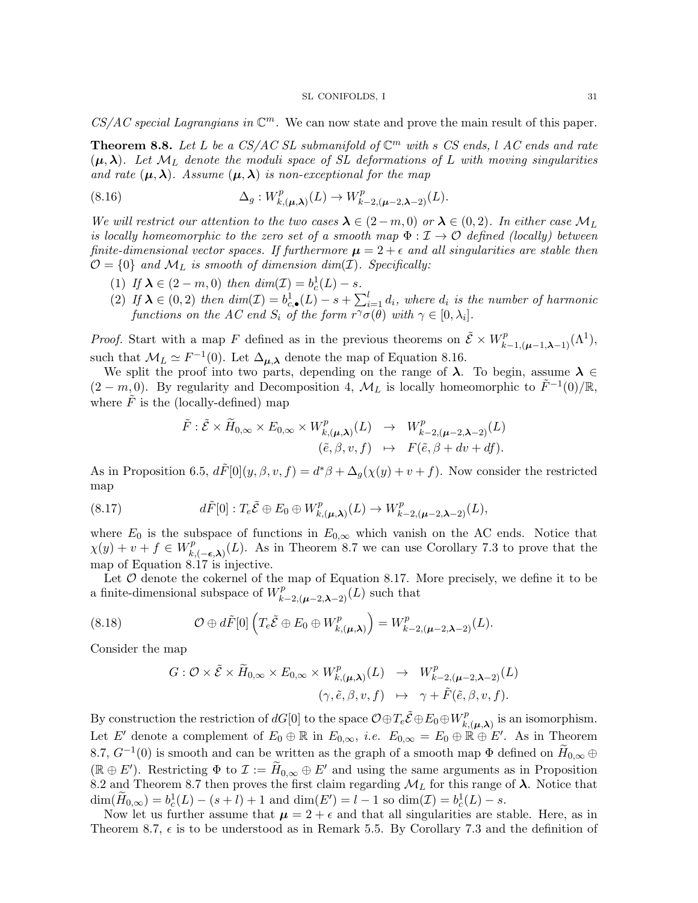$CS/AC$  special Lagrangians in  $\mathbb{C}^m$ . We can now state and prove the main result of this paper.

**Theorem 8.8.** Let L be a CS/AC SL submanifold of  $\mathbb{C}^m$  with s CS ends, l AC ends and rate  $(\mu, \lambda)$ . Let  $\mathcal{M}_L$  denote the moduli space of SL deformations of L with moving singularities and rate  $(\mu, \lambda)$ . Assume  $(\mu, \lambda)$  is non-exceptional for the map

(8.16) 
$$
\Delta_g: W^p_{k,(\mu,\lambda)}(L) \to W^p_{k-2,(\mu-2,\lambda-2)}(L).
$$

We will restrict our attention to the two cases  $\lambda \in (2-m,0)$  or  $\lambda \in (0,2)$ . In either case  $\mathcal{M}_L$ is locally homeomorphic to the zero set of a smooth map  $\Phi : \mathcal{I} \to \mathcal{O}$  defined (locally) between finite-dimensional vector spaces. If furthermore  $\mu = 2 + \epsilon$  and all singularities are stable then  $\mathcal{O} = \{0\}$  and  $\mathcal{M}_L$  is smooth of dimension dim(*I*). Specifically:

- (1) If  $\lambda \in (2 m, 0)$  then  $dim(\mathcal{I}) = b_c^1(L) s$ .
- (2) If  $\lambda \in (0, 2)$  then  $dim(\mathcal{I}) = b_{c,\bullet}^1(L) s + \sum_{i=1}^l d_i$ , where  $d_i$  is the number of harmonic functions on the AC end  $S_i$  of the form  $r^{\gamma}\sigma(\theta)$  with  $\gamma \in [0, \lambda_i]$ .

*Proof.* Start with a map F defined as in the previous theorems on  $\tilde{\mathcal{E}} \times W^p_{k-1,(\mu-1,\lambda-1)}(\Lambda^1)$ , such that  $\mathcal{M}_L \simeq F^{-1}(0)$ . Let  $\Delta_{\mu,\lambda}$  denote the map of Equation 8.16.

We split the proof into two parts, depending on the range of  $\lambda$ . To begin, assume  $\lambda \in$  $(2-m,0)$ . By regularity and Decomposition 4,  $\mathcal{M}_L$  is locally homeomorphic to  $\tilde{F}^{-1}(0)/\mathbb{R}$ , where  $\tilde{F}$  is the (locally-defined) map

$$
\tilde{F}: \tilde{\mathcal{E}} \times \tilde{H}_{0,\infty} \times E_{0,\infty} \times W^p_{k,(\mu,\lambda)}(L) \rightarrow W^p_{k-2,(\mu-2,\lambda-2)}(L) \n(\tilde{e}, \beta, v, f) \rightarrow F(\tilde{e}, \beta + dv + df).
$$

As in Proposition 6.5,  $d\tilde{F}[0](y, \beta, v, f) = d^*\beta + \Delta_g(\chi(y) + v + f)$ . Now consider the restricted map

(8.17) 
$$
d\tilde{F}[0]: T_e\tilde{\mathcal{E}} \oplus E_0 \oplus W_{k,(\mu,\lambda)}^p(L) \to W_{k-2,(\mu-2,\lambda-2)}^p(L),
$$

where  $E_0$  is the subspace of functions in  $E_{0,\infty}$  which vanish on the AC ends. Notice that  $\chi(y) + v + f \in W_k^p$  $k_{k,(-\epsilon,\lambda)}^{p}(L)$ . As in Theorem 8.7 we can use Corollary 7.3 to prove that the map of Equation 8.17 is injective.

Let  $O$  denote the cokernel of the map of Equation 8.17. More precisely, we define it to be a finite-dimensional subspace of  $W_{k-2,(\mu-2,\lambda-2)}^p(L)$  such that

(8.18) 
$$
\mathcal{O} \oplus d\tilde{F}[0] \left( T_e \tilde{\mathcal{E}} \oplus E_0 \oplus W_{k,(\mu,\lambda)}^p \right) = W_{k-2,(\mu-2,\lambda-2)}^p(L).
$$

Consider the map

$$
G: \mathcal{O} \times \tilde{\mathcal{E}} \times \tilde{H}_{0,\infty} \times E_{0,\infty} \times W^p_{k,(\mu,\lambda)}(L) \rightarrow W^p_{k-2,(\mu-2,\lambda-2)}(L)
$$
  

$$
(\gamma, \tilde{e}, \beta, v, f) \rightarrow \gamma + \tilde{F}(\tilde{e}, \beta, v, f).
$$

By construction the restriction of  $dG[0]$  to the space  $\mathcal{O}\oplus T_e\tilde{\mathcal{E}}\oplus E_0\oplus W_k^p$  $k(\mu,\lambda)$  is an isomorphism. Let E' denote a complement of  $E_0 \oplus \mathbb{R}$  in  $E_{0,\infty}$ , *i.e.*  $E_{0,\infty} = E_0 \oplus \mathbb{R} \oplus E'$ . As in Theorem 8.7,  $G^{-1}(0)$  is smooth and can be written as the graph of a smooth map  $\Phi$  defined on  $H_{0,\infty} \oplus$  $(\mathbb{R} \oplus E')$ . Restricting  $\Phi$  to  $\mathcal{I} := \widetilde{H}_{0,\infty} \oplus E'$  and using the same arguments as in Proposition 8.2 and Theorem 8.7 then proves the first claim regarding  $\mathcal{M}_L$  for this range of  $\lambda$ . Notice that  $\dim(\widetilde{H}_{0,\infty}) = b_c^1(L) - (s+l) + 1$  and  $\dim(E') = l - 1$  so  $\dim(\mathcal{I}) = b_c^1(L) - s$ .

Now let us further assume that  $\mu = 2 + \epsilon$  and that all singularities are stable. Here, as in Theorem 8.7,  $\epsilon$  is to be understood as in Remark 5.5. By Corollary 7.3 and the definition of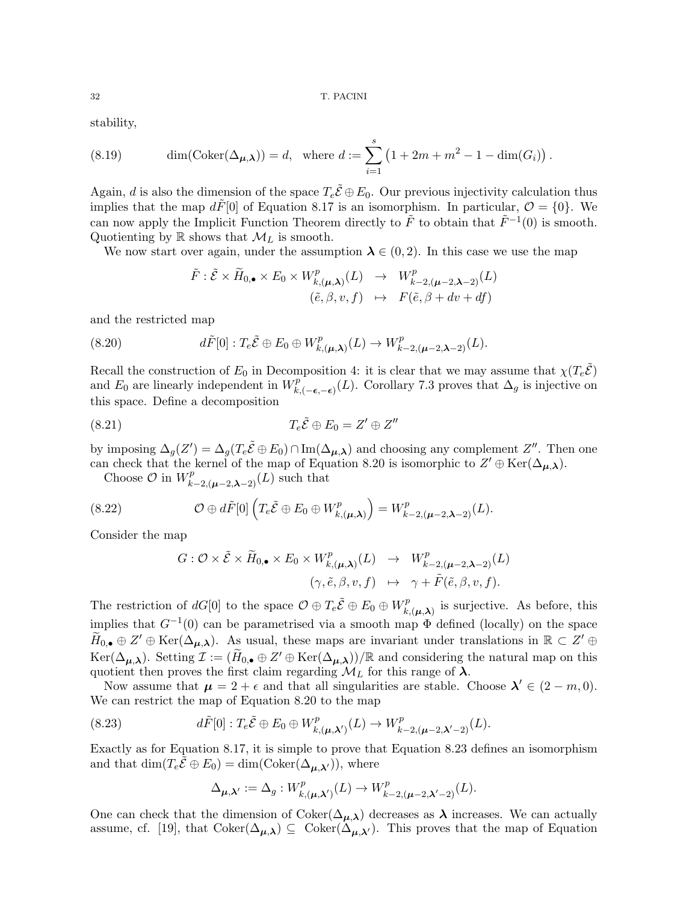stability,

(8.19) 
$$
\dim(\mathrm{Coker}(\Delta_{\mu,\lambda})) = d, \text{ where } d := \sum_{i=1}^{s} (1 + 2m + m^2 - 1 - \dim(G_i)).
$$

Again, d is also the dimension of the space  $T_e\tilde{\mathcal{E}} \oplus E_0$ . Our previous injectivity calculation thus implies that the map  $d\tilde{F}[0]$  of Equation 8.17 is an isomorphism. In particular,  $\mathcal{O} = \{0\}$ . We can now apply the Implicit Function Theorem directly to  $\tilde{F}$  to obtain that  $\tilde{F}^{-1}(0)$  is smooth. Quotienting by  $\mathbb R$  shows that  $\mathcal M_L$  is smooth.

We now start over again, under the assumption  $\lambda \in (0, 2)$ . In this case we use the map

$$
\tilde{F}: \tilde{\mathcal{E}} \times \tilde{H}_{0,\bullet} \times E_0 \times W^p_{k,(\mu,\lambda)}(L) \rightarrow W^p_{k-2,(\mu-2,\lambda-2)}(L) \n(\tilde{e}, \beta, v, f) \rightarrow F(\tilde{e}, \beta + dv + df)
$$

and the restricted map

(8.20) 
$$
d\tilde{F}[0]: T_e\tilde{\mathcal{E}} \oplus E_0 \oplus W_{k,(\mu,\lambda)}^p(L) \to W_{k-2,(\mu-2,\lambda-2)}^p(L).
$$

Recall the construction of  $E_0$  in Decomposition 4: it is clear that we may assume that  $\chi(T_e\tilde{E})$ and  $E_0$  are linearly independent in  $W_k^p$  $k_{k,(-\epsilon,-\epsilon)}^{p}(L)$ . Corollary 7.3 proves that  $\Delta_{g}$  is injective on this space. Define a decomposition

$$
(8.21) \t\t T_e \tilde{\mathcal{E}} \oplus E_0 = Z' \oplus Z''
$$

by imposing  $\Delta_g(Z') = \Delta_g(T_e \tilde{\mathcal{E}} \oplus E_0) \cap \text{Im}(\Delta_{\mu,\lambda})$  and choosing any complement  $Z''$ . Then one can check that the kernel of the map of Equation 8.20 is isomorphic to  $Z' \oplus \text{Ker}(\Delta_{\mu,\lambda})$ .

Choose  $\mathcal O$  in  $W^p_{k-2,(\mu-2,\lambda-2)}(L)$  such that

(8.22) 
$$
\mathcal{O} \oplus d\tilde{F}[0] \left( T_e \tilde{\mathcal{E}} \oplus E_0 \oplus W_{k,(\mu,\lambda)}^p \right) = W_{k-2,(\mu-2,\lambda-2)}^p(L).
$$

Consider the map

$$
G: \mathcal{O} \times \tilde{\mathcal{E}} \times \tilde{H}_{0,\bullet} \times E_0 \times W^p_{k,(\mu,\lambda)}(L) \rightarrow W^p_{k-2,(\mu-2,\lambda-2)}(L)
$$
  

$$
(\gamma, \tilde{e}, \beta, v, f) \rightarrow \gamma + \tilde{F}(\tilde{e}, \beta, v, f).
$$

The restriction of  $dG[0]$  to the space  $\mathcal{O} \oplus T_e \tilde{\mathcal{E}} \oplus E_0 \oplus W_k^p$  $k(\mu,\lambda)$  is surjective. As before, this implies that  $G^{-1}(0)$  can be parametrised via a smooth map  $\Phi$  defined (locally) on the space  $\widetilde{H}_{0,\bullet} \oplus Z' \oplus \text{Ker}(\Delta_{\mu,\lambda}).$  As usual, these maps are invariant under translations in  $\mathbb{R} \subset Z' \oplus$  $\text{Ker}(\Delta_{\mu,\lambda})$ . Setting  $\mathcal{I} := (\widetilde{H}_{0,\bullet} \oplus Z' \oplus \text{Ker}(\Delta_{\mu,\lambda})) / \mathbb{R}$  and considering the natural map on this quotient then proves the first claim regarding  $\mathcal{M}_L$  for this range of  $\lambda$ .

Now assume that  $\mu = 2 + \epsilon$  and that all singularities are stable. Choose  $\lambda' \in (2 - m, 0)$ . We can restrict the map of Equation 8.20 to the map

(8.23) 
$$
d\tilde{F}[0]: T_e\tilde{\mathcal{E}} \oplus E_0 \oplus W^p_{k,(\mu,\lambda')}(L) \to W^p_{k-2,(\mu-2,\lambda'-2)}(L).
$$

Exactly as for Equation 8.17, it is simple to prove that Equation 8.23 defines an isomorphism and that  $\dim(T_e\tilde{\mathcal{E}} \oplus E_0) = \dim(\mathrm{Coker}(\Delta_{\mu,\lambda'}))$ , where

$$
\Delta_{\mu,\lambda'} := \Delta_g : W^p_{k,(\mu,\lambda')}(L) \to W^p_{k-2,(\mu-2,\lambda'-2)}(L).
$$

One can check that the dimension of  $Coker(\Delta_{\mu,\lambda})$  decreases as  $\lambda$  increases. We can actually assume, cf. [19], that  $Coker(\Delta_{\mu,\lambda}) \subseteq Coker(\Delta_{\mu,\lambda'})$ . This proves that the map of Equation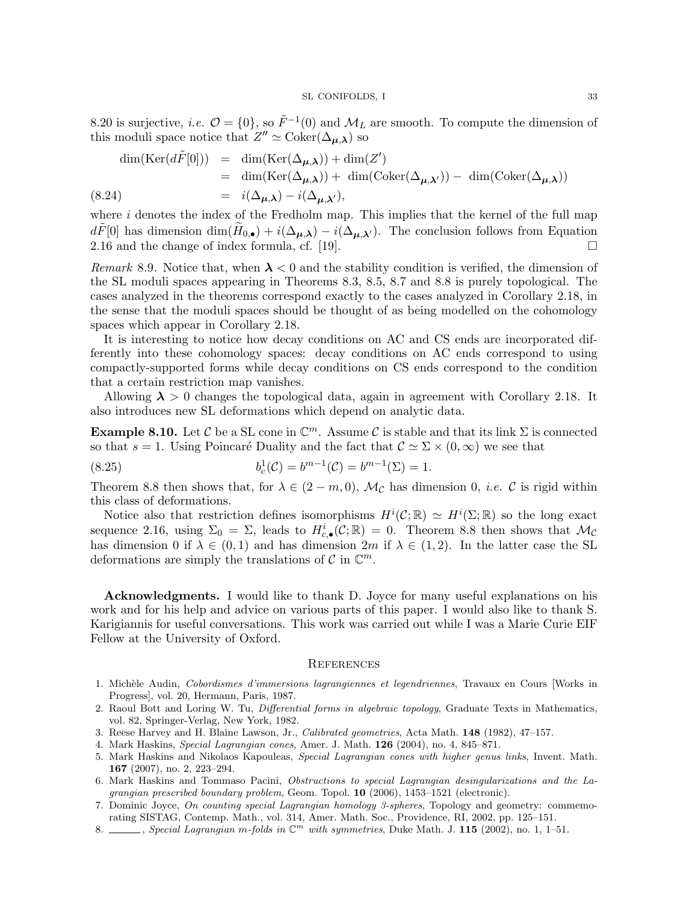8.20 is surjective, *i.e.*  $\mathcal{O} = \{0\}$ , so  $\tilde{F}^{-1}(0)$  and  $\mathcal{M}_L$  are smooth. To compute the dimension of this moduli space notice that  $Z'' \simeq \text{Coker}(\Delta_{\mu,\lambda})$  so

$$
\dim(\text{Ker}(d\tilde{F}[0])) = \dim(\text{Ker}(\Delta_{\mu,\lambda})) + \dim(Z')
$$
  
= 
$$
\dim(\text{Ker}(\Delta_{\mu,\lambda})) + \dim(\text{Coker}(\Delta_{\mu,\lambda'})) - \dim(\text{Coker}(\Delta_{\mu,\lambda}))
$$
  
= 
$$
i(\Delta_{\mu,\lambda}) - i(\Delta_{\mu,\lambda'}),
$$

where  $i$  denotes the index of the Fredholm map. This implies that the kernel of the full map  $d\tilde{F}[0]$  has dimension  $\dim(\tilde{H}_{0,\bullet}) + i(\Delta_{\mu,\lambda}) - i(\Delta_{\mu,\lambda'})$ . The conclusion follows from Equation 2.16 and the change of index formula, cf. [19].

Remark 8.9. Notice that, when  $\lambda < 0$  and the stability condition is verified, the dimension of the SL moduli spaces appearing in Theorems 8.3, 8.5, 8.7 and 8.8 is purely topological. The cases analyzed in the theorems correspond exactly to the cases analyzed in Corollary 2.18, in the sense that the moduli spaces should be thought of as being modelled on the cohomology spaces which appear in Corollary 2.18.

It is interesting to notice how decay conditions on AC and CS ends are incorporated differently into these cohomology spaces: decay conditions on AC ends correspond to using compactly-supported forms while decay conditions on CS ends correspond to the condition that a certain restriction map vanishes.

Allowing  $\lambda > 0$  changes the topological data, again in agreement with Corollary 2.18. It also introduces new SL deformations which depend on analytic data.

**Example 8.10.** Let C be a SL cone in  $\mathbb{C}^m$ . Assume C is stable and that its link  $\Sigma$  is connected so that  $s = 1$ . Using Poincaré Duality and the fact that  $\mathcal{C} \simeq \Sigma \times (0, \infty)$  we see that

(8.25) 
$$
b_c^1(\mathcal{C}) = b^{m-1}(\mathcal{C}) = b^{m-1}(\Sigma) = 1.
$$

Theorem 8.8 then shows that, for  $\lambda \in (2-m,0), \mathcal{M}_{\mathcal{C}}$  has dimension 0, *i.e.* C is rigid within this class of deformations.

Notice also that restriction defines isomorphisms  $H^i(\mathcal{C};\mathbb{R}) \simeq H^i(\Sigma;\mathbb{R})$  so the long exact sequence 2.16, using  $\Sigma_0 = \Sigma$ , leads to  $H_{c,\bullet}^i(\mathcal{C};\mathbb{R}) = 0$ . Theorem 8.8 then shows that  $\mathcal{M}_{\mathcal{C}}$ has dimension 0 if  $\lambda \in (0,1)$  and has dimension  $2m$  if  $\lambda \in (1,2)$ . In the latter case the SL deformations are simply the translations of  $\mathcal C$  in  $\mathbb C^m$ .

Acknowledgments. I would like to thank D. Joyce for many useful explanations on his work and for his help and advice on various parts of this paper. I would also like to thank S. Karigiannis for useful conversations. This work was carried out while I was a Marie Curie EIF Fellow at the University of Oxford.

#### **REFERENCES**

- 1. Michèle Audin, Cobordismes d'immersions lagrangiennes et legendriennes, Travaux en Cours [Works in Progress], vol. 20, Hermann, Paris, 1987.
- 2. Raoul Bott and Loring W. Tu, Differential forms in algebraic topology, Graduate Texts in Mathematics, vol. 82, Springer-Verlag, New York, 1982.
- 3. Reese Harvey and H. Blaine Lawson, Jr., Calibrated geometries, Acta Math. 148 (1982), 47–157.
- 4. Mark Haskins, Special Lagrangian cones, Amer. J. Math. 126 (2004), no. 4, 845–871.
- 5. Mark Haskins and Nikolaos Kapouleas, Special Lagrangian cones with higher genus links, Invent. Math. 167 (2007), no. 2, 223–294.
- 6. Mark Haskins and Tommaso Pacini, Obstructions to special Lagrangian desingularizations and the Lagrangian prescribed boundary problem, Geom. Topol. 10 (2006), 1453–1521 (electronic).
- 7. Dominic Joyce, On counting special Lagrangian homology 3-spheres, Topology and geometry: commemorating SISTAG, Contemp. Math., vol. 314, Amer. Math. Soc., Providence, RI, 2002, pp. 125–151.
- 8. Special Lagrangian m-folds in  $\mathbb{C}^m$  with symmetries, Duke Math. J. 115 (2002), no. 1, 1–51.